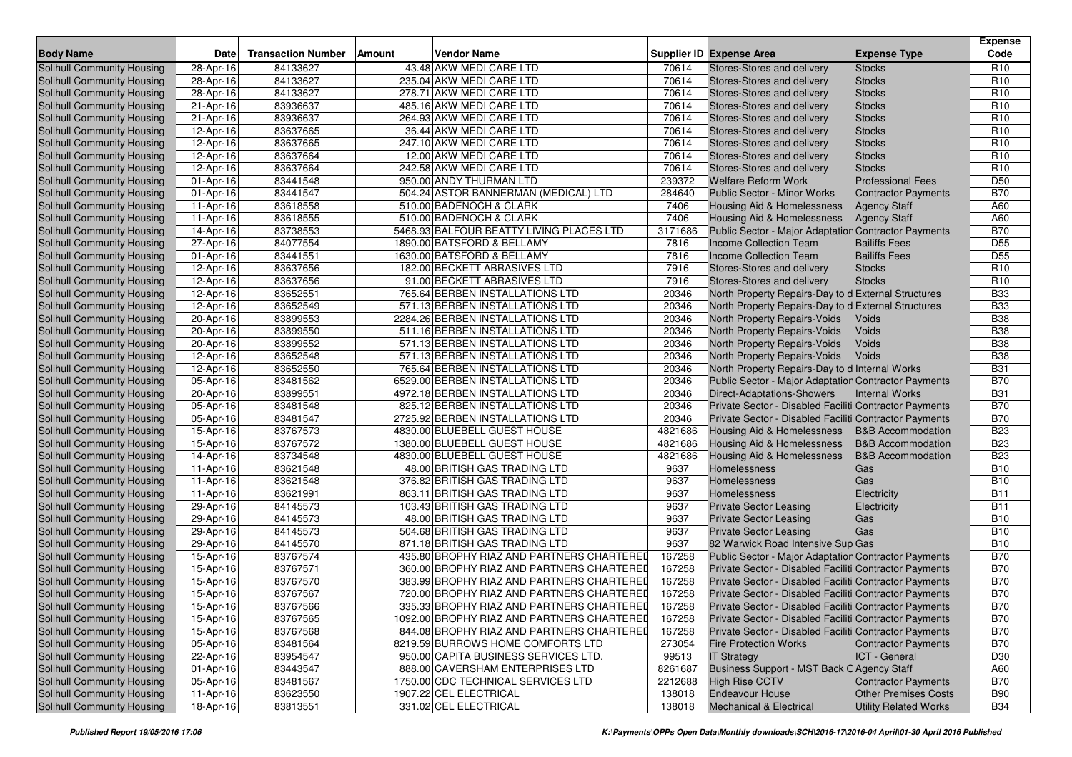|                                   |           |                           |        |                                            |         |                                                             |                              | <b>Expense</b>  |
|-----------------------------------|-----------|---------------------------|--------|--------------------------------------------|---------|-------------------------------------------------------------|------------------------------|-----------------|
| <b>Body Name</b>                  | Date      | <b>Transaction Number</b> | Amount | <b>Vendor Name</b>                         |         | <b>Supplier ID Expense Area</b>                             | <b>Expense Type</b>          | Code            |
| Solihull Community Housing        | 28-Apr-16 | 84133627                  |        | 43.48 AKW MEDI CARE LTD                    | 70614   | Stores-Stores and delivery                                  | <b>Stocks</b>                | R <sub>10</sub> |
| Solihull Community Housing        | 28-Apr-16 | 84133627                  |        | 235.04 AKW MEDI CARE LTD                   | 70614   | Stores-Stores and delivery                                  | <b>Stocks</b>                | R <sub>10</sub> |
| Solihull Community Housing        | 28-Apr-16 | 84133627                  |        | 278.71 AKW MEDI CARE LTD                   | 70614   | Stores-Stores and delivery                                  | <b>Stocks</b>                | R <sub>10</sub> |
| Solihull Community Housing        | 21-Apr-16 | 83936637                  |        | 485.16 AKW MEDI CARE LTD                   | 70614   | Stores-Stores and delivery                                  | <b>Stocks</b>                | R <sub>10</sub> |
| Solihull Community Housing        | 21-Apr-16 | 83936637                  |        | 264.93 AKW MEDI CARE LTD                   | 70614   | Stores-Stores and delivery                                  | <b>Stocks</b>                | R <sub>10</sub> |
| Solihull Community Housing        | 12-Apr-16 | 83637665                  |        | 36.44 AKW MEDI CARE LTD                    | 70614   | Stores-Stores and delivery                                  | <b>Stocks</b>                | R <sub>10</sub> |
| Solihull Community Housing        | 12-Apr-16 | 83637665                  |        | 247.10 AKW MEDI CARE LTD                   | 70614   | Stores-Stores and delivery                                  | <b>Stocks</b>                | R <sub>10</sub> |
| Solihull Community Housing        | 12-Apr-16 | 83637664                  |        | 12.00 AKW MEDI CARE LTD                    | 70614   | Stores-Stores and delivery                                  | <b>Stocks</b>                | R <sub>10</sub> |
| Solihull Community Housing        | 12-Apr-16 | 83637664                  |        | 242.58 AKW MEDI CARE LTD                   | 70614   | Stores-Stores and delivery                                  | <b>Stocks</b>                | R <sub>10</sub> |
| Solihull Community Housing        | 01-Apr-16 | 83441548                  |        | 950.00 ANDY THURMAN LTD                    | 239372  | <b>Welfare Reform Work</b>                                  | <b>Professional Fees</b>     | D <sub>50</sub> |
| Solihull Community Housing        | 01-Apr-16 | 83441547                  |        | 504.24 ASTOR BANNERMAN (MEDICAL) LTD       | 284640  | <b>Public Sector - Minor Works</b>                          | <b>Contractor Payments</b>   | <b>B70</b>      |
| Solihull Community Housing        | 11-Apr-16 | 83618558                  |        | 510.00 BADENOCH & CLARK                    | 7406    | Housing Aid & Homelessness                                  | <b>Agency Staff</b>          | A60             |
| Solihull Community Housing        | 11-Apr-16 | 83618555                  |        | 510.00 BADENOCH & CLARK                    | 7406    | <b>Housing Aid &amp; Homelessness</b>                       | <b>Agency Staff</b>          | A60             |
| Solihull Community Housing        | 14-Apr-16 | 83738553                  |        | 5468.93 BALFOUR BEATTY LIVING PLACES LTD   | 3171686 | Public Sector - Major Adaptation Contractor Payments        |                              | <b>B70</b>      |
| Solihull Community Housing        | 27-Apr-16 | 84077554                  |        | 1890.00 BATSFORD & BELLAMY                 | 7816    | Income Collection Team                                      | <b>Bailiffs Fees</b>         | D <sub>55</sub> |
| Solihull Community Housing        | 01-Apr-16 | 83441551                  |        | 1630.00 BATSFORD & BELLAMY                 | 7816    | <b>Income Collection Team</b>                               | <b>Bailiffs Fees</b>         | D <sub>55</sub> |
| Solihull Community Housing        | 12-Apr-16 | 83637656                  |        | 182.00 BECKETT ABRASIVES LTD               | 7916    | Stores-Stores and delivery                                  | <b>Stocks</b>                | R <sub>10</sub> |
| Solihull Community Housing        | 12-Apr-16 | 83637656                  |        | 91.00 BECKETT ABRASIVES LTD                | 7916    | Stores-Stores and delivery                                  | <b>Stocks</b>                | R <sub>10</sub> |
| Solihull Community Housing        | 12-Apr-16 | 83652551                  |        | 765.64 BERBEN INSTALLATIONS LTD            | 20346   | North Property Repairs-Day to d External Structures         |                              | <b>B33</b>      |
| Solihull Community Housing        | 12-Apr-16 | 83652549                  |        | 571.13 BERBEN INSTALLATIONS LTD            | 20346   | North Property Repairs-Day to d External Structures         |                              | <b>B33</b>      |
| Solihull Community Housing        | 20-Apr-16 | 83899553                  |        | 2284.26 BERBEN INSTALLATIONS LTD           | 20346   | North Property Repairs-Voids                                | Voids                        | <b>B38</b>      |
| Solihull Community Housing        | 20-Apr-16 | 83899550                  |        | 511.16 BERBEN INSTALLATIONS LTD            | 20346   | North Property Repairs-Voids                                | Voids                        | <b>B38</b>      |
| Solihull Community Housing        | 20-Apr-16 | 83899552                  |        | 571.13 BERBEN INSTALLATIONS LTD            | 20346   | North Property Repairs-Voids                                | Voids                        | <b>B38</b>      |
| Solihull Community Housing        | 12-Apr-16 | 83652548                  |        | 571.13 BERBEN INSTALLATIONS LTD            | 20346   | North Property Repairs-Voids                                | Voids                        | <b>B38</b>      |
| Solihull Community Housing        | 12-Apr-16 | 83652550                  |        | 765.64 BERBEN INSTALLATIONS LTD            | 20346   | North Property Repairs-Day to d Internal Works              |                              | <b>B31</b>      |
| Solihull Community Housing        | 05-Apr-16 | 83481562                  |        | 6529.00 BERBEN INSTALLATIONS LTD           | 20346   | <b>Public Sector - Major Adaptation Contractor Payments</b> |                              | <b>B70</b>      |
| Solihull Community Housing        | 20-Apr-16 | 83899551                  |        | 4972.18 BERBEN INSTALLATIONS LTD           | 20346   | Direct-Adaptations-Showers                                  | <b>Internal Works</b>        | <b>B31</b>      |
| Solihull Community Housing        | 05-Apr-16 | 83481548                  |        | 825.12 BERBEN INSTALLATIONS LTD            | 20346   | Private Sector - Disabled Faciliti Contractor Payments      |                              | <b>B70</b>      |
| Solihull Community Housing        | 05-Apr-16 | 83481547                  |        | 2725.92 BERBEN INSTALLATIONS LTD           | 20346   | Private Sector - Disabled Faciliti Contractor Payments      |                              | <b>B70</b>      |
| Solihull Community Housing        | 15-Apr-16 | 83767573                  |        | 4830.00 BLUEBELL GUEST HOUSE               | 4821686 | <b>Housing Aid &amp; Homelessness</b>                       | <b>B&amp;B Accommodation</b> | <b>B23</b>      |
| Solihull Community Housing        | 15-Apr-16 | 83767572                  |        | 1380.00 BLUEBELL GUEST HOUSE               | 4821686 | Housing Aid & Homelessness                                  | <b>B&amp;B Accommodation</b> | <b>B23</b>      |
| Solihull Community Housing        | 14-Apr-16 | 83734548                  |        | 4830.00 BLUEBELL GUEST HOUSE               | 4821686 | Housing Aid & Homelessness                                  | <b>B&amp;B Accommodation</b> | <b>B23</b>      |
| Solihull Community Housing        | 11-Apr-16 | 83621548                  |        | 48.00 BRITISH GAS TRADING LTD              | 9637    | Homelessness                                                | Gas                          | <b>B10</b>      |
| Solihull Community Housing        | 11-Apr-16 | 83621548                  |        | 376.82 BRITISH GAS TRADING LTD             | 9637    | Homelessness                                                | Gas                          | <b>B10</b>      |
| <b>Solihull Community Housing</b> | 11-Apr-16 | 83621991                  |        | 863.11 BRITISH GAS TRADING LTD             | 9637    | Homelessness                                                | Electricity                  | <b>B11</b>      |
| Solihull Community Housing        | 29-Apr-16 | 84145573                  |        | 103.43 BRITISH GAS TRADING LTD             | 9637    | <b>Private Sector Leasing</b>                               | Electricity                  | <b>B11</b>      |
| Solihull Community Housing        | 29-Apr-16 | 84145573                  |        | 48.00 BRITISH GAS TRADING LTD              | 9637    | <b>Private Sector Leasing</b>                               | Gas                          | <b>B10</b>      |
| Solihull Community Housing        | 29-Apr-16 | 84145573                  |        | 504.68 BRITISH GAS TRADING LTD             | 9637    | <b>Private Sector Leasing</b>                               | Gas                          | <b>B10</b>      |
| Solihull Community Housing        | 29-Apr-16 | 84145570                  |        | 871.18 BRITISH GAS TRADING LTD             | 9637    | 82 Warwick Road Intensive Sup Gas                           |                              | <b>B10</b>      |
| Solihull Community Housing        | 15-Apr-16 | 83767574                  |        | 435.80 BROPHY RIAZ AND PARTNERS CHARTERED  | 167258  | Public Sector - Major Adaptation Contractor Payments        |                              | <b>B70</b>      |
| Solihull Community Housing        | 15-Apr-16 | 83767571                  |        | 360.00 BROPHY RIAZ AND PARTNERS CHARTERED  | 167258  | Private Sector - Disabled Faciliti Contractor Payments      |                              | <b>B70</b>      |
| Solihull Community Housing        | 15-Apr-16 | 83767570                  |        | 383.99 BROPHY RIAZ AND PARTNERS CHARTERED  | 167258  | Private Sector - Disabled Faciliti Contractor Payments      |                              | <b>B70</b>      |
| Solihull Community Housing        | 15-Apr-16 | 83767567                  |        | 720.00 BROPHY RIAZ AND PARTNERS CHARTERED  | 167258  | Private Sector - Disabled Faciliti Contractor Payments      |                              | <b>B70</b>      |
| Solihull Community Housing        | 15-Apr-16 | 83767566                  |        | 335.33 BROPHY RIAZ AND PARTNERS CHARTERED  | 167258  | Private Sector - Disabled Faciliti Contractor Payments      |                              | <b>B70</b>      |
| Solihull Community Housing        | 15-Apr-16 | 83767565                  |        | 1092.00 BROPHY RIAZ AND PARTNERS CHARTERED | 167258  | Private Sector - Disabled Faciliti Contractor Payments      |                              | <b>B70</b>      |
| Solihull Community Housing        | 15-Apr-16 | 83767568                  |        | 844.08 BROPHY RIAZ AND PARTNERS CHARTERED  | 167258  | Private Sector - Disabled Faciliti Contractor Payments      |                              | <b>B70</b>      |
| Solihull Community Housing        | 05-Apr-16 | 83481564                  |        | 8219.59 BURROWS HOME COMFORTS LTD          | 273054  | <b>Fire Protection Works</b>                                | <b>Contractor Payments</b>   | <b>B70</b>      |
| Solihull Community Housing        | 22-Apr-16 | 83954547                  |        | 950.00 CAPITA BUSINESS SERVICES LTD.       | 99513   | <b>IT Strategy</b>                                          | ICT - General                | D30             |
| Solihull Community Housing        | 01-Apr-16 | 83443547                  |        | 888.00 CAVERSHAM ENTERPRISES LTD           | 8261687 | Business Support - MST Back O Agency Staff                  |                              | A60             |
| Solihull Community Housing        | 05-Apr-16 | 83481567                  |        | 1750.00 CDC TECHNICAL SERVICES LTD         | 2212688 | <b>High Rise CCTV</b>                                       | <b>Contractor Payments</b>   | <b>B70</b>      |
| Solihull Community Housing        | 11-Apr-16 | 83623550                  |        | 1907.22 CEL ELECTRICAL                     | 138018  | <b>Endeavour House</b>                                      | <b>Other Premises Costs</b>  | <b>B90</b>      |
| Solihull Community Housing        | 18-Apr-16 | 83813551                  |        | 331.02 CEL ELECTRICAL                      | 138018  | <b>Mechanical &amp; Electrical</b>                          | <b>Utility Related Works</b> | <b>B34</b>      |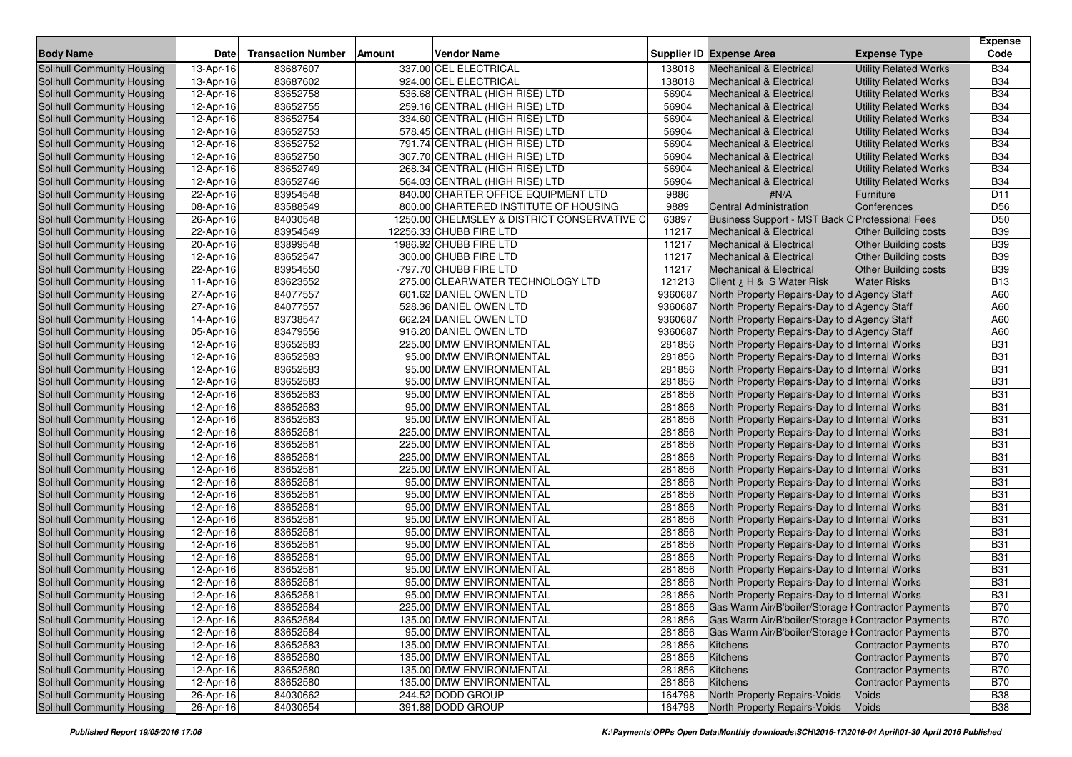|                                   |                         |                           |        |                                             |         |                                                     |                              | <b>Expense</b>  |
|-----------------------------------|-------------------------|---------------------------|--------|---------------------------------------------|---------|-----------------------------------------------------|------------------------------|-----------------|
| <b>Body Name</b>                  | Date                    | <b>Transaction Number</b> | Amount | <b>Vendor Name</b>                          |         | <b>Supplier ID Expense Area</b>                     | <b>Expense Type</b>          | Code            |
| <b>Solihull Community Housing</b> | 13-Apr-16               | 83687607                  |        | 337.00 CEL ELECTRICAL                       | 138018  | <b>Mechanical &amp; Electrical</b>                  | <b>Utility Related Works</b> | <b>B34</b>      |
| Solihull Community Housing        | 13-Apr-16               | 83687602                  |        | 924.00 CEL ELECTRICAL                       | 138018  | <b>Mechanical &amp; Electrical</b>                  | <b>Utility Related Works</b> | <b>B34</b>      |
| Solihull Community Housing        | 12-Apr-16               | 83652758                  |        | 536.68 CENTRAL (HIGH RISE) LTD              | 56904   | <b>Mechanical &amp; Electrical</b>                  | <b>Utility Related Works</b> | <b>B34</b>      |
| Solihull Community Housing        | $\overline{1}$ 2-Apr-16 | 83652755                  |        | 259.16 CENTRAL (HIGH RISE) LTD              | 56904   | <b>Mechanical &amp; Electrical</b>                  | <b>Utility Related Works</b> | <b>B34</b>      |
| Solihull Community Housing        | 12-Apr-16               | 83652754                  |        | 334.60 CENTRAL (HIGH RISE) LTD              | 56904   | Mechanical & Electrical                             | <b>Utility Related Works</b> | <b>B34</b>      |
| Solihull Community Housing        | 12-Apr-16               | 83652753                  |        | 578.45 CENTRAL (HIGH RISE) LTD              | 56904   | <b>Mechanical &amp; Electrical</b>                  | <b>Utility Related Works</b> | <b>B34</b>      |
| Solihull Community Housing        | 12-Apr-16               | 83652752                  |        | 791.74 CENTRAL (HIGH RISE) LTD              | 56904   | <b>Mechanical &amp; Electrical</b>                  | <b>Utility Related Works</b> | <b>B34</b>      |
| Solihull Community Housing        | 12-Apr-16               | 83652750                  |        | 307.70 CENTRAL (HIGH RISE) LTD              | 56904   | <b>Mechanical &amp; Electrical</b>                  | <b>Utility Related Works</b> | <b>B34</b>      |
| Solihull Community Housing        | 12-Apr-16               | 83652749                  |        | 268.34 CENTRAL (HIGH RISE) LTD              | 56904   | Mechanical & Electrical                             | <b>Utility Related Works</b> | <b>B34</b>      |
| Solihull Community Housing        | 12-Apr-16               | 83652746                  |        | 564.03 CENTRAL (HIGH RISE) LTD              | 56904   | <b>Mechanical &amp; Electrical</b>                  | <b>Utility Related Works</b> | <b>B34</b>      |
| Solihull Community Housing        | 22-Apr-16               | 83954548                  |        | 840.00 CHARTER OFFICE EQUIPMENT LTD         | 9886    | #N/A                                                | Furniture                    | D <sub>11</sub> |
| Solihull Community Housing        | 08-Apr-16               | 83588549                  |        | 800.00 CHARTERED INSTITUTE OF HOUSING       | 9889    | <b>Central Administration</b>                       | Conferences                  | D <sub>56</sub> |
| Solihull Community Housing        | 26-Apr-16               | 84030548                  |        | 1250.00 CHELMSLEY & DISTRICT CONSERVATIVE C | 63897   | Business Support - MST Back O Professional Fees     |                              | D <sub>50</sub> |
| Solihull Community Housing        | 22-Apr-16               | 83954549                  |        | 12256.33 CHUBB FIRE LTD                     | 11217   | <b>Mechanical &amp; Electrical</b>                  | <b>Other Building costs</b>  | <b>B39</b>      |
| Solihull Community Housing        | 20-Apr-16               | 83899548                  |        | 1986.92 CHUBB FIRE LTD                      | 11217   | <b>Mechanical &amp; Electrical</b>                  | <b>Other Building costs</b>  | <b>B39</b>      |
| Solihull Community Housing        | 12-Apr-16               | 83652547                  |        | 300.00 CHUBB FIRE LTD                       | 11217   | <b>Mechanical &amp; Electrical</b>                  | <b>Other Building costs</b>  | <b>B39</b>      |
| Solihull Community Housing        | 22-Apr-16               | 83954550                  |        | -797.70 CHUBB FIRE LTD                      | 11217   | <b>Mechanical &amp; Electrical</b>                  | <b>Other Building costs</b>  | <b>B39</b>      |
| Solihull Community Housing        | 11-Apr-16               | 83623552                  |        | 275.00 CLEARWATER TECHNOLOGY LTD            | 121213  | Client ¿ H & S Water Risk                           | <b>Water Risks</b>           | <b>B13</b>      |
| Solihull Community Housing        | 27-Apr-16               | 84077557                  |        | 601.62 DANIEL OWEN LTD                      | 9360687 | North Property Repairs-Day to d Agency Staff        |                              | A60             |
| Solihull Community Housing        | 27-Apr-16               | 84077557                  |        | 528.36 DANIEL OWEN LTD                      | 9360687 | North Property Repairs-Day to d Agency Staff        |                              | A60             |
| Solihull Community Housing        | 14-Apr-16               | 83738547                  |        | 662.24 DANIEL OWEN LTD                      | 9360687 | North Property Repairs-Day to d Agency Staff        |                              | A60             |
| Solihull Community Housing        | 05-Apr-16               | 83479556                  |        | 916.20 DANIEL OWEN LTD                      | 9360687 | North Property Repairs-Day to d Agency Staff        |                              | A60             |
| Solihull Community Housing        | 12-Apr-16               | 83652583                  |        | 225.00 DMW ENVIRONMENTAL                    | 281856  | North Property Repairs-Day to d Internal Works      |                              | <b>B31</b>      |
| Solihull Community Housing        | 12-Apr-16               | 83652583                  |        | 95.00 DMW ENVIRONMENTAL                     | 281856  | North Property Repairs-Day to d Internal Works      |                              | <b>B31</b>      |
| Solihull Community Housing        | 12-Apr-16               | 83652583                  |        | 95.00 DMW ENVIRONMENTAL                     | 281856  | North Property Repairs-Day to d Internal Works      |                              | <b>B31</b>      |
| Solihull Community Housing        | 12-Apr-16               | 83652583                  |        | 95.00 DMW ENVIRONMENTAL                     | 281856  | North Property Repairs-Day to d Internal Works      |                              | <b>B31</b>      |
| Solihull Community Housing        | 12-Apr-16               | 83652583                  |        | 95.00 DMW ENVIRONMENTAL                     | 281856  | North Property Repairs-Day to d Internal Works      |                              | <b>B31</b>      |
| Solihull Community Housing        | 12-Apr-16               | 83652583                  |        | 95.00 DMW ENVIRONMENTAL                     | 281856  | North Property Repairs-Day to d Internal Works      |                              | <b>B31</b>      |
| Solihull Community Housing        | 12-Apr-16               | 83652583                  |        | 95.00 DMW ENVIRONMENTAL                     | 281856  | North Property Repairs-Day to d Internal Works      |                              | <b>B31</b>      |
| Solihull Community Housing        | 12-Apr-16               | 83652581                  |        | 225.00 DMW ENVIRONMENTAL                    | 281856  | North Property Repairs-Day to d Internal Works      |                              | <b>B31</b>      |
| Solihull Community Housing        | 12-Apr-16               | 83652581                  |        | 225.00 DMW ENVIRONMENTAL                    | 281856  | North Property Repairs-Day to d Internal Works      |                              | <b>B31</b>      |
| Solihull Community Housing        | 12-Apr-16               | 83652581                  |        | 225.00 DMW ENVIRONMENTAL                    | 281856  | North Property Repairs-Day to d Internal Works      |                              | <b>B31</b>      |
| Solihull Community Housing        | 12-Apr-16               | 83652581                  |        | 225.00 DMW ENVIRONMENTAL                    | 281856  | North Property Repairs-Day to d Internal Works      |                              | <b>B31</b>      |
| Solihull Community Housing        | 12-Apr-16               | 83652581                  |        | 95.00 DMW ENVIRONMENTAL                     | 281856  | North Property Repairs-Day to d Internal Works      |                              | <b>B31</b>      |
| Solihull Community Housing        | 12-Apr-16               | 83652581                  |        | 95.00 DMW ENVIRONMENTAL                     | 281856  | North Property Repairs-Day to d Internal Works      |                              | <b>B31</b>      |
| Solihull Community Housing        | 12-Apr-16               | 83652581                  |        | 95.00 DMW ENVIRONMENTAL                     | 281856  | North Property Repairs-Day to d Internal Works      |                              | <b>B31</b>      |
| Solihull Community Housing        | 12-Apr-16               | 83652581                  |        | 95.00 DMW ENVIRONMENTAL                     | 281856  | North Property Repairs-Day to d Internal Works      |                              | <b>B31</b>      |
| Solihull Community Housing        | 12-Apr-16               | 83652581                  |        | 95.00 DMW ENVIRONMENTAL                     | 281856  | North Property Repairs-Day to d Internal Works      |                              | <b>B31</b>      |
| Solihull Community Housing        | 12-Apr-16               | 83652581                  |        | 95.00 DMW ENVIRONMENTAL                     | 281856  | North Property Repairs-Day to d Internal Works      |                              | <b>B31</b>      |
| Solihull Community Housing        | 12-Apr-16               | 83652581                  |        | 95.00 DMW ENVIRONMENTAL                     | 281856  | North Property Repairs-Day to d Internal Works      |                              | <b>B31</b>      |
| Solihull Community Housing        | 12-Apr-16               | 83652581                  |        | 95.00 DMW ENVIRONMENTAL                     | 281856  | North Property Repairs-Day to d Internal Works      |                              | <b>B31</b>      |
| Solihull Community Housing        | 12-Apr-16               | 83652581                  |        | 95.00 DMW ENVIRONMENTAL                     | 281856  | North Property Repairs-Day to d Internal Works      |                              | <b>B31</b>      |
| Solihull Community Housing        | 12-Apr-16               | 83652581                  |        | 95.00 DMW ENVIRONMENTAL                     | 281856  | North Property Repairs-Day to d Internal Works      |                              | <b>B31</b>      |
| Solihull Community Housing        | 12-Apr-16               | 83652584                  |        | 225.00 DMW ENVIRONMENTAL                    | 281856  | Gas Warm Air/B'boiler/Storage I Contractor Payments |                              | <b>B70</b>      |
| Solihull Community Housing        | 12-Apr-16               | 83652584                  |        | 135.00 DMW ENVIRONMENTAL                    | 281856  | Gas Warm Air/B'boiler/Storage I Contractor Payments |                              | <b>B70</b>      |
| Solihull Community Housing        | 12-Apr-16               | 83652584                  |        | 95.00 DMW ENVIRONMENTAL                     | 281856  | Gas Warm Air/B'boiler/Storage I Contractor Payments |                              | <b>B70</b>      |
| Solihull Community Housing        | 12-Apr-16               | 83652583                  |        | 135.00 DMW ENVIRONMENTAL                    | 281856  | Kitchens                                            | <b>Contractor Payments</b>   | <b>B70</b>      |
| Solihull Community Housing        | 12-Apr-16               | 83652580                  |        | 135.00 DMW ENVIRONMENTAL                    | 281856  | Kitchens                                            | <b>Contractor Payments</b>   | <b>B70</b>      |
| Solihull Community Housing        | 12-Apr-16               | 83652580                  |        | 135.00 DMW ENVIRONMENTAL                    | 281856  | Kitchens                                            | <b>Contractor Payments</b>   | <b>B70</b>      |
| Solihull Community Housing        | 12-Apr-16               | 83652580                  |        | 135.00 DMW ENVIRONMENTAL                    | 281856  | Kitchens                                            | <b>Contractor Payments</b>   | <b>B70</b>      |
| Solihull Community Housing        | 26-Apr-16               | 84030662                  |        | 244.52 DODD GROUP                           | 164798  | North Property Repairs-Voids                        | Voids                        | <b>B38</b>      |
| Solihull Community Housing        | 26-Apr-16               | 84030654                  |        | 391.88 DODD GROUP                           | 164798  | North Property Repairs-Voids                        | Voids                        | <b>B38</b>      |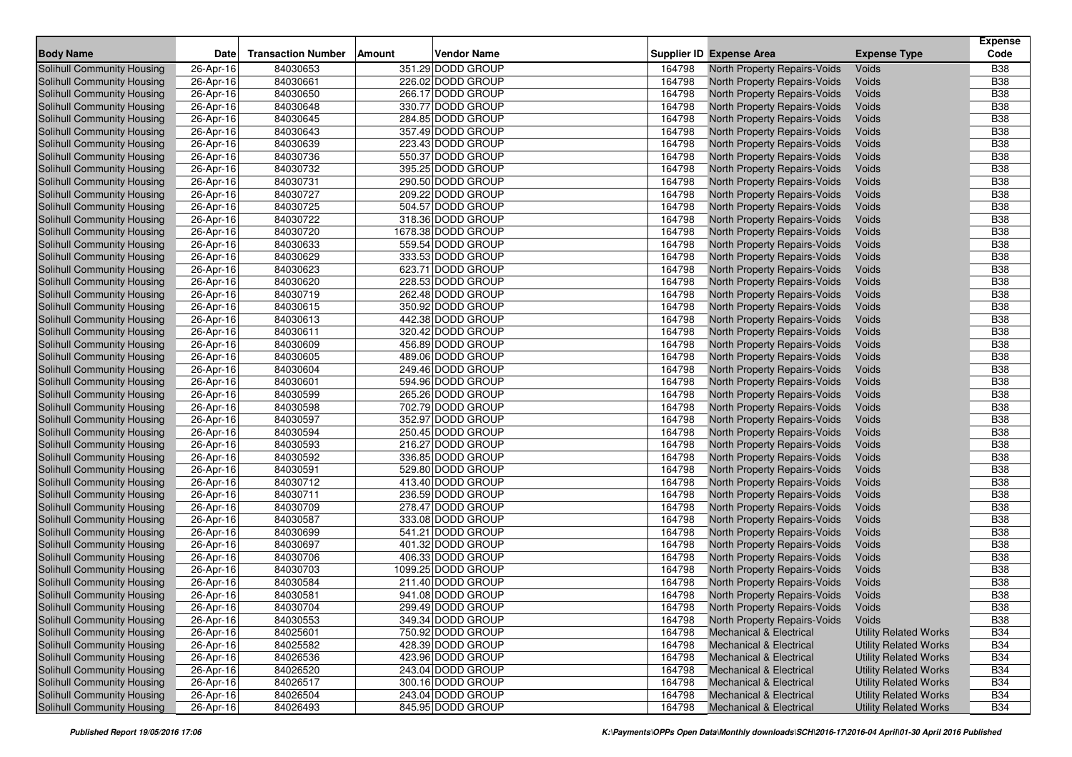| <b>Transaction Number</b><br><b>Body Name</b><br>Date<br>Amount<br><b>Vendor Name</b><br>Supplier ID Expense Area<br><b>Expense Type</b><br>Solihull Community Housing<br>84030653<br>351.29 DODD GROUP<br>26-Apr-16<br>164798<br><b>North Property Repairs-Voids</b><br>Voids<br>84030661<br>226.02 DODD GROUP<br>164798<br><b>Solihull Community Housing</b><br>26-Apr-16<br>North Property Repairs-Voids<br>Voids<br>84030650<br>266.17 DODD GROUP<br>164798<br>Voids<br><b>Solihull Community Housing</b><br>26-Apr-16<br>North Property Repairs-Voids | Code<br><b>B38</b><br><b>B38</b><br><b>B38</b><br><b>B38</b> |
|------------------------------------------------------------------------------------------------------------------------------------------------------------------------------------------------------------------------------------------------------------------------------------------------------------------------------------------------------------------------------------------------------------------------------------------------------------------------------------------------------------------------------------------------------------|--------------------------------------------------------------|
|                                                                                                                                                                                                                                                                                                                                                                                                                                                                                                                                                            |                                                              |
|                                                                                                                                                                                                                                                                                                                                                                                                                                                                                                                                                            |                                                              |
|                                                                                                                                                                                                                                                                                                                                                                                                                                                                                                                                                            |                                                              |
| 330.77 DODD GROUP<br>84030648<br>164798<br>Voids                                                                                                                                                                                                                                                                                                                                                                                                                                                                                                           |                                                              |
| Solihull Community Housing<br>26-Apr-16<br>North Property Repairs-Voids<br>84030645<br>284.85 DODD GROUP<br>164798<br>Voids                                                                                                                                                                                                                                                                                                                                                                                                                                | <b>B38</b>                                                   |
| Solihull Community Housing<br>26-Apr-16<br>North Property Repairs-Voids<br>357.49 DODD GROUP<br><b>Solihull Community Housing</b><br>84030643<br>164798<br>26-Apr-16<br>Voids                                                                                                                                                                                                                                                                                                                                                                              | <b>B38</b>                                                   |
| North Property Repairs-Voids<br>84030639<br>223.43 DODD GROUP<br>164798<br>Voids                                                                                                                                                                                                                                                                                                                                                                                                                                                                           | <b>B38</b>                                                   |
| Solihull Community Housing<br>26-Apr-16<br>North Property Repairs-Voids<br>84030736<br>550.37 DODD GROUP<br>164798<br>Voids<br>Solihull Community Housing<br>26-Apr-16<br>North Property Repairs-Voids                                                                                                                                                                                                                                                                                                                                                     | <b>B38</b>                                                   |
| 84030732<br>395.25 DODD GROUP<br>164798<br>Solihull Community Housing<br>26-Apr-16<br>North Property Repairs-Voids<br>Voids                                                                                                                                                                                                                                                                                                                                                                                                                                | <b>B38</b>                                                   |
| 290.50 DODD GROUP<br>Voids<br><b>Solihull Community Housing</b><br>26-Apr-16<br>84030731<br>164798                                                                                                                                                                                                                                                                                                                                                                                                                                                         | <b>B38</b>                                                   |
| North Property Repairs-Voids<br>84030727<br>209.22 DODD GROUP<br>164798<br>Voids                                                                                                                                                                                                                                                                                                                                                                                                                                                                           | <b>B</b> 38                                                  |
| Solihull Community Housing<br>26-Apr-16<br>North Property Repairs-Voids<br>164798<br>Solihull Community Housing                                                                                                                                                                                                                                                                                                                                                                                                                                            |                                                              |
| 84030725<br>504.57 DODD GROUP<br>26-Apr-16<br>North Property Repairs-Voids<br>Voids<br>84030722<br>318.36 DODD GROUP<br>164798<br><b>Solihull Community Housing</b><br>Voids                                                                                                                                                                                                                                                                                                                                                                               | <b>B38</b><br><b>B38</b>                                     |
| 26-Apr-16<br>North Property Repairs-Voids<br>1678.38 DODD GROUP<br>164798                                                                                                                                                                                                                                                                                                                                                                                                                                                                                  | <b>B38</b>                                                   |
| 84030720<br>Voids<br>Solihull Community Housing<br>26-Apr-16<br>North Property Repairs-Voids                                                                                                                                                                                                                                                                                                                                                                                                                                                               |                                                              |
| 84030633<br>559.54 DODD GROUP<br>164798<br>Solihull Community Housing<br>26-Apr-16<br>North Property Repairs-Voids<br>Voids                                                                                                                                                                                                                                                                                                                                                                                                                                | <b>B38</b><br><b>B38</b>                                     |
| 84030629<br>333.53 DODD GROUP<br>164798<br>Solihull Community Housing<br>26-Apr-16<br>North Property Repairs-Voids<br>Voids                                                                                                                                                                                                                                                                                                                                                                                                                                |                                                              |
| 84030623<br>623.71 DODD GROUP<br>164798<br>Solihull Community Housing<br>26-Apr-16<br>North Property Repairs-Voids<br>Voids<br>228.53 DODD GROUP                                                                                                                                                                                                                                                                                                                                                                                                           | <b>B38</b>                                                   |
| 84030620<br>Solihull Community Housing<br>26-Apr-16<br>164798<br>North Property Repairs-Voids<br>Voids<br>Solihull Community Housing                                                                                                                                                                                                                                                                                                                                                                                                                       | <b>B38</b>                                                   |
| 84030719<br>262.48 DODD GROUP<br>Voids<br>164798<br>North Property Repairs-Voids<br>26-Apr-16<br>164798                                                                                                                                                                                                                                                                                                                                                                                                                                                    | <b>B38</b>                                                   |
| 84030615<br>350.92 DODD GROUP<br>Solihull Community Housing<br>26-Apr-16<br>North Property Repairs-Voids<br>Voids                                                                                                                                                                                                                                                                                                                                                                                                                                          | <b>B38</b>                                                   |
| Voids<br><b>Solihull Community Housing</b><br>84030613<br>442.38 DODD GROUP<br>164798<br>North Property Repairs-Voids<br>26-Apr-16                                                                                                                                                                                                                                                                                                                                                                                                                         | <b>B38</b>                                                   |
| Solihull Community Housing<br>84030611<br>320.42 DODD GROUP<br>164798<br>Voids<br>26-Apr-16<br>North Property Repairs-Voids<br>164798                                                                                                                                                                                                                                                                                                                                                                                                                      | <b>B</b> 38                                                  |
| 84030609<br>456.89 DODD GROUP<br>Solihull Community Housing<br>26-Apr-16<br>North Property Repairs-Voids<br>Voids                                                                                                                                                                                                                                                                                                                                                                                                                                          | <b>B38</b>                                                   |
| 84030605<br>489.06 DODD GROUP<br><b>Solihull Community Housing</b><br>26-Apr-16<br>164798<br>North Property Repairs-Voids<br>Voids                                                                                                                                                                                                                                                                                                                                                                                                                         | <b>B38</b><br><b>B38</b>                                     |
| 84030604<br>164798<br><b>Solihull Community Housing</b><br>26-Apr-16<br>249.46 DODD GROUP<br>North Property Repairs-Voids<br>Voids                                                                                                                                                                                                                                                                                                                                                                                                                         |                                                              |
| 594.96 DODD GROUP<br>164798<br>Solihull Community Housing<br>26-Apr-16<br>84030601<br>North Property Repairs-Voids<br>Voids                                                                                                                                                                                                                                                                                                                                                                                                                                | <b>B38</b>                                                   |
| 84030599<br>265.26 DODD GROUP<br>164798<br>Solihull Community Housing<br>26-Apr-16<br>North Property Repairs-Voids<br>Voids                                                                                                                                                                                                                                                                                                                                                                                                                                | <b>B38</b>                                                   |
| 702.79 DODD GROUP<br>Voids<br><b>Solihull Community Housing</b><br>26-Apr-16<br>84030598<br>164798<br>North Property Repairs-Voids                                                                                                                                                                                                                                                                                                                                                                                                                         | <b>B38</b>                                                   |
| 84030597<br>352.97 DODD GROUP<br>Solihull Community Housing<br>26-Apr-16<br>164798<br>North Property Repairs-Voids<br>Voids                                                                                                                                                                                                                                                                                                                                                                                                                                | <b>B38</b>                                                   |
| 84030594<br>250.45 DODD GROUP<br>164798<br>Voids<br>Solihull Community Housing<br>26-Apr-16<br>North Property Repairs-Voids                                                                                                                                                                                                                                                                                                                                                                                                                                | <b>B38</b><br><b>B</b> 38                                    |
| Solihull Community Housing<br>84030593<br>216.27 DODD GROUP<br>164798<br>26-Apr-16<br>North Property Repairs-Voids<br>Voids                                                                                                                                                                                                                                                                                                                                                                                                                                |                                                              |
| Solihull Community Housing<br>84030592<br>336.85 DODD GROUP<br>164798<br>North Property Repairs-Voids<br>Voids<br>26-Apr-16<br>84030591<br>529.80 DODD GROUP<br>164798<br>Voids                                                                                                                                                                                                                                                                                                                                                                            | <b>B38</b><br><b>B38</b>                                     |
| Solihull Community Housing<br>26-Apr-16<br>North Property Repairs-Voids<br>164798<br>84030712<br>413.40 DODD GROUP<br>Solihull Community Housing<br>26-Apr-16<br>North Property Repairs-Voids<br>Voids                                                                                                                                                                                                                                                                                                                                                     | <b>B38</b>                                                   |
| 84030711<br>236.59 DODD GROUP<br>164798<br><b>Solihull Community Housing</b><br>Voids                                                                                                                                                                                                                                                                                                                                                                                                                                                                      | <b>B38</b>                                                   |
| 26-Apr-16<br>North Property Repairs-Voids<br>84030709<br>278.47 DODD GROUP<br>164798<br>Voids                                                                                                                                                                                                                                                                                                                                                                                                                                                              | <b>B38</b>                                                   |
| Solihull Community Housing<br>26-Apr-16<br>North Property Repairs-Voids<br>84030587<br>333.08 DODD GROUP<br>164798<br>Voids                                                                                                                                                                                                                                                                                                                                                                                                                                | <b>B38</b>                                                   |
| Solihull Community Housing<br>26-Apr-16<br>North Property Repairs-Voids<br>84030699<br>541.21 DODD GROUP<br>164798<br>Solihull Community Housing<br>26-Apr-16<br>North Property Repairs-Voids<br>Voids                                                                                                                                                                                                                                                                                                                                                     | <b>B38</b>                                                   |
| 84030697<br>401.32 DODD GROUP<br>164798<br>Voids                                                                                                                                                                                                                                                                                                                                                                                                                                                                                                           | <b>B38</b>                                                   |
| Solihull Community Housing<br>26-Apr-16<br>North Property Repairs-Voids<br>84030706<br>406.33 DODD GROUP<br>164798<br>Solihull Community Housing<br>26-Apr-16<br>North Property Repairs-Voids<br>Voids                                                                                                                                                                                                                                                                                                                                                     | <b>B38</b>                                                   |
| 84030703<br>1099.25 DODD GROUP<br>164798<br>Solihull Community Housing<br>26-Apr-16<br>North Property Repairs-Voids<br>Voids                                                                                                                                                                                                                                                                                                                                                                                                                               | <b>B38</b>                                                   |
| 84030584<br>211.40 DODD GROUP<br>164798<br>Solihull Community Housing<br>26-Apr-16<br>North Property Repairs-Voids<br>Voids                                                                                                                                                                                                                                                                                                                                                                                                                                | <b>B</b> 38                                                  |
| 84030581<br>941.08 DODD GROUP<br>North Property Repairs-Voids<br>Solihull Community Housing<br>26-Apr-16<br>164798<br>Voids                                                                                                                                                                                                                                                                                                                                                                                                                                | <b>B38</b>                                                   |
| 84030704<br>164798<br>Voids<br>Solihull Community Housing<br>26-Apr-16<br>299.49 DODD GROUP<br>North Property Repairs-Voids                                                                                                                                                                                                                                                                                                                                                                                                                                | <b>B38</b>                                                   |
| Solihull Community Housing<br>26-Apr-16<br>84030553<br>349.34 DODD GROUP<br>164798<br>North Property Repairs-Voids<br>Voids                                                                                                                                                                                                                                                                                                                                                                                                                                | <b>B38</b>                                                   |
| Solihull Community Housing<br>$\overline{26}$ -Apr-16<br>84025601<br>750.92 DODD GROUP<br>164798<br><b>Mechanical &amp; Electrical</b><br><b>Utility Related Works</b>                                                                                                                                                                                                                                                                                                                                                                                     | <b>B34</b>                                                   |
| 84025582<br>Solihull Community Housing<br>428.39 DODD GROUP<br>164798<br><b>Mechanical &amp; Electrical</b><br>26-Apr-16<br><b>Utility Related Works</b>                                                                                                                                                                                                                                                                                                                                                                                                   | <b>B34</b>                                                   |
| Solihull Community Housing<br>26-Apr-16<br>84026536<br>423.96 DODD GROUP<br>164798<br><b>Mechanical &amp; Electrical</b><br><b>Utility Related Works</b>                                                                                                                                                                                                                                                                                                                                                                                                   | <b>B34</b>                                                   |
| Solihull Community Housing<br>84026520<br>26-Apr-16<br>243.04 DODD GROUP<br>164798<br><b>Utility Related Works</b><br><b>Mechanical &amp; Electrical</b>                                                                                                                                                                                                                                                                                                                                                                                                   | <b>B34</b>                                                   |
| 84026517<br>Solihull Community Housing<br>26-Apr-16<br>300.16 DODD GROUP<br>164798<br><b>Mechanical &amp; Electrical</b><br><b>Utility Related Works</b>                                                                                                                                                                                                                                                                                                                                                                                                   | <b>B34</b>                                                   |
| Solihull Community Housing<br>243.04 DODD GROUP<br>26-Apr-16<br>84026504<br>164798<br><b>Mechanical &amp; Electrical</b><br><b>Utility Related Works</b>                                                                                                                                                                                                                                                                                                                                                                                                   | <b>B34</b>                                                   |
| 84026493<br>845.95 DODD GROUP<br>Solihull Community Housing<br>26-Apr-16<br>164798<br><b>Mechanical &amp; Electrical</b><br><b>Utility Related Works</b>                                                                                                                                                                                                                                                                                                                                                                                                   | <b>B34</b>                                                   |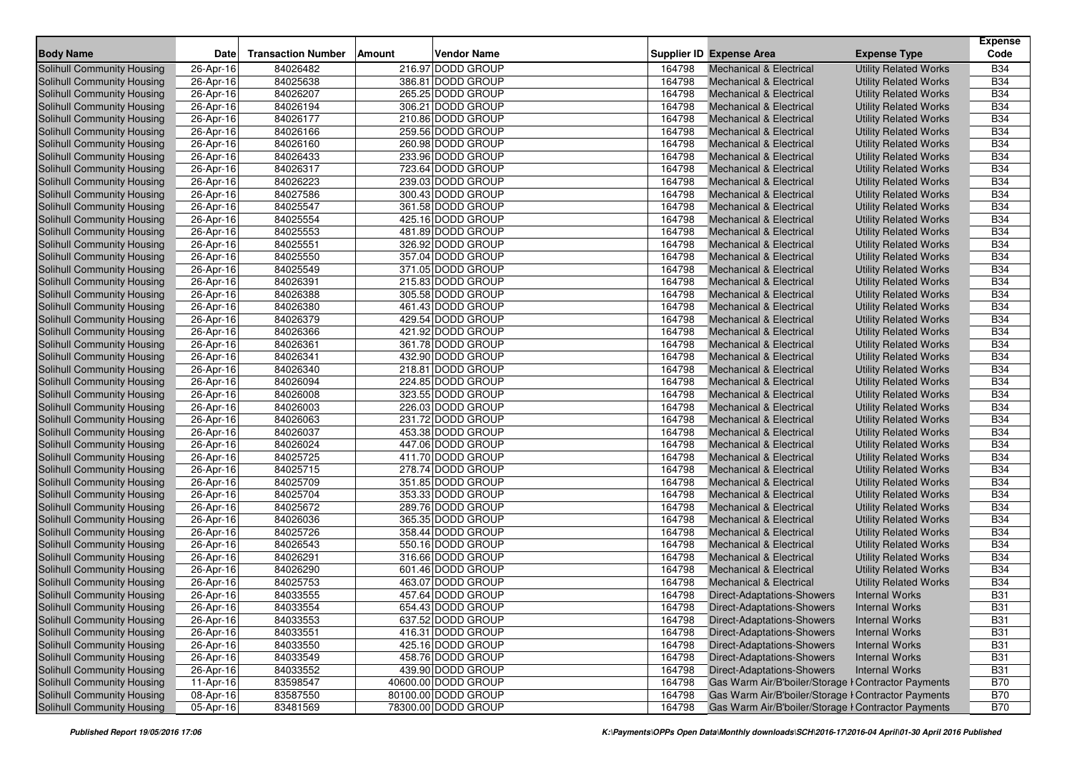| <b>Body Name</b>                                                | Date                   | <b>Transaction Number</b> | Amount | <b>Vendor Name</b>                     |                  | <b>Supplier ID Expense Area</b>                     | <b>Expense Type</b>          | <b>Expense</b><br>Code |
|-----------------------------------------------------------------|------------------------|---------------------------|--------|----------------------------------------|------------------|-----------------------------------------------------|------------------------------|------------------------|
| <b>Solihull Community Housing</b>                               |                        | 84026482                  |        | 216.97 DODD GROUP                      | 164798           | <b>Mechanical &amp; Electrical</b>                  | <b>Utility Related Works</b> | <b>B34</b>             |
| <b>Solihull Community Housing</b>                               | 26-Apr-16<br>26-Apr-16 | 84025638                  |        | 386.81 DODD GROUP                      | 164798           | <b>Mechanical &amp; Electrical</b>                  |                              | <b>B34</b>             |
|                                                                 |                        | 84026207                  |        | 265.25 DODD GROUP                      | 164798           | <b>Mechanical &amp; Electrical</b>                  | <b>Utility Related Works</b> | <b>B34</b>             |
| <b>Solihull Community Housing</b><br>Solihull Community Housing | 26-Apr-16              | 84026194                  |        | 306.21 DODD GROUP                      | 164798           | <b>Mechanical &amp; Electrical</b>                  | <b>Utility Related Works</b> | <b>B34</b>             |
|                                                                 | 26-Apr-16              | 84026177                  |        | 210.86 DODD GROUP                      | 164798           | <b>Mechanical &amp; Electrical</b>                  | <b>Utility Related Works</b> | <b>B34</b>             |
| Solihull Community Housing                                      | 26-Apr-16              | 84026166                  |        |                                        |                  |                                                     | <b>Utility Related Works</b> | <b>B34</b>             |
| Solihull Community Housing                                      | 26-Apr-16              |                           |        | 259.56 DODD GROUP                      | 164798           | <b>Mechanical &amp; Electrical</b>                  | <b>Utility Related Works</b> | <b>B34</b>             |
| Solihull Community Housing                                      | 26-Apr-16              | 84026160                  |        | 260.98 DODD GROUP                      | 164798           | <b>Mechanical &amp; Electrical</b>                  | <b>Utility Related Works</b> |                        |
| Solihull Community Housing                                      | 26-Apr-16              | 84026433                  |        | 233.96 DODD GROUP                      | 164798<br>164798 | <b>Mechanical &amp; Electrical</b>                  | <b>Utility Related Works</b> | <b>B34</b>             |
| Solihull Community Housing                                      | 26-Apr-16              | 84026317                  |        | 723.64 DODD GROUP<br>239.03 DODD GROUP |                  | Mechanical & Electrical                             | <b>Utility Related Works</b> | <b>B34</b>             |
| Solihull Community Housing                                      | 26-Apr-16              | 84026223                  |        |                                        | 164798           | <b>Mechanical &amp; Electrical</b>                  | <b>Utility Related Works</b> | <b>B34</b>             |
| Solihull Community Housing                                      | 26-Apr-16              | 84027586                  |        | 300.43 DODD GROUP                      | 164798           | <b>Mechanical &amp; Electrical</b>                  | <b>Utility Related Works</b> | <b>B34</b>             |
| Solihull Community Housing                                      | 26-Apr-16              | 84025547                  |        | 361.58 DODD GROUP                      | 164798           | <b>Mechanical &amp; Electrical</b>                  | <b>Utility Related Works</b> | <b>B34</b>             |
| <b>Solihull Community Housing</b>                               | 26-Apr-16              | 84025554                  |        | 425.16 DODD GROUP                      | 164798           | <b>Mechanical &amp; Electrical</b>                  | <b>Utility Related Works</b> | <b>B34</b>             |
| <b>Solihull Community Housing</b>                               | 26-Apr-16              | 84025553                  |        | 481.89 DODD GROUP                      | 164798           | <b>Mechanical &amp; Electrical</b>                  | <b>Utility Related Works</b> | <b>B34</b>             |
| Solihull Community Housing                                      | 26-Apr-16              | 84025551                  |        | 326.92 DODD GROUP                      | 164798           | Mechanical & Electrical                             | <b>Utility Related Works</b> | <b>B34</b>             |
| Solihull Community Housing                                      | 26-Apr-16              | 84025550                  |        | 357.04 DODD GROUP                      | 164798           | <b>Mechanical &amp; Electrical</b>                  | <b>Utility Related Works</b> | <b>B34</b>             |
| Solihull Community Housing                                      | 26-Apr-16              | 84025549                  |        | 371.05 DODD GROUP                      | 164798           | <b>Mechanical &amp; Electrical</b>                  | <b>Utility Related Works</b> | <b>B34</b>             |
| Solihull Community Housing                                      | 26-Apr-16              | 84026391                  |        | 215.83 DODD GROUP                      | 164798           | <b>Mechanical &amp; Electrical</b>                  | <b>Utility Related Works</b> | <b>B34</b>             |
| <b>Solihull Community Housing</b>                               | 26-Apr-16              | 84026388                  |        | 305.58 DODD GROUP                      | 164798           | <b>Mechanical &amp; Electrical</b>                  | <b>Utility Related Works</b> | <b>B34</b>             |
| Solihull Community Housing                                      | 26-Apr-16              | 84026380                  |        | 461.43 DODD GROUP                      | 164798           | <b>Mechanical &amp; Electrical</b>                  | <b>Utility Related Works</b> | <b>B34</b>             |
| Solihull Community Housing                                      | 26-Apr-16              | 84026379                  |        | 429.54 DODD GROUP                      | 164798           | <b>Mechanical &amp; Electrical</b>                  | <b>Utility Related Works</b> | <b>B34</b>             |
| Solihull Community Housing                                      | 26-Apr-16              | 84026366                  |        | 421.92 DODD GROUP                      | 164798           | <b>Mechanical &amp; Electrical</b>                  | <b>Utility Related Works</b> | <b>B34</b>             |
| Solihull Community Housing                                      | 26-Apr-16              | 84026361                  |        | 361.78 DODD GROUP                      | 164798           | <b>Mechanical &amp; Electrical</b>                  | <b>Utility Related Works</b> | <b>B34</b>             |
| Solihull Community Housing                                      | 26-Apr-16              | 84026341                  |        | 432.90 DODD GROUP                      | 164798           | <b>Mechanical &amp; Electrical</b>                  | <b>Utility Related Works</b> | <b>B34</b>             |
| <b>Solihull Community Housing</b>                               | 26-Apr-16              | 84026340                  |        | 218.81 DODD GROUP                      | 164798           | <b>Mechanical &amp; Electrical</b>                  | <b>Utility Related Works</b> | <b>B34</b>             |
| Solihull Community Housing                                      | 26-Apr-16              | 84026094                  |        | 224.85 DODD GROUP                      | 164798           | <b>Mechanical &amp; Electrical</b>                  | <b>Utility Related Works</b> | <b>B34</b>             |
| Solihull Community Housing                                      | 26-Apr-16              | 84026008                  |        | 323.55 DODD GROUP                      | 164798           | <b>Mechanical &amp; Electrical</b>                  | <b>Utility Related Works</b> | <b>B34</b>             |
| Solihull Community Housing                                      | 26-Apr-16              | 84026003                  |        | 226.03 DODD GROUP                      | 164798           | <b>Mechanical &amp; Electrical</b>                  | <b>Utility Related Works</b> | <b>B34</b>             |
| Solihull Community Housing                                      | 26-Apr-16              | 84026063                  |        | 231.72 DODD GROUP                      | 164798           | <b>Mechanical &amp; Electrical</b>                  | <b>Utility Related Works</b> | <b>B34</b>             |
| <b>Solihull Community Housing</b>                               | 26-Apr-16              | 84026037                  |        | 453.38 DODD GROUP                      | 164798           | Mechanical & Electrical                             | <b>Utility Related Works</b> | <b>B34</b>             |
| <b>Solihull Community Housing</b>                               | 26-Apr-16              | 84026024                  |        | 447.06 DODD GROUP                      | 164798           | <b>Mechanical &amp; Electrical</b>                  | <b>Utility Related Works</b> | <b>B34</b>             |
| Solihull Community Housing                                      | 26-Apr-16              | 84025725                  |        | 411.70 DODD GROUP                      | 164798           | <b>Mechanical &amp; Electrical</b>                  | <b>Utility Related Works</b> | <b>B34</b>             |
| Solihull Community Housing                                      | 26-Apr-16              | 84025715                  |        | 278.74 DODD GROUP                      | 164798           | <b>Mechanical &amp; Electrical</b>                  | <b>Utility Related Works</b> | <b>B34</b>             |
| Solihull Community Housing                                      | 26-Apr-16              | 84025709                  |        | 351.85 DODD GROUP                      | 164798           | <b>Mechanical &amp; Electrical</b>                  | <b>Utility Related Works</b> | <b>B34</b>             |
| Solihull Community Housing                                      | 26-Apr-16              | 84025704                  |        | 353.33 DODD GROUP                      | 164798           | <b>Mechanical &amp; Electrical</b>                  | <b>Utility Related Works</b> | <b>B34</b>             |
| <b>Solihull Community Housing</b>                               | 26-Apr-16              | 84025672                  |        | 289.76 DODD GROUP                      | 164798           | Mechanical & Electrical                             | <b>Utility Related Works</b> | <b>B34</b>             |
| Solihull Community Housing                                      | 26-Apr-16              | 84026036                  |        | 365.35 DODD GROUP                      | 164798           | Mechanical & Electrical                             | <b>Utility Related Works</b> | <b>B34</b>             |
| Solihull Community Housing                                      | 26-Apr-16              | 84025726                  |        | 358.44 DODD GROUP                      | 164798           | <b>Mechanical &amp; Electrical</b>                  | <b>Utility Related Works</b> | <b>B34</b>             |
| Solihull Community Housing                                      | 26-Apr-16              | 84026543                  |        | 550.16 DODD GROUP                      | 164798           | <b>Mechanical &amp; Electrical</b>                  | <b>Utility Related Works</b> | <b>B34</b>             |
| Solihull Community Housing                                      | 26-Apr-16              | 84026291                  |        | 316.66 DODD GROUP                      | 164798           | <b>Mechanical &amp; Electrical</b>                  | <b>Utility Related Works</b> | <b>B34</b>             |
| <b>Solihull Community Housing</b>                               | 26-Apr-16              | 84026290                  |        | 601.46 DODD GROUP                      | 164798           | <b>Mechanical &amp; Electrical</b>                  | <b>Utility Related Works</b> | <b>B34</b>             |
| <b>Solihull Community Housing</b>                               | 26-Apr-16              | 84025753                  |        | 463.07 DODD GROUP                      | 164798           | <b>Mechanical &amp; Electrical</b>                  | <b>Utility Related Works</b> | <b>B34</b>             |
| Solihull Community Housing                                      | 26-Apr-16              | 84033555                  |        | 457.64 DODD GROUP                      | 164798           | <b>Direct-Adaptations-Showers</b>                   | <b>Internal Works</b>        | <b>B31</b>             |
| Solihull Community Housing                                      | 26-Apr-16              | 84033554                  |        | 654.43 DODD GROUP                      | 164798           | <b>Direct-Adaptations-Showers</b>                   | <b>Internal Works</b>        | <b>B31</b>             |
| Solihull Community Housing                                      | 26-Apr-16              | 84033553                  |        | 637.52 DODD GROUP                      | 164798           | Direct-Adaptations-Showers                          | <b>Internal Works</b>        | <b>B31</b>             |
| Solihull Community Housing                                      | 26-Apr-16              | 84033551                  |        | 416.31 DODD GROUP                      | 164798           | <b>Direct-Adaptations-Showers</b>                   | <b>Internal Works</b>        | <b>B31</b>             |
| Solihull Community Housing                                      | 26-Apr-16              | 84033550                  |        | 425.16 DODD GROUP                      | 164798           | Direct-Adaptations-Showers                          | <b>Internal Works</b>        | <b>B31</b>             |
| Solihull Community Housing                                      | 26-Apr-16              | 84033549                  |        | 458.76 DODD GROUP                      | 164798           | <b>Direct-Adaptations-Showers</b>                   | <b>Internal Works</b>        | <b>B31</b>             |
| Solihull Community Housing                                      | 26-Apr-16              | 84033552                  |        | 439.90 DODD GROUP                      | 164798           | <b>Direct-Adaptations-Showers</b>                   | <b>Internal Works</b>        | <b>B31</b>             |
| Solihull Community Housing                                      | 11-Apr-16              | 83598547                  |        | 40600.00 DODD GROUP                    | 164798           | Gas Warm Air/B'boiler/Storage I Contractor Payments |                              | <b>B70</b>             |
| Solihull Community Housing                                      | 08-Apr-16              | 83587550                  |        | 80100.00 DODD GROUP                    | 164798           | Gas Warm Air/B'boiler/Storage I Contractor Payments |                              | <b>B70</b>             |
| Solihull Community Housing                                      | 05-Apr-16              | 83481569                  |        | 78300.00 DODD GROUP                    | 164798           | Gas Warm Air/B'boiler/Storage I Contractor Payments |                              | <b>B70</b>             |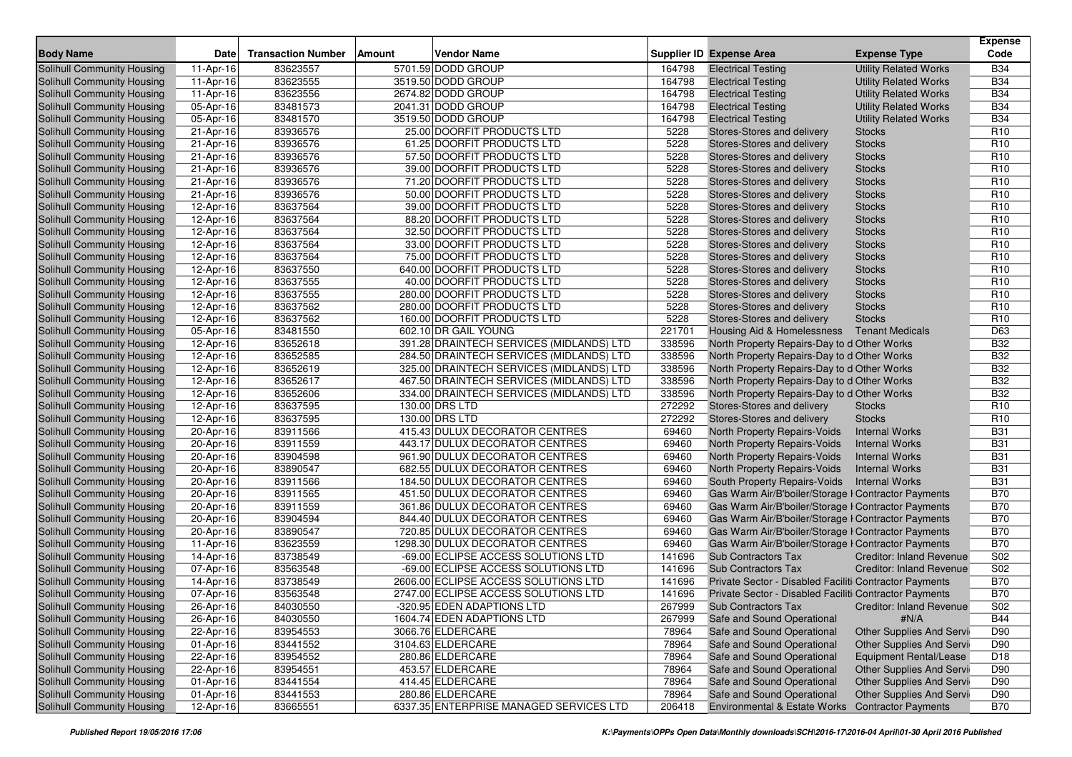| <b>Body Name</b>                  | Date      | <b>Transaction Number</b> | <b>Vendor Name</b><br>Amount             |        | <b>Supplier ID Expense Area</b><br><b>Expense Type</b>        | <b>Expense</b><br>Code |
|-----------------------------------|-----------|---------------------------|------------------------------------------|--------|---------------------------------------------------------------|------------------------|
| <b>Solihull Community Housing</b> | 11-Apr-16 | 83623557                  | 5701.59 DODD GROUP                       | 164798 | <b>Utility Related Works</b><br><b>Electrical Testing</b>     | <b>B34</b>             |
| Solihull Community Housing        | 11-Apr-16 | 83623555                  | 3519.50 DODD GROUP                       | 164798 | <b>Electrical Testing</b><br><b>Utility Related Works</b>     | <b>B34</b>             |
| Solihull Community Housing        | 11-Apr-16 | 83623556                  | 2674.82 DODD GROUP                       | 164798 | <b>Utility Related Works</b><br><b>Electrical Testing</b>     | <b>B34</b>             |
| <b>Solihull Community Housing</b> | 05-Apr-16 | 83481573                  | 2041.31 DODD GROUP                       | 164798 | <b>Electrical Testing</b><br><b>Utility Related Works</b>     | <b>B34</b>             |
| Solihull Community Housing        | 05-Apr-16 | 83481570                  | 3519.50 DODD GROUP                       | 164798 | <b>Electrical Testing</b><br><b>Utility Related Works</b>     | <b>B34</b>             |
| Solihull Community Housing        | 21-Apr-16 | 83936576                  | 25.00 DOORFIT PRODUCTS LTD               | 5228   | Stores-Stores and delivery<br><b>Stocks</b>                   | R <sub>10</sub>        |
| Solihull Community Housing        | 21-Apr-16 | 83936576                  | 61.25 DOORFIT PRODUCTS LTD               | 5228   | Stores-Stores and delivery<br><b>Stocks</b>                   | R <sub>10</sub>        |
| Solihull Community Housing        | 21-Apr-16 | 83936576                  | 57.50 DOORFIT PRODUCTS LTD               | 5228   | Stores-Stores and delivery<br><b>Stocks</b>                   | R <sub>10</sub>        |
| <b>Solihull Community Housing</b> | 21-Apr-16 | 83936576                  | 39.00 DOORFIT PRODUCTS LTD               | 5228   | Stores-Stores and delivery<br><b>Stocks</b>                   | R <sub>10</sub>        |
| Solihull Community Housing        | 21-Apr-16 | 83936576                  | 71.20 DOORFIT PRODUCTS LTD               | 5228   | Stores-Stores and delivery<br><b>Stocks</b>                   | R <sub>10</sub>        |
| Solihull Community Housing        | 21-Apr-16 | 83936576                  | 50.00 DOORFIT PRODUCTS LTD               | 5228   | Stores-Stores and delivery<br><b>Stocks</b>                   | R <sub>10</sub>        |
| <b>Solihull Community Housing</b> | 12-Apr-16 | 83637564                  | 39.00 DOORFIT PRODUCTS LTD               | 5228   | Stores-Stores and delivery<br><b>Stocks</b>                   | R <sub>10</sub>        |
| Solihull Community Housing        | 12-Apr-16 | 83637564                  | 88.20 DOORFIT PRODUCTS LTD               | 5228   | Stores-Stores and delivery<br><b>Stocks</b>                   | R <sub>10</sub>        |
| <b>Solihull Community Housing</b> | 12-Apr-16 | 83637564                  | 32.50 DOORFIT PRODUCTS LTD               | 5228   | Stores-Stores and delivery<br><b>Stocks</b>                   | R <sub>10</sub>        |
| <b>Solihull Community Housing</b> | 12-Apr-16 | 83637564                  | 33.00 DOORFIT PRODUCTS LTD               | 5228   | Stores-Stores and delivery<br><b>Stocks</b>                   | R <sub>10</sub>        |
| <b>Solihull Community Housing</b> | 12-Apr-16 | 83637564                  | 75.00 DOORFIT PRODUCTS LTD               | 5228   | Stores-Stores and delivery<br><b>Stocks</b>                   | R <sub>10</sub>        |
| Solihull Community Housing        | 12-Apr-16 | 83637550                  | 640.00 DOORFIT PRODUCTS LTD              | 5228   | Stores-Stores and delivery<br><b>Stocks</b>                   | R <sub>10</sub>        |
| <b>Solihull Community Housing</b> | 12-Apr-16 | 83637555                  | 40.00 DOORFIT PRODUCTS LTD               | 5228   | Stores-Stores and delivery<br><b>Stocks</b>                   | R <sub>10</sub>        |
| Solihull Community Housing        | 12-Apr-16 | 83637555                  | 280.00 DOORFIT PRODUCTS LTD              | 5228   | Stores-Stores and delivery<br><b>Stocks</b>                   | R <sub>10</sub>        |
| Solihull Community Housing        | 12-Apr-16 | 83637562                  | 280.00 DOORFIT PRODUCTS LTD              | 5228   | Stores-Stores and delivery<br><b>Stocks</b>                   | R <sub>10</sub>        |
| Solihull Community Housing        | 12-Apr-16 | 83637562                  | 160.00 DOORFIT PRODUCTS LTD              | 5228   | Stores-Stores and delivery<br><b>Stocks</b>                   | R <sub>10</sub>        |
| <b>Solihull Community Housing</b> | 05-Apr-16 | 83481550                  | 602.10 DR GAIL YOUNG                     | 221701 | Housing Aid & Homelessness Tenant Medicals                    | D63                    |
| Solihull Community Housing        | 12-Apr-16 | 83652618                  | 391.28 DRAINTECH SERVICES (MIDLANDS) LTD | 338596 | North Property Repairs-Day to d Other Works                   | <b>B32</b>             |
| Solihull Community Housing        | 12-Apr-16 | 83652585                  | 284.50 DRAINTECH SERVICES (MIDLANDS) LTD | 338596 | North Property Repairs-Day to d Other Works                   | <b>B32</b>             |
| Solihull Community Housing        | 12-Apr-16 | 83652619                  | 325.00 DRAINTECH SERVICES (MIDLANDS) LTD | 338596 | North Property Repairs-Day to d Other Works                   | <b>B32</b>             |
| <b>Solihull Community Housing</b> | 12-Apr-16 | 83652617                  | 467.50 DRAINTECH SERVICES (MIDLANDS) LTD | 338596 | North Property Repairs-Day to d Other Works                   | <b>B32</b>             |
| Solihull Community Housing        | 12-Apr-16 | 83652606                  | 334.00 DRAINTECH SERVICES (MIDLANDS) LTD | 338596 | North Property Repairs-Day to d Other Works                   | <b>B32</b>             |
| Solihull Community Housing        | 12-Apr-16 | 83637595                  | 130.00 DRS LTD                           | 272292 | Stores-Stores and delivery<br><b>Stocks</b>                   | R <sub>10</sub>        |
| Solihull Community Housing        | 12-Apr-16 | 83637595                  | 130.00 DRS LTD                           | 272292 | Stores-Stores and delivery<br><b>Stocks</b>                   | R <sub>10</sub>        |
| Solihull Community Housing        | 20-Apr-16 | 83911566                  | 415.43 DULUX DECORATOR CENTRES           | 69460  | North Property Repairs-Voids<br><b>Internal Works</b>         | <b>B31</b>             |
| <b>Solihull Community Housing</b> | 20-Apr-16 | 83911559                  | 443.17 DULUX DECORATOR CENTRES           | 69460  | North Property Repairs-Voids<br>Internal Works                | <b>B31</b>             |
| Solihull Community Housing        | 20-Apr-16 | 83904598                  | 961.90 DULUX DECORATOR CENTRES           | 69460  | North Property Repairs-Voids<br><b>Internal Works</b>         | <b>B31</b>             |
| Solihull Community Housing        | 20-Apr-16 | 83890547                  | 682.55 DULUX DECORATOR CENTRES           | 69460  | North Property Repairs-Voids<br><b>Internal Works</b>         | <b>B31</b>             |
| <b>Solihull Community Housing</b> | 20-Apr-16 | 83911566                  | 184.50 DULUX DECORATOR CENTRES           | 69460  | South Property Repairs-Voids<br><b>Internal Works</b>         | <b>B31</b>             |
| Solihull Community Housing        | 20-Apr-16 | 83911565                  | 451.50 DULUX DECORATOR CENTRES           | 69460  | Gas Warm Air/B'boiler/Storage I Contractor Payments           | <b>B70</b>             |
| Solihull Community Housing        | 20-Apr-16 | 83911559                  | 361.86 DULUX DECORATOR CENTRES           | 69460  | Gas Warm Air/B'boiler/Storage I Contractor Payments           | <b>B70</b>             |
| <b>Solihull Community Housing</b> | 20-Apr-16 | 83904594                  | 844.40 DULUX DECORATOR CENTRES           | 69460  | Gas Warm Air/B'boiler/Storage I Contractor Payments           | <b>B70</b>             |
| <b>Solihull Community Housing</b> | 20-Apr-16 | 83890547                  | 720.85 DULUX DECORATOR CENTRES           | 69460  | Gas Warm Air/B'boiler/Storage I Contractor Payments           | <b>B70</b>             |
| Solihull Community Housing        | 11-Apr-16 | 83623559                  | 1298.30 DULUX DECORATOR CENTRES          | 69460  | Gas Warm Air/B'boiler/Storage I Contractor Payments           | <b>B70</b>             |
| <b>Solihull Community Housing</b> | 14-Apr-16 | 83738549                  | -69.00 ECLIPSE ACCESS SOLUTIONS LTD      | 141696 | <b>Sub Contractors Tax</b><br><b>Creditor: Inland Revenue</b> | S02                    |
| Solihull Community Housing        | 07-Apr-16 | 83563548                  | -69.00 ECLIPSE ACCESS SOLUTIONS LTD      | 141696 | <b>Sub Contractors Tax</b><br><b>Creditor: Inland Revenue</b> | S <sub>02</sub>        |
| <b>Solihull Community Housing</b> | 14-Apr-16 | 83738549                  | 2606.00 ECLIPSE ACCESS SOLUTIONS LTD     | 141696 | Private Sector - Disabled Faciliti Contractor Payments        | B70                    |
| Solihull Community Housing        | 07-Apr-16 | 83563548                  | 2747.00 ECLIPSE ACCESS SOLUTIONS LTD     | 141696 | Private Sector - Disabled Faciliti Contractor Payments        | <b>B70</b>             |
| Solihull Community Housing        | 26-Apr-16 | 84030550                  | -320.95 EDEN ADAPTIONS LTD               | 267999 | Sub Contractors Tax Creditor: Inland Revenue                  | <b>S02</b>             |
| <b>Solihull Community Housing</b> | 26-Apr-16 | 84030550                  | 1604.74 EDEN ADAPTIONS LTD               | 267999 | Safe and Sound Operational<br>#N/A                            | <b>B44</b>             |
| Solihull Community Housing        | 22-Apr-16 | 83954553                  | 3066.76 ELDERCARE                        | 78964  | Safe and Sound Operational<br><b>Other Supplies And Servi</b> | D90                    |
| Solihull Community Housing        | 01-Apr-16 | 83441552                  | 3104.63 ELDERCARE                        | 78964  | Safe and Sound Operational<br>Other Supplies And Servi        | D90                    |
| Solihull Community Housing        | 22-Apr-16 | 83954552                  | 280.86 ELDERCARE                         | 78964  | Safe and Sound Operational<br><b>Equipment Rental/Lease</b>   | D18                    |
| Solihull Community Housing        | 22-Apr-16 | 83954551                  | 453.57 ELDERCARE                         | 78964  | Safe and Sound Operational<br>Other Supplies And Servi        | D90                    |
| Solihull Community Housing        | 01-Apr-16 | 83441554                  | 414.45 ELDERCARE                         | 78964  | Other Supplies And Servi<br>Safe and Sound Operational        | D90                    |
| Solihull Community Housing        | 01-Apr-16 | 83441553                  | 280.86 ELDERCARE                         | 78964  | Safe and Sound Operational<br><b>Other Supplies And Servi</b> | D90                    |
| <b>Solihull Community Housing</b> | 12-Apr-16 | 83665551                  | 6337.35 ENTERPRISE MANAGED SERVICES LTD  | 206418 | Environmental & Estate Works Contractor Payments              | <b>B70</b>             |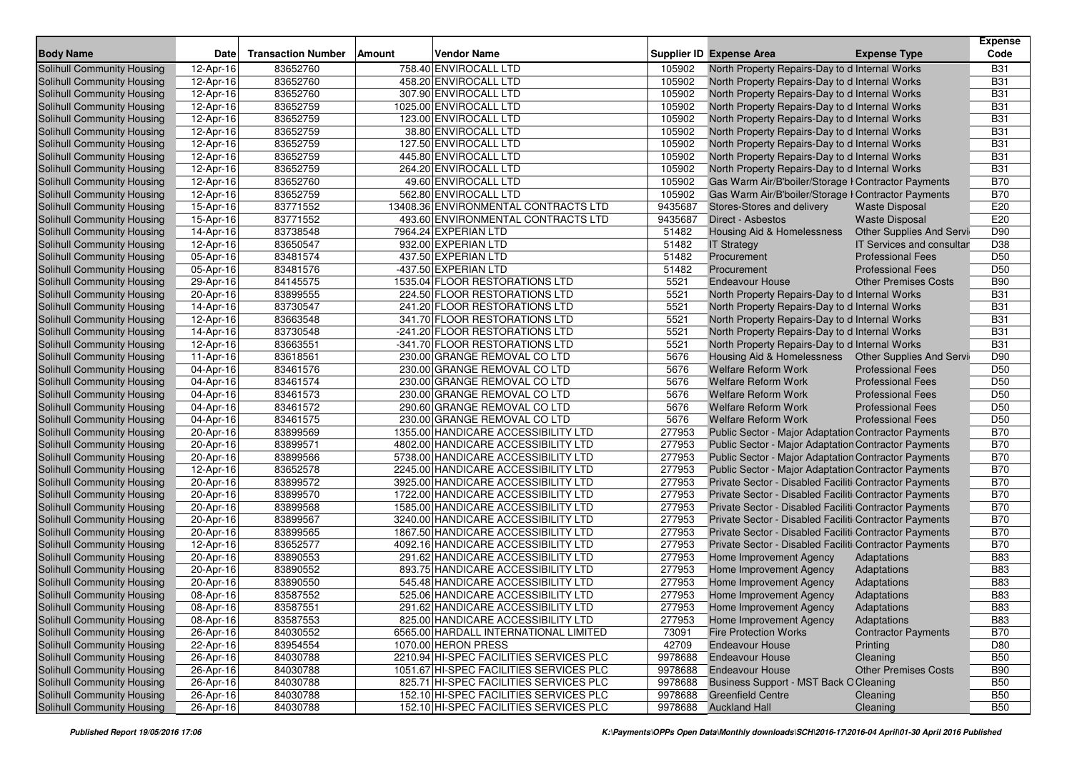| <b>Body Name</b>                  | <b>Date</b>             | <b>Transaction Number</b> | <b>Vendor Name</b><br>Amount            |         | <b>Supplier ID Expense Area</b>                             | <b>Expense Type</b>             | <b>Expense</b><br>Code |
|-----------------------------------|-------------------------|---------------------------|-----------------------------------------|---------|-------------------------------------------------------------|---------------------------------|------------------------|
| Solihull Community Housing        | 12-Apr-16               | 83652760                  | 758.40 ENVIROCALL LTD                   | 105902  | North Property Repairs-Day to d Internal Works              |                                 | <b>B31</b>             |
| <b>Solihull Community Housing</b> | 12-Apr-16               | 83652760                  | 458.20 ENVIROCALL LTD                   | 105902  | North Property Repairs-Day to d Internal Works              |                                 | <b>B31</b>             |
| Solihull Community Housing        | 12-Apr-16               | 83652760                  | 307.90 ENVIROCALL LTD                   | 105902  | North Property Repairs-Day to d Internal Works              |                                 | <b>B31</b>             |
| Solihull Community Housing        | 12-Apr-16               | 83652759                  | 1025.00 ENVIROCALL LTD                  | 105902  | North Property Repairs-Day to d Internal Works              |                                 | <b>B31</b>             |
| Solihull Community Housing        | 12-Apr-16               | 83652759                  | 123.00 ENVIROCALL LTD                   | 105902  | North Property Repairs-Day to d Internal Works              |                                 | <b>B31</b>             |
| Solihull Community Housing        | 12-Apr-16               | 83652759                  | 38.80 ENVIROCALL LTD                    | 105902  | North Property Repairs-Day to d Internal Works              |                                 | <b>B31</b>             |
| Solihull Community Housing        | 12-Apr-16               | 83652759                  | 127.50 ENVIROCALL LTD                   | 105902  | North Property Repairs-Day to d Internal Works              |                                 | <b>B31</b>             |
| Solihull Community Housing        | 12-Apr-16               | 83652759                  | 445.80 ENVIROCALL LTD                   | 105902  | North Property Repairs-Day to d Internal Works              |                                 | <b>B31</b>             |
| Solihull Community Housing        | 12-Apr-16               | 83652759                  | 264.20 ENVIROCALL LTD                   | 105902  | North Property Repairs-Day to d Internal Works              |                                 | <b>B31</b>             |
| Solihull Community Housing        | 12-Apr-16               | 83652760                  | 49.60 ENVIROCALL LTD                    | 105902  | Gas Warm Air/B'boiler/Storage I Contractor Payments         |                                 | <b>B70</b>             |
| Solihull Community Housing        | 12-Apr-16               | 83652759                  | 562.80 ENVIROCALL LTD                   | 105902  | Gas Warm Air/B'boiler/Storage I Contractor Payments         |                                 | <b>B70</b>             |
| Solihull Community Housing        | 15-Apr-16               | 83771552                  | 13408.36 ENVIRONMENTAL CONTRACTS LTD    | 9435687 | Stores-Stores and delivery                                  | <b>Waste Disposal</b>           | E20                    |
| Solihull Community Housing        | 15-Apr-16               | 83771552                  | 493.60 ENVIRONMENTAL CONTRACTS LTD      | 9435687 | Direct - Asbestos                                           | <b>Waste Disposal</b>           | E20                    |
| Solihull Community Housing        | 14-Apr-16               | 83738548                  | 7964.24 EXPERIAN LTD                    | 51482   | Housing Aid & Homelessness                                  | <b>Other Supplies And Servi</b> | D90                    |
| Solihull Community Housing        | 12-Apr-16               | 83650547                  | 932.00 EXPERIAN LTD                     | 51482   | <b>IT Strategy</b>                                          | IT Services and consultar       | D38                    |
| Solihull Community Housing        | 05-Apr-16               | 83481574                  | 437.50 EXPERIAN LTD                     | 51482   | Procurement                                                 | <b>Professional Fees</b>        | D <sub>50</sub>        |
| Solihull Community Housing        | 05-Apr-16               | 83481576                  | -437.50 EXPERIAN LTD                    | 51482   | Procurement                                                 | <b>Professional Fees</b>        | D <sub>50</sub>        |
| Solihull Community Housing        | 29-Apr-16               | 84145575                  | 1535.04 FLOOR RESTORATIONS LTD          | 5521    | <b>Endeavour House</b>                                      | <b>Other Premises Costs</b>     | <b>B90</b>             |
| Solihull Community Housing        | 20-Apr-16               | 83899555                  | 224.50 FLOOR RESTORATIONS LTD           | 5521    | North Property Repairs-Day to d Internal Works              |                                 | <b>B31</b>             |
| Solihull Community Housing        | $\overline{14}$ -Apr-16 | 83730547                  | 241.20 FLOOR RESTORATIONS LTD           | 5521    | North Property Repairs-Day to d Internal Works              |                                 | <b>B31</b>             |
| Solihull Community Housing        | 12-Apr-16               | 83663548                  | 341.70 FLOOR RESTORATIONS LTD           | 5521    | North Property Repairs-Day to d Internal Works              |                                 | <b>B31</b>             |
| Solihull Community Housing        | 14-Apr-16               | 83730548                  | -241.20 FLOOR RESTORATIONS LTD          | 5521    | North Property Repairs-Day to d Internal Works              |                                 | <b>B31</b>             |
| Solihull Community Housing        | 12-Apr-16               | 83663551                  | -341.70 FLOOR RESTORATIONS LTD          | 5521    | North Property Repairs-Day to d Internal Works              |                                 | <b>B31</b>             |
| Solihull Community Housing        | 11-Apr-16               | 83618561                  | 230.00 GRANGE REMOVAL CO LTD            | 5676    | Housing Aid & Homelessness                                  | <b>Other Supplies And Servi</b> | D90                    |
| Solihull Community Housing        | 04-Apr-16               | 83461576                  | 230.00 GRANGE REMOVAL CO LTD            | 5676    | <b>Welfare Reform Work</b>                                  | <b>Professional Fees</b>        | D <sub>50</sub>        |
| Solihull Community Housing        | 04-Apr-16               | 83461574                  | 230.00 GRANGE REMOVAL CO LTD            | 5676    | Welfare Reform Work                                         | <b>Professional Fees</b>        | D <sub>50</sub>        |
| Solihull Community Housing        | 04-Apr-16               | 83461573                  | 230.00 GRANGE REMOVAL CO LTD            | 5676    | <b>Welfare Reform Work</b>                                  | <b>Professional Fees</b>        | D <sub>50</sub>        |
| Solihull Community Housing        | 04-Apr-16               | 83461572                  | 290.60 GRANGE REMOVAL CO LTD            | 5676    | <b>Welfare Reform Work</b>                                  | <b>Professional Fees</b>        | D <sub>50</sub>        |
| Solihull Community Housing        | 04-Apr-16               | 83461575                  | 230.00 GRANGE REMOVAL CO LTD            | 5676    | <b>Welfare Reform Work</b>                                  | <b>Professional Fees</b>        | D <sub>50</sub>        |
| Solihull Community Housing        | 20-Apr-16               | 83899569                  | 1355.00 HANDICARE ACCESSIBILITY LTD     | 277953  | Public Sector - Major Adaptation Contractor Payments        |                                 | <b>B70</b>             |
| Solihull Community Housing        | 20-Apr-16               | 83899571                  | 4802.00 HANDICARE ACCESSIBILITY LTD     | 277953  | <b>Public Sector - Major Adaptation Contractor Payments</b> |                                 | <b>B70</b>             |
| Solihull Community Housing        | 20-Apr-16               | 83899566                  | 5738.00 HANDICARE ACCESSIBILITY LTD     | 277953  | Public Sector - Major Adaptation Contractor Payments        |                                 | <b>B70</b>             |
| Solihull Community Housing        | 12-Apr-16               | 83652578                  | 2245.00 HANDICARE ACCESSIBILITY LTD     | 277953  | Public Sector - Major Adaptation Contractor Payments        |                                 | <b>B70</b>             |
| Solihull Community Housing        | 20-Apr-16               | 83899572                  | 3925.00 HANDICARE ACCESSIBILITY LTD     | 277953  | Private Sector - Disabled Faciliti Contractor Payments      |                                 | <b>B70</b>             |
| Solihull Community Housing        | 20-Apr-16               | 83899570                  | 1722.00 HANDICARE ACCESSIBILITY LTD     | 277953  | Private Sector - Disabled Faciliti Contractor Payments      |                                 | <b>B70</b>             |
| Solihull Community Housing        | 20-Apr-16               | 83899568                  | 1585.00 HANDICARE ACCESSIBILITY LTD     | 277953  | Private Sector - Disabled Faciliti Contractor Payments      |                                 | <b>B70</b>             |
| Solihull Community Housing        | 20-Apr-16               | 83899567                  | 3240.00 HANDICARE ACCESSIBILITY LTD     | 277953  | Private Sector - Disabled Faciliti Contractor Payments      |                                 | <b>B70</b>             |
| Solihull Community Housing        | 20-Apr-16               | 83899565                  | 1867.50 HANDICARE ACCESSIBILITY LTD     | 277953  | Private Sector - Disabled Faciliti Contractor Payments      |                                 | <b>B70</b>             |
| Solihull Community Housing        | 12-Apr-16               | 83652577                  | 4092.16 HANDICARE ACCESSIBILITY LTD     | 277953  | Private Sector - Disabled Faciliti Contractor Payments      |                                 | <b>B70</b>             |
| Solihull Community Housing        | 20-Apr-16               | 83890553                  | 291.62 HANDICARE ACCESSIBILITY LTD      | 277953  | Home Improvement Agency                                     | Adaptations                     | <b>B83</b>             |
| Solihull Community Housing        | 20-Apr-16               | 83890552                  | 893.75 HANDICARE ACCESSIBILITY LTD      | 277953  | Home Improvement Agency                                     | Adaptations                     | <b>B83</b>             |
| Solihull Community Housing        | 20-Apr-16               | 83890550                  | 545.48 HANDICARE ACCESSIBILITY LTD      | 277953  | Home Improvement Agency                                     | Adaptations                     | <b>B83</b>             |
| Solihull Community Housing        | 08-Apr-16               | 83587552                  | 525.06 HANDICARE ACCESSIBILITY LTD      | 277953  | Home Improvement Agency                                     | Adaptations                     | <b>B83</b>             |
| Solihull Community Housing        | 08-Apr-16               | 83587551                  | 291.62 HANDICARE ACCESSIBILITY LTD      | 277953  | Home Improvement Agency                                     | Adaptations                     | <b>B83</b>             |
| Solihull Community Housing        | 08-Apr-16               | 83587553                  | 825.00 HANDICARE ACCESSIBILITY LTD      | 277953  | Home Improvement Agency                                     | Adaptations                     | <b>B83</b>             |
| Solihull Community Housing        | 26-Apr-16               | 84030552                  | 6565.00 HARDALL INTERNATIONAL LIMITED   | 73091   | <b>Fire Protection Works</b>                                | <b>Contractor Payments</b>      | <b>B70</b>             |
| Solihull Community Housing        | $\overline{22}$ -Apr-16 | 83954554                  | 1070.00 HERON PRESS                     | 42709   | <b>Endeavour House</b>                                      | Printing                        | D80                    |
| Solihull Community Housing        | $26 - Apr - 16$         | 84030788                  | 2210.94 HI-SPEC FACILITIES SERVICES PLC | 9978688 | <b>Endeavour House</b>                                      | Cleaning                        | <b>B50</b>             |
| Solihull Community Housing        | 26-Apr-16               | 84030788                  | 1051.67 HI-SPEC FACILITIES SERVICES PLC | 9978688 | <b>Endeavour House</b>                                      | <b>Other Premises Costs</b>     | <b>B90</b>             |
| Solihull Community Housing        | 26-Apr-16               | 84030788                  | 825.71 HI-SPEC FACILITIES SERVICES PLC  | 9978688 | Business Support - MST Back O Cleaning                      |                                 | <b>B50</b>             |
| Solihull Community Housing        | 26-Apr-16               | 84030788                  | 152.10 HI-SPEC FACILITIES SERVICES PLC  | 9978688 | <b>Greenfield Centre</b>                                    | Cleaning                        | <b>B50</b>             |
| Solihull Community Housing        | 26-Apr-16               | 84030788                  | 152.10 HI-SPEC FACILITIES SERVICES PLC  | 9978688 | <b>Auckland Hall</b>                                        | Cleaning                        | <b>B50</b>             |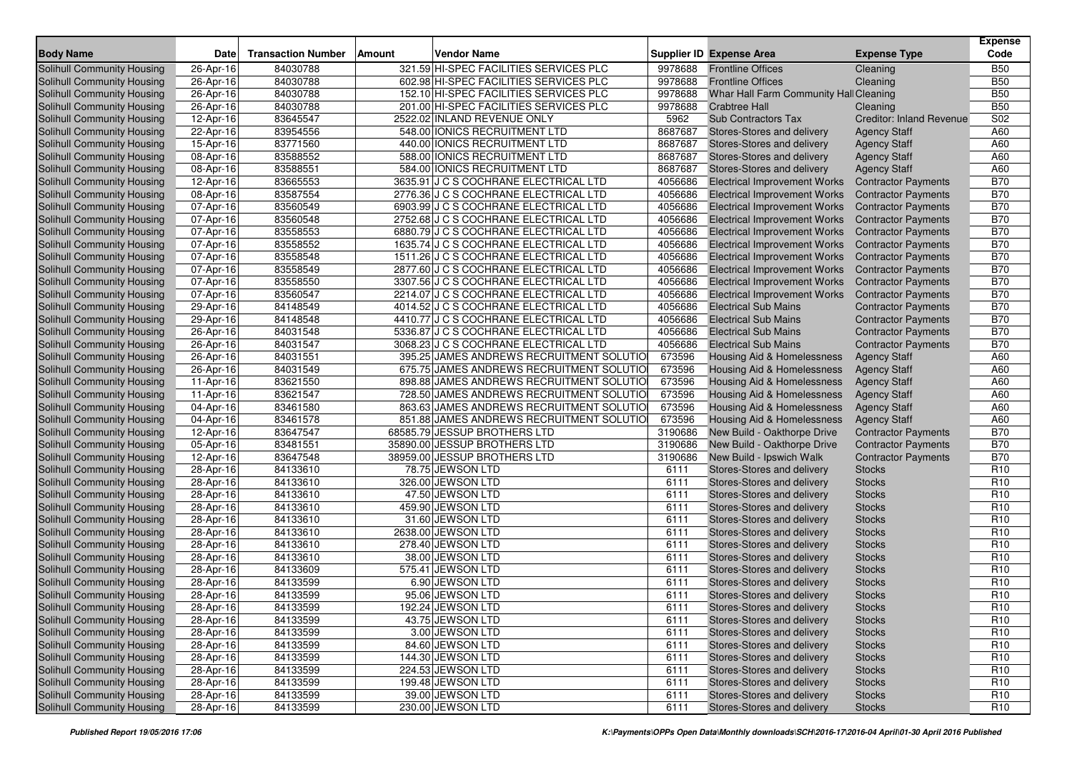|                                   |                 |                           |        |                                          |         |                                        |                                 | <b>Expense</b>  |
|-----------------------------------|-----------------|---------------------------|--------|------------------------------------------|---------|----------------------------------------|---------------------------------|-----------------|
| <b>Body Name</b>                  | <b>Date</b>     | <b>Transaction Number</b> | Amount | <b>Vendor Name</b>                       |         | <b>Supplier ID Expense Area</b>        | <b>Expense Type</b>             | Code            |
| <b>Solihull Community Housing</b> | 26-Apr-16       | 84030788                  |        | 321.59 HI-SPEC FACILITIES SERVICES PLC   | 9978688 | <b>Frontline Offices</b>               | Cleaning                        | <b>B50</b>      |
| Solihull Community Housing        | 26-Apr-16       | 84030788                  |        | 602.98 HI-SPEC FACILITIES SERVICES PLC   | 9978688 | <b>Frontline Offices</b>               | Cleaning                        | <b>B50</b>      |
| Solihull Community Housing        | 26-Apr-16       | 84030788                  |        | 152.10 HI-SPEC FACILITIES SERVICES PLC   | 9978688 | Whar Hall Farm Community Hall Cleaning |                                 | <b>B50</b>      |
| Solihull Community Housing        | 26-Apr-16       | 84030788                  |        | 201.00 HI-SPEC FACILITIES SERVICES PLC   | 9978688 | <b>Crabtree Hall</b>                   | Cleaning                        | <b>B50</b>      |
| Solihull Community Housing        | 12-Apr-16       | 83645547                  |        | 2522.02 INLAND REVENUE ONLY              | 5962    | <b>Sub Contractors Tax</b>             | <b>Creditor: Inland Revenue</b> | S02             |
| Solihull Community Housing        | 22-Apr-16       | 83954556                  |        | 548.00 IONICS RECRUITMENT LTD            | 8687687 | Stores-Stores and delivery             | <b>Agency Staff</b>             | A60             |
| Solihull Community Housing        | 15-Apr-16       | 83771560                  |        | 440.00 IONICS RECRUITMENT LTD            | 8687687 | Stores-Stores and delivery             | <b>Agency Staff</b>             | A60             |
| Solihull Community Housing        | 08-Apr-16       | 83588552                  |        | 588.00 IONICS RECRUITMENT LTD            | 8687687 | Stores-Stores and delivery             | <b>Agency Staff</b>             | A60             |
| Solihull Community Housing        | 08-Apr-16       | 83588551                  |        | 584.00 IONICS RECRUITMENT LTD            | 8687687 | Stores-Stores and delivery             | <b>Agency Staff</b>             | A60             |
| Solihull Community Housing        | 12-Apr-16       | 83665553                  |        | 3635.91 J C S COCHRANE ELECTRICAL LTD    | 4056686 | <b>Electrical Improvement Works</b>    | <b>Contractor Payments</b>      | <b>B70</b>      |
| Solihull Community Housing        | 08-Apr-16       | 83587554                  |        | 2776.36 J C S COCHRANE ELECTRICAL LTD    | 4056686 | <b>Electrical Improvement Works</b>    | <b>Contractor Payments</b>      | <b>B70</b>      |
| Solihull Community Housing        | 07-Apr-16       | 83560549                  |        | 6903.99 J C S COCHRANE ELECTRICAL LTD    | 4056686 | <b>Electrical Improvement Works</b>    | <b>Contractor Payments</b>      | <b>B70</b>      |
| Solihull Community Housing        | 07-Apr-16       | 83560548                  |        | 2752.68 J C S COCHRANE ELECTRICAL LTD    | 4056686 | <b>Electrical Improvement Works</b>    | <b>Contractor Payments</b>      | <b>B70</b>      |
| Solihull Community Housing        | 07-Apr-16       | 83558553                  |        | 6880.79 J C S COCHRANE ELECTRICAL LTD    | 4056686 | <b>Electrical Improvement Works</b>    | <b>Contractor Payments</b>      | <b>B70</b>      |
| Solihull Community Housing        | 07-Apr-16       | 83558552                  |        | 1635.74 J C S COCHRANE ELECTRICAL LTD    | 4056686 | <b>Electrical Improvement Works</b>    | <b>Contractor Payments</b>      | <b>B70</b>      |
| Solihull Community Housing        | 07-Apr-16       | 83558548                  |        | 1511.26 J C S COCHRANE ELECTRICAL LTD    | 4056686 | <b>Electrical Improvement Works</b>    | <b>Contractor Payments</b>      | <b>B70</b>      |
| Solihull Community Housing        | 07-Apr-16       | 83558549                  |        | 2877.60 J C S COCHRANE ELECTRICAL LTD    | 4056686 | <b>Electrical Improvement Works</b>    | <b>Contractor Payments</b>      | <b>B70</b>      |
| Solihull Community Housing        | 07-Apr-16       | 83558550                  |        | 3307.56 J C S COCHRANE ELECTRICAL LTD    | 4056686 | <b>Electrical Improvement Works</b>    | <b>Contractor Payments</b>      | <b>B70</b>      |
| Solihull Community Housing        | 07-Apr-16       | 83560547                  |        | 2214.07 J C S COCHRANE ELECTRICAL LTD    | 4056686 | <b>Electrical Improvement Works</b>    | <b>Contractor Payments</b>      | <b>B70</b>      |
| Solihull Community Housing        | 29-Apr-16       | 84148549                  |        | 4014.52 J C S COCHRANE ELECTRICAL LTD    | 4056686 | <b>Electrical Sub Mains</b>            | <b>Contractor Payments</b>      | <b>B70</b>      |
| Solihull Community Housing        | 29-Apr-16       | 84148548                  |        | 4410.77 J C S COCHRANE ELECTRICAL LTD    | 4056686 | <b>Electrical Sub Mains</b>            | <b>Contractor Payments</b>      | <b>B70</b>      |
| Solihull Community Housing        | 26-Apr-16       | 84031548                  |        | 5336.87 J C S COCHRANE ELECTRICAL LTD    | 4056686 | <b>Electrical Sub Mains</b>            | <b>Contractor Payments</b>      | <b>B70</b>      |
| Solihull Community Housing        | 26-Apr-16       | 84031547                  |        | 3068.23 J C S COCHRANE ELECTRICAL LTD    | 4056686 | <b>Electrical Sub Mains</b>            | <b>Contractor Payments</b>      | <b>B70</b>      |
| Solihull Community Housing        | 26-Apr-16       | 84031551                  |        | 395.25 JAMES ANDREWS RECRUITMENT SOLUTIO | 673596  | Housing Aid & Homelessness             | <b>Agency Staff</b>             | A60             |
| Solihull Community Housing        | 26-Apr-16       | 84031549                  |        | 675.75 JAMES ANDREWS RECRUITMENT SOLUTIO | 673596  | <b>Housing Aid &amp; Homelessness</b>  | <b>Agency Staff</b>             | A60             |
| Solihull Community Housing        | 11-Apr-16       | 83621550                  |        | 898.88 JAMES ANDREWS RECRUITMENT SOLUTIO | 673596  | Housing Aid & Homelessness             | <b>Agency Staff</b>             | A60             |
| Solihull Community Housing        | 11-Apr-16       | 83621547                  |        | 728.50 JAMES ANDREWS RECRUITMENT SOLUTIO | 673596  | <b>Housing Aid &amp; Homelessness</b>  | <b>Agency Staff</b>             | A60             |
| Solihull Community Housing        | 04-Apr-16       | 83461580                  |        | 863.63 JAMES ANDREWS RECRUITMENT SOLUTIO | 673596  | Housing Aid & Homelessness             | <b>Agency Staff</b>             | A60             |
| Solihull Community Housing        | 04-Apr-16       | 83461578                  |        | 851.88 JAMES ANDREWS RECRUITMENT SOLUTIO | 673596  | Housing Aid & Homelessness             | <b>Agency Staff</b>             | A60             |
| Solihull Community Housing        | 12-Apr-16       | 83647547                  |        | 68585.79 JESSUP BROTHERS LTD             | 3190686 | New Build - Oakthorpe Drive            | <b>Contractor Payments</b>      | <b>B70</b>      |
| Solihull Community Housing        | 05-Apr-16       | 83481551                  |        | 35890.00 JESSUP BROTHERS LTD             | 3190686 | New Build - Oakthorpe Drive            | <b>Contractor Payments</b>      | <b>B70</b>      |
| Solihull Community Housing        | 12-Apr-16       | 83647548                  |        | 38959.00 JESSUP BROTHERS LTD             | 3190686 | New Build - Ipswich Walk               | <b>Contractor Payments</b>      | <b>B70</b>      |
| Solihull Community Housing        | 28-Apr-16       | 84133610                  |        | 78.75 JEWSON LTD                         | 6111    | Stores-Stores and delivery             | <b>Stocks</b>                   | R <sub>10</sub> |
| Solihull Community Housing        | 28-Apr-16       | 84133610                  |        | 326.00 JEWSON LTD                        | 6111    | Stores-Stores and delivery             | <b>Stocks</b>                   | R <sub>10</sub> |
| Solihull Community Housing        | 28-Apr-16       | 84133610                  |        | 47.50 JEWSON LTD                         | 6111    | Stores-Stores and delivery             | <b>Stocks</b>                   | R <sub>10</sub> |
| Solihull Community Housing        | 28-Apr-16       | 84133610                  |        | 459.90 JEWSON LTD                        | 6111    | Stores-Stores and delivery             | <b>Stocks</b>                   | R <sub>10</sub> |
| <b>Solihull Community Housing</b> | 28-Apr-16       | 84133610                  |        | 31.60 JEWSON LTD                         | 6111    | Stores-Stores and delivery             | <b>Stocks</b>                   | R <sub>10</sub> |
| Solihull Community Housing        | 28-Apr-16       | 84133610                  |        | 2638.00 JEWSON LTD                       | 6111    | Stores-Stores and delivery             | <b>Stocks</b>                   | R <sub>10</sub> |
| Solihull Community Housing        | 28-Apr-16       | 84133610                  |        | 278.40 JEWSON LTD                        | 6111    | Stores-Stores and delivery             | <b>Stocks</b>                   | R <sub>10</sub> |
| Solihull Community Housing        | $28 - Apr - 16$ | 84133610                  |        | 38.00 JEWSON LTD                         | 6111    | Stores-Stores and delivery             | <b>Stocks</b>                   | R <sub>10</sub> |
| Solihull Community Housing        | 28-Apr-16       | 84133609                  |        | 575.41 JEWSON LTD                        | 6111    | Stores-Stores and delivery             | <b>Stocks</b>                   | R <sub>10</sub> |
| Solihull Community Housing        | 28-Apr-16       | 84133599                  |        | 6.90 JEWSON LTD                          | 6111    | Stores-Stores and delivery             | <b>Stocks</b>                   | R <sub>10</sub> |
| Solihull Community Housing        | 28-Apr-16       | 84133599                  |        | 95.06 JEWSON LTD                         | 6111    | Stores-Stores and delivery             | <b>Stocks</b>                   | R <sub>10</sub> |
| Solihull Community Housing        | 28-Apr-16       | 84133599                  |        | 192.24 JEWSON LTD                        | 6111    | Stores-Stores and delivery             | <b>Stocks</b>                   | R <sub>10</sub> |
| Solihull Community Housing        | 28-Apr-16       | 84133599                  |        | 43.75 JEWSON LTD                         | 6111    | Stores-Stores and delivery             | <b>Stocks</b>                   | R <sub>10</sub> |
| Solihull Community Housing        | 28-Apr-16       | 84133599                  |        | 3.00 JEWSON LTD                          | 6111    | Stores-Stores and delivery             | <b>Stocks</b>                   | R <sub>10</sub> |
| Solihull Community Housing        | 28-Apr-16       | 84133599                  |        | 84.60 JEWSON LTD                         | 6111    | Stores-Stores and delivery             | <b>Stocks</b>                   | R <sub>10</sub> |
| Solihull Community Housing        | 28-Apr-16       | 84133599                  |        | 144.30 JEWSON LTD                        | 6111    | Stores-Stores and delivery             | <b>Stocks</b>                   | R <sub>10</sub> |
| Solihull Community Housing        | 28-Apr-16       | 84133599                  |        | 224.53 JEWSON LTD                        | 6111    | Stores-Stores and delivery             | <b>Stocks</b>                   | R <sub>10</sub> |
| Solihull Community Housing        | 28-Apr-16       | 84133599                  |        | 199.48 JEWSON LTD                        | 6111    | Stores-Stores and delivery             | <b>Stocks</b>                   | R <sub>10</sub> |
| Solihull Community Housing        | 28-Apr-16       | 84133599                  |        | 39.00 JEWSON LTD                         | 6111    | Stores-Stores and delivery             | <b>Stocks</b>                   | R <sub>10</sub> |
| Solihull Community Housing        | 28-Apr-16       | 84133599                  |        | 230.00 JEWSON LTD                        | 6111    | Stores-Stores and delivery             | <b>Stocks</b>                   | R <sub>10</sub> |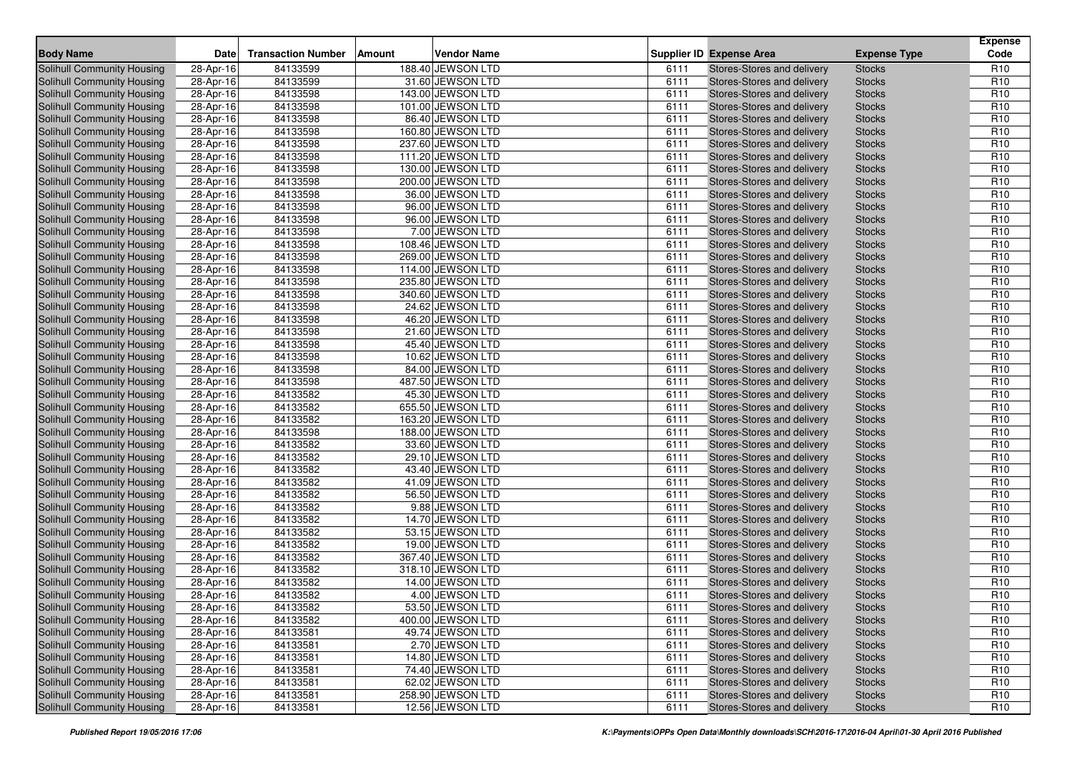| <b>Body Name</b>                  | <b>Date</b>             | <b>Transaction Number</b> | <b>Amount</b> | <b>Vendor Name</b> |      | <b>Supplier ID Expense Area</b> | <b>Expense Type</b> | <b>Expense</b><br>Code |
|-----------------------------------|-------------------------|---------------------------|---------------|--------------------|------|---------------------------------|---------------------|------------------------|
| <b>Solihull Community Housing</b> | 28-Apr-16               | 84133599                  |               | 188.40 JEWSON LTD  | 6111 | Stores-Stores and delivery      | <b>Stocks</b>       | R <sub>10</sub>        |
| Solihull Community Housing        | 28-Apr-16               | 84133599                  |               | 31.60 JEWSON LTD   | 6111 | Stores-Stores and delivery      | <b>Stocks</b>       | R <sub>10</sub>        |
| Solihull Community Housing        | 28-Apr-16               | 84133598                  |               | 143.00 JEWSON LTD  | 6111 | Stores-Stores and delivery      | <b>Stocks</b>       | R <sub>10</sub>        |
| <b>Solihull Community Housing</b> | 28-Apr-16               | 84133598                  |               | 101.00 JEWSON LTD  | 6111 | Stores-Stores and delivery      | <b>Stocks</b>       | R <sub>10</sub>        |
| Solihull Community Housing        | 28-Apr-16               | 84133598                  |               | 86.40 JEWSON LTD   | 6111 | Stores-Stores and delivery      | <b>Stocks</b>       | R <sub>10</sub>        |
| Solihull Community Housing        | 28-Apr-16               | 84133598                  |               | 160.80 JEWSON LTD  | 6111 | Stores-Stores and delivery      | <b>Stocks</b>       | R <sub>10</sub>        |
| Solihull Community Housing        | 28-Apr-16               | 84133598                  |               | 237.60 JEWSON LTD  | 6111 | Stores-Stores and delivery      | <b>Stocks</b>       | R <sub>10</sub>        |
| Solihull Community Housing        | 28-Apr-16               | 84133598                  |               | 111.20 JEWSON LTD  | 6111 | Stores-Stores and delivery      | <b>Stocks</b>       | R <sub>10</sub>        |
| Solihull Community Housing        | 28-Apr-16               | 84133598                  |               | 130.00 JEWSON LTD  | 6111 | Stores-Stores and delivery      | <b>Stocks</b>       | R <sub>10</sub>        |
| <b>Solihull Community Housing</b> | 28-Apr-16               | 84133598                  |               | 200.00 JEWSON LTD  | 6111 | Stores-Stores and delivery      | <b>Stocks</b>       | R <sub>10</sub>        |
| Solihull Community Housing        | 28-Apr-16               | 84133598                  |               | 36.00 JEWSON LTD   | 6111 | Stores-Stores and delivery      | <b>Stocks</b>       | R <sub>10</sub>        |
| Solihull Community Housing        | 28-Apr-16               | 84133598                  |               | 96.00 JEWSON LTD   | 6111 | Stores-Stores and delivery      | <b>Stocks</b>       | R <sub>10</sub>        |
| Solihull Community Housing        | 28-Apr-16               | 84133598                  |               | 96.00 JEWSON LTD   | 6111 | Stores-Stores and delivery      | <b>Stocks</b>       | R <sub>10</sub>        |
| Solihull Community Housing        | 28-Apr-16               | 84133598                  |               | 7.00 JEWSON LTD    | 6111 | Stores-Stores and delivery      | <b>Stocks</b>       | R <sub>10</sub>        |
| <b>Solihull Community Housing</b> | 28-Apr-16               | 84133598                  |               | 108.46 JEWSON LTD  | 6111 | Stores-Stores and delivery      | <b>Stocks</b>       | R <sub>10</sub>        |
| Solihull Community Housing        | 28-Apr-16               | 84133598                  |               | 269.00 JEWSON LTD  | 6111 | Stores-Stores and delivery      | <b>Stocks</b>       | R <sub>10</sub>        |
| Solihull Community Housing        | 28-Apr-16               | 84133598                  |               | 114.00 JEWSON LTD  | 6111 | Stores-Stores and delivery      | <b>Stocks</b>       | R <sub>10</sub>        |
| <b>Solihull Community Housing</b> | 28-Apr-16               | 84133598                  |               | 235.80 JEWSON LTD  | 6111 | Stores-Stores and delivery      | <b>Stocks</b>       | R <sub>10</sub>        |
| Solihull Community Housing        | 28-Apr-16               | 84133598                  |               | 340.60 JEWSON LTD  | 6111 | Stores-Stores and delivery      | <b>Stocks</b>       | R <sub>10</sub>        |
| Solihull Community Housing        | 28-Apr-16               | 84133598                  |               | 24.62 JEWSON LTD   | 6111 | Stores-Stores and delivery      | <b>Stocks</b>       | R <sub>10</sub>        |
| Solihull Community Housing        | 28-Apr-16               | 84133598                  |               | 46.20 JEWSON LTD   | 6111 | Stores-Stores and delivery      | <b>Stocks</b>       | R <sub>10</sub>        |
| Solihull Community Housing        | 28-Apr-16               | 84133598                  |               | 21.60 JEWSON LTD   | 6111 | Stores-Stores and delivery      | <b>Stocks</b>       | R <sub>10</sub>        |
| Solihull Community Housing        | 28-Apr-16               | 84133598                  |               | 45.40 JEWSON LTD   | 6111 | Stores-Stores and delivery      | <b>Stocks</b>       | R <sub>10</sub>        |
| Solihull Community Housing        | 28-Apr-16               | 84133598                  |               | 10.62 JEWSON LTD   | 6111 | Stores-Stores and delivery      | <b>Stocks</b>       | R <sub>10</sub>        |
| Solihull Community Housing        | 28-Apr-16               | 84133598                  |               | 84.00 JEWSON LTD   | 6111 | Stores-Stores and delivery      | <b>Stocks</b>       | R <sub>10</sub>        |
| Solihull Community Housing        | 28-Apr-16               | 84133598                  |               | 487.50 JEWSON LTD  | 6111 | Stores-Stores and delivery      | <b>Stocks</b>       | R <sub>10</sub>        |
| Solihull Community Housing        | 28-Apr-16               | 84133582                  |               | 45.30 JEWSON LTD   | 6111 | Stores-Stores and delivery      | <b>Stocks</b>       | R <sub>10</sub>        |
| Solihull Community Housing        | 28-Apr-16               | 84133582                  |               | 655.50 JEWSON LTD  | 6111 | Stores-Stores and delivery      | <b>Stocks</b>       | R <sub>10</sub>        |
| Solihull Community Housing        | 28-Apr-16               | 84133582                  |               | 163.20 JEWSON LTD  | 6111 | Stores-Stores and delivery      | <b>Stocks</b>       | R <sub>10</sub>        |
| Solihull Community Housing        | 28-Apr-16               | 84133598                  |               | 188.00 JEWSON LTD  | 6111 | Stores-Stores and delivery      | <b>Stocks</b>       | R <sub>10</sub>        |
| Solihull Community Housing        | 28-Apr-16               | 84133582                  |               | 33.60 JEWSON LTD   | 6111 | Stores-Stores and delivery      | <b>Stocks</b>       | R <sub>10</sub>        |
| Solihull Community Housing        | 28-Apr-16               | 84133582                  |               | 29.10 JEWSON LTD   | 6111 | Stores-Stores and delivery      | <b>Stocks</b>       | R <sub>10</sub>        |
| Solihull Community Housing        | 28-Apr-16               | 84133582                  |               | 43.40 JEWSON LTD   | 6111 | Stores-Stores and delivery      | <b>Stocks</b>       | R <sub>10</sub>        |
| Solihull Community Housing        | 28-Apr-16               | 84133582                  |               | 41.09 JEWSON LTD   | 6111 | Stores-Stores and delivery      | <b>Stocks</b>       | R <sub>10</sub>        |
| <b>Solihull Community Housing</b> | 28-Apr-16               | 84133582                  |               | 56.50 JEWSON LTD   | 6111 | Stores-Stores and delivery      | <b>Stocks</b>       | R <sub>10</sub>        |
| Solihull Community Housing        | 28-Apr-16               | 84133582                  |               | 9.88 JEWSON LTD    | 6111 | Stores-Stores and delivery      | <b>Stocks</b>       | R <sub>10</sub>        |
| Solihull Community Housing        | 28-Apr-16               | 84133582                  |               | 14.70 JEWSON LTD   | 6111 | Stores-Stores and delivery      | <b>Stocks</b>       | R <sub>10</sub>        |
| <b>Solihull Community Housing</b> | 28-Apr-16               | 84133582                  |               | 53.15 JEWSON LTD   | 6111 | Stores-Stores and delivery      | <b>Stocks</b>       | R <sub>10</sub>        |
| Solihull Community Housing        | 28-Apr-16               | 84133582                  |               | 19.00 JEWSON LTD   | 6111 | Stores-Stores and delivery      | <b>Stocks</b>       | R <sub>10</sub>        |
| <b>Solihull Community Housing</b> | 28-Apr-16               | 84133582                  |               | 367.40 JEWSON LTD  | 6111 | Stores-Stores and delivery      | <b>Stocks</b>       | R <sub>10</sub>        |
| Solihull Community Housing        | 28-Apr-16               | 84133582                  |               | 318.10 JEWSON LTD  | 6111 | Stores-Stores and delivery      | <b>Stocks</b>       | R <sub>10</sub>        |
| Solihull Community Housing        | 28-Apr-16               | 84133582                  |               | 14.00 JEWSON LTD   | 6111 | Stores-Stores and delivery      | <b>Stocks</b>       | R <sub>10</sub>        |
| Solihull Community Housing        | 28-Apr-16               | 84133582                  |               | 4.00 JEWSON LTD    | 6111 | Stores-Stores and delivery      | <b>Stocks</b>       | R <sub>10</sub>        |
| Solihull Community Housing        | 28-Apr-16               | 84133582                  |               | 53.50 JEWSON LTD   | 6111 | Stores-Stores and delivery      | <b>Stocks</b>       | R <sub>10</sub>        |
| Solihull Community Housing        | 28-Apr-16               | 84133582                  |               | 400.00 JEWSON LTD  | 6111 | Stores-Stores and delivery      | <b>Stocks</b>       | R <sub>10</sub>        |
| Solihull Community Housing        | $28-Apr-16$             | 84133581                  |               | 49.74 JEWSON LTD   | 6111 | Stores-Stores and delivery      | <b>Stocks</b>       | R <sub>10</sub>        |
| Solihull Community Housing        | 28-Apr-16               | 84133581                  |               | 2.70 JEWSON LTD    | 6111 | Stores-Stores and delivery      | <b>Stocks</b>       | R <sub>10</sub>        |
| <b>Solihull Community Housing</b> | 28-Apr-16               | 84133581                  |               | 14.80 JEWSON LTD   | 6111 | Stores-Stores and delivery      | <b>Stocks</b>       | R <sub>10</sub>        |
| <b>Solihull Community Housing</b> | 28-Apr-16               | 84133581                  |               | 74.40 JEWSON LTD   | 6111 | Stores-Stores and delivery      | <b>Stocks</b>       | R <sub>10</sub>        |
| Solihull Community Housing        | 28-Apr-16               | 84133581                  |               | 62.02 JEWSON LTD   | 6111 | Stores-Stores and delivery      | <b>Stocks</b>       | R <sub>10</sub>        |
| Solihull Community Housing        | $\overline{28}$ -Apr-16 | 84133581                  |               | 258.90 JEWSON LTD  | 6111 | Stores-Stores and delivery      | <b>Stocks</b>       | R <sub>10</sub>        |
| Solihull Community Housing        | 28-Apr-16               | 84133581                  |               | 12.56 JEWSON LTD   | 6111 | Stores-Stores and delivery      | <b>Stocks</b>       | R <sub>10</sub>        |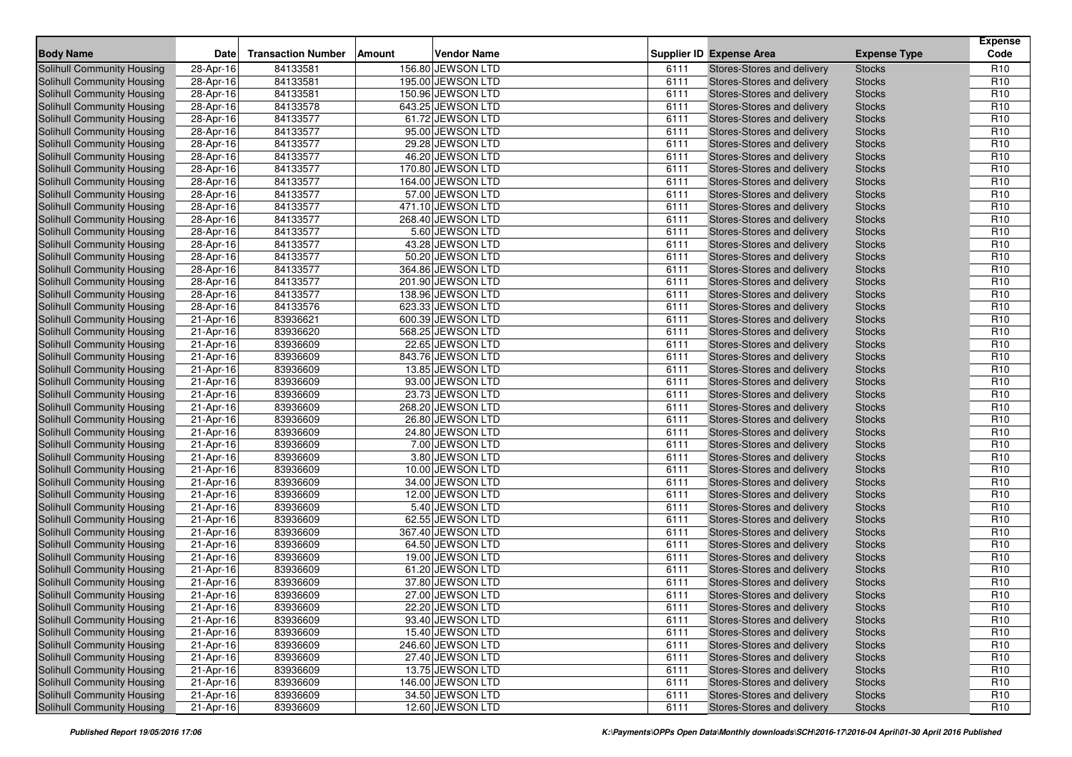| <b>Body Name</b>                  | <b>Date</b>             | <b>Transaction Number</b> | <b>Amount</b> | <b>Vendor Name</b> |      | <b>Supplier ID Expense Area</b> | <b>Expense Type</b> | <b>Expense</b><br>Code |
|-----------------------------------|-------------------------|---------------------------|---------------|--------------------|------|---------------------------------|---------------------|------------------------|
| <b>Solihull Community Housing</b> | 28-Apr-16               | 84133581                  |               | 156.80 JEWSON LTD  | 6111 | Stores-Stores and delivery      | <b>Stocks</b>       | R <sub>10</sub>        |
| Solihull Community Housing        | 28-Apr-16               | 84133581                  |               | 195.00 JEWSON LTD  | 6111 | Stores-Stores and delivery      | <b>Stocks</b>       | R <sub>10</sub>        |
| Solihull Community Housing        | 28-Apr-16               | 84133581                  |               | 150.96 JEWSON LTD  | 6111 | Stores-Stores and delivery      | <b>Stocks</b>       | R <sub>10</sub>        |
| <b>Solihull Community Housing</b> | 28-Apr-16               | 84133578                  |               | 643.25 JEWSON LTD  | 6111 | Stores-Stores and delivery      | <b>Stocks</b>       | R <sub>10</sub>        |
| Solihull Community Housing        | 28-Apr-16               | 84133577                  |               | 61.72 JEWSON LTD   | 6111 | Stores-Stores and delivery      | <b>Stocks</b>       | R <sub>10</sub>        |
| Solihull Community Housing        | 28-Apr-16               | 84133577                  |               | 95.00 JEWSON LTD   | 6111 | Stores-Stores and delivery      | <b>Stocks</b>       | R <sub>10</sub>        |
| Solihull Community Housing        | 28-Apr-16               | 84133577                  |               | 29.28 JEWSON LTD   | 6111 | Stores-Stores and delivery      | <b>Stocks</b>       | R <sub>10</sub>        |
| Solihull Community Housing        | 28-Apr-16               | 84133577                  |               | 46.20 JEWSON LTD   | 6111 | Stores-Stores and delivery      | <b>Stocks</b>       | R <sub>10</sub>        |
| Solihull Community Housing        | 28-Apr-16               | 84133577                  |               | 170.80 JEWSON LTD  | 6111 | Stores-Stores and delivery      | <b>Stocks</b>       | R <sub>10</sub>        |
| <b>Solihull Community Housing</b> | 28-Apr-16               | 84133577                  |               | 164.00 JEWSON LTD  | 6111 | Stores-Stores and delivery      | <b>Stocks</b>       | R <sub>10</sub>        |
| Solihull Community Housing        | 28-Apr-16               | 84133577                  |               | 57.00 JEWSON LTD   | 6111 | Stores-Stores and delivery      | <b>Stocks</b>       | R <sub>10</sub>        |
| <b>Solihull Community Housing</b> | 28-Apr-16               | 84133577                  |               | 471.10 JEWSON LTD  | 6111 | Stores-Stores and delivery      | <b>Stocks</b>       | R <sub>10</sub>        |
| Solihull Community Housing        | 28-Apr-16               | 84133577                  |               | 268.40 JEWSON LTD  | 6111 | Stores-Stores and delivery      | <b>Stocks</b>       | R <sub>10</sub>        |
| Solihull Community Housing        | 28-Apr-16               | 84133577                  |               | 5.60 JEWSON LTD    | 6111 | Stores-Stores and delivery      | <b>Stocks</b>       | R <sub>10</sub>        |
| <b>Solihull Community Housing</b> | 28-Apr-16               | 84133577                  |               | 43.28 JEWSON LTD   | 6111 | Stores-Stores and delivery      | <b>Stocks</b>       | R <sub>10</sub>        |
| Solihull Community Housing        | 28-Apr-16               | 84133577                  |               | 50.20 JEWSON LTD   | 6111 | Stores-Stores and delivery      | <b>Stocks</b>       | R <sub>10</sub>        |
| Solihull Community Housing        | 28-Apr-16               | 84133577                  |               | 364.86 JEWSON LTD  | 6111 | Stores-Stores and delivery      | <b>Stocks</b>       | R <sub>10</sub>        |
| <b>Solihull Community Housing</b> | 28-Apr-16               | 84133577                  |               | 201.90 JEWSON LTD  | 6111 | Stores-Stores and delivery      | <b>Stocks</b>       | R <sub>10</sub>        |
| Solihull Community Housing        | 28-Apr-16               | 84133577                  |               | 138.96 JEWSON LTD  | 6111 | Stores-Stores and delivery      | <b>Stocks</b>       | R <sub>10</sub>        |
| Solihull Community Housing        | 28-Apr-16               | 84133576                  |               | 623.33 JEWSON LTD  | 6111 | Stores-Stores and delivery      | <b>Stocks</b>       | R <sub>10</sub>        |
| Solihull Community Housing        | 21-Apr-16               | 83936621                  |               | 600.39 JEWSON LTD  | 6111 | Stores-Stores and delivery      | <b>Stocks</b>       | R <sub>10</sub>        |
| Solihull Community Housing        | 21-Apr-16               | 83936620                  |               | 568.25 JEWSON LTD  | 6111 | Stores-Stores and delivery      | <b>Stocks</b>       | R <sub>10</sub>        |
| Solihull Community Housing        | 21-Apr-16               | 83936609                  |               | 22.65 JEWSON LTD   | 6111 | Stores-Stores and delivery      | <b>Stocks</b>       | R <sub>10</sub>        |
| Solihull Community Housing        | 21-Apr-16               | 83936609                  |               | 843.76 JEWSON LTD  | 6111 | Stores-Stores and delivery      | <b>Stocks</b>       | R <sub>10</sub>        |
| Solihull Community Housing        | $21-Apr-16$             | 83936609                  |               | 13.85 JEWSON LTD   | 6111 | Stores-Stores and delivery      | <b>Stocks</b>       | R <sub>10</sub>        |
| Solihull Community Housing        | 21-Apr-16               | 83936609                  |               | 93.00 JEWSON LTD   | 6111 | Stores-Stores and delivery      | <b>Stocks</b>       | R <sub>10</sub>        |
| Solihull Community Housing        | 21-Apr-16               | 83936609                  |               | 23.73 JEWSON LTD   | 6111 | Stores-Stores and delivery      | <b>Stocks</b>       | R <sub>10</sub>        |
| Solihull Community Housing        | 21-Apr-16               | 83936609                  |               | 268.20 JEWSON LTD  | 6111 | Stores-Stores and delivery      | <b>Stocks</b>       | R <sub>10</sub>        |
| <b>Solihull Community Housing</b> | 21-Apr-16               | 83936609                  |               | 26.80 JEWSON LTD   | 6111 | Stores-Stores and delivery      | <b>Stocks</b>       | R <sub>10</sub>        |
| Solihull Community Housing        | 21-Apr-16               | 83936609                  |               | 24.80 JEWSON LTD   | 6111 | Stores-Stores and delivery      | <b>Stocks</b>       | R <sub>10</sub>        |
| Solihull Community Housing        | 21-Apr-16               | 83936609                  |               | 7.00 JEWSON LTD    | 6111 | Stores-Stores and delivery      | <b>Stocks</b>       | R <sub>10</sub>        |
| Solihull Community Housing        | 21-Apr-16               | 83936609                  |               | 3.80 JEWSON LTD    | 6111 | Stores-Stores and delivery      | <b>Stocks</b>       | R <sub>10</sub>        |
| Solihull Community Housing        | 21-Apr-16               | 83936609                  |               | 10.00 JEWSON LTD   | 6111 | Stores-Stores and delivery      | <b>Stocks</b>       | R <sub>10</sub>        |
| Solihull Community Housing        | 21-Apr-16               | 83936609                  |               | 34.00 JEWSON LTD   | 6111 | Stores-Stores and delivery      | <b>Stocks</b>       | R <sub>10</sub>        |
| <b>Solihull Community Housing</b> | 21-Apr-16               | 83936609                  |               | 12.00 JEWSON LTD   | 6111 | Stores-Stores and delivery      | <b>Stocks</b>       | R <sub>10</sub>        |
| Solihull Community Housing        | 21-Apr-16               | 83936609                  |               | 5.40 JEWSON LTD    | 6111 | Stores-Stores and delivery      | <b>Stocks</b>       | R <sub>10</sub>        |
| <b>Solihull Community Housing</b> | 21-Apr-16               | 83936609                  |               | 62.55 JEWSON LTD   | 6111 | Stores-Stores and delivery      | <b>Stocks</b>       | R <sub>10</sub>        |
| <b>Solihull Community Housing</b> | 21-Apr-16               | 83936609                  |               | 367.40 JEWSON LTD  | 6111 | Stores-Stores and delivery      | <b>Stocks</b>       | R <sub>10</sub>        |
| Solihull Community Housing        | 21-Apr-16               | 83936609                  |               | 64.50 JEWSON LTD   | 6111 | Stores-Stores and delivery      | <b>Stocks</b>       | R <sub>10</sub>        |
| Solihull Community Housing        | 21-Apr-16               | 83936609                  |               | 19.00 JEWSON LTD   | 6111 | Stores-Stores and delivery      | <b>Stocks</b>       | R <sub>10</sub>        |
| Solihull Community Housing        | 21-Apr-16               | 83936609                  |               | 61.20 JEWSON LTD   | 6111 | Stores-Stores and delivery      | <b>Stocks</b>       | R <sub>10</sub>        |
| Solihull Community Housing        | 21-Apr-16               | 83936609                  |               | 37.80 JEWSON LTD   | 6111 | Stores-Stores and delivery      | <b>Stocks</b>       | R <sub>10</sub>        |
| Solihull Community Housing        | 21-Apr-16               | 83936609                  |               | 27.00 JEWSON LTD   | 6111 | Stores-Stores and delivery      | <b>Stocks</b>       | R <sub>10</sub>        |
| Solihull Community Housing        | 21-Apr-16               | 83936609                  |               | 22.20 JEWSON LTD   | 6111 | Stores-Stores and delivery      | <b>Stocks</b>       | R <sub>10</sub>        |
| <b>Solihull Community Housing</b> | 21-Apr-16               | 83936609                  |               | 93.40 JEWSON LTD   | 6111 | Stores-Stores and delivery      | <b>Stocks</b>       | R <sub>10</sub>        |
| <b>Solihull Community Housing</b> | $21-Apr-16$             | 83936609                  |               | 15.40 JEWSON LTD   | 6111 | Stores-Stores and delivery      | <b>Stocks</b>       | R <sub>10</sub>        |
| Solihull Community Housing        | 21-Apr-16               | 83936609                  |               | 246.60 JEWSON LTD  | 6111 | Stores-Stores and delivery      | <b>Stocks</b>       | R <sub>10</sub>        |
| <b>Solihull Community Housing</b> | 21-Apr-16               | 83936609                  |               | 27.40 JEWSON LTD   | 6111 | Stores-Stores and delivery      | <b>Stocks</b>       | R <sub>10</sub>        |
| Solihull Community Housing        | 21-Apr-16               | 83936609                  |               | 13.75 JEWSON LTD   | 6111 | Stores-Stores and delivery      | <b>Stocks</b>       | R <sub>10</sub>        |
| Solihull Community Housing        | 21-Apr-16               | 83936609                  |               | 146.00 JEWSON LTD  | 6111 | Stores-Stores and delivery      | <b>Stocks</b>       | R <sub>10</sub>        |
| <b>Solihull Community Housing</b> | $\overline{21}$ -Apr-16 | 83936609                  |               | 34.50 JEWSON LTD   | 6111 | Stores-Stores and delivery      | <b>Stocks</b>       | R <sub>10</sub>        |
| Solihull Community Housing        | 21-Apr-16               | 83936609                  |               | 12.60 JEWSON LTD   | 6111 | Stores-Stores and delivery      | <b>Stocks</b>       | R <sub>10</sub>        |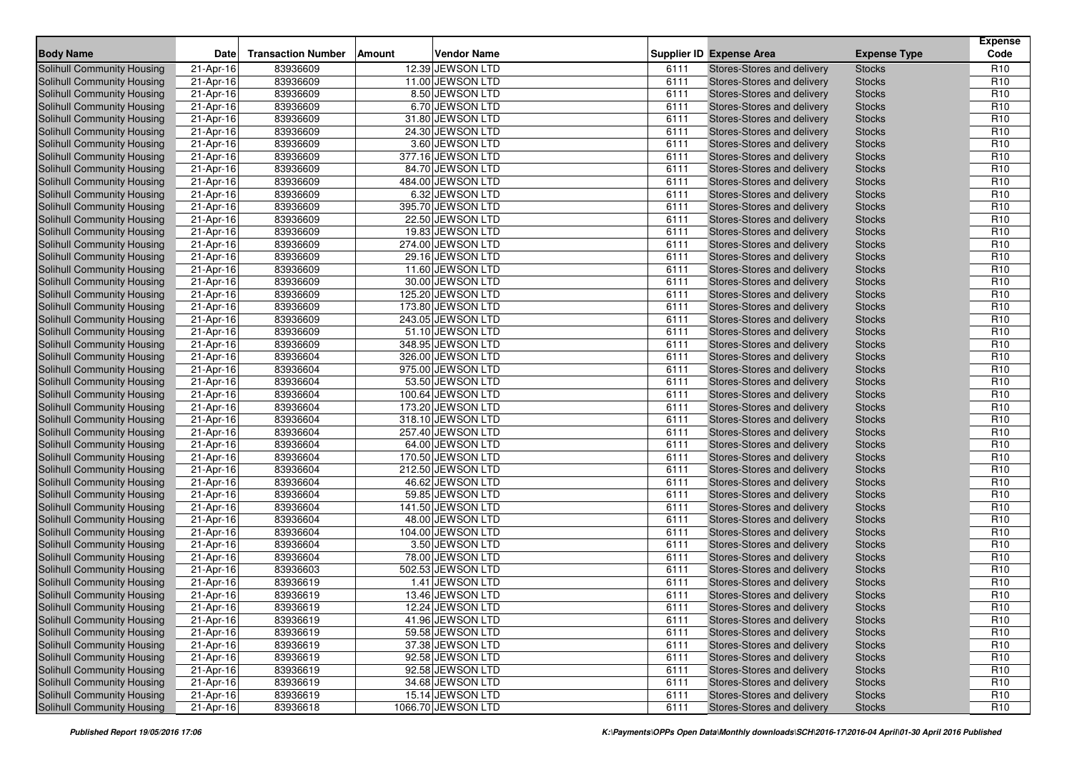| <b>Body Name</b>                                                | Date        | <b>Transaction Number</b> | Amount | <b>Vendor Name</b>                   |      | <b>Supplier ID Expense Area</b>                          | <b>Expense Type</b> | <b>Expense</b><br>Code             |
|-----------------------------------------------------------------|-------------|---------------------------|--------|--------------------------------------|------|----------------------------------------------------------|---------------------|------------------------------------|
| Solihull Community Housing                                      | 21-Apr-16   | 83936609                  |        | 12.39 JEWSON LTD                     | 6111 | Stores-Stores and delivery                               | <b>Stocks</b>       | R <sub>10</sub>                    |
| Solihull Community Housing                                      | 21-Apr-16   | 83936609                  |        | 11.00 JEWSON LTD                     | 6111 | Stores-Stores and delivery                               | <b>Stocks</b>       | R <sub>10</sub>                    |
| Solihull Community Housing                                      | 21-Apr-16   | 83936609                  |        | 8.50 JEWSON LTD                      | 6111 | <b>Stores-Stores and delivery</b>                        | <b>Stocks</b>       | R <sub>10</sub>                    |
| Solihull Community Housing                                      | 21-Apr-16   | 83936609                  |        | 6.70 JEWSON LTD                      | 6111 | Stores-Stores and delivery                               | <b>Stocks</b>       | R <sub>10</sub>                    |
| Solihull Community Housing                                      | $21-Apr-16$ | 83936609                  |        | 31.80 JEWSON LTD                     | 6111 | Stores-Stores and delivery                               | <b>Stocks</b>       | R <sub>10</sub>                    |
| Solihull Community Housing                                      | 21-Apr-16   | 83936609                  |        | 24.30 JEWSON LTD                     | 6111 | Stores-Stores and delivery                               | <b>Stocks</b>       | R <sub>10</sub>                    |
| Solihull Community Housing                                      | 21-Apr-16   | 83936609                  |        | 3.60 JEWSON LTD                      | 6111 | Stores-Stores and delivery                               | <b>Stocks</b>       | R <sub>10</sub>                    |
| Solihull Community Housing                                      | 21-Apr-16   | 83936609                  |        | 377.16 JEWSON LTD                    | 6111 | Stores-Stores and delivery                               | <b>Stocks</b>       | R <sub>10</sub>                    |
| Solihull Community Housing                                      | 21-Apr-16   | 83936609                  |        | 84.70 JEWSON LTD                     | 6111 | Stores-Stores and delivery                               | <b>Stocks</b>       | R <sub>10</sub>                    |
| Solihull Community Housing                                      | 21-Apr-16   | 83936609                  |        | 484.00 JEWSON LTD                    | 6111 | Stores-Stores and delivery                               | <b>Stocks</b>       | R <sub>10</sub>                    |
| Solihull Community Housing                                      | 21-Apr-16   | 83936609                  |        | 6.32 JEWSON LTD                      | 6111 | Stores-Stores and delivery                               | <b>Stocks</b>       | R <sub>10</sub>                    |
| <b>Solihull Community Housing</b>                               | 21-Apr-16   | 83936609                  |        | 395.70 JEWSON LTD                    | 6111 | Stores-Stores and delivery                               | <b>Stocks</b>       | R <sub>10</sub>                    |
| Solihull Community Housing                                      | 21-Apr-16   | 83936609                  |        | 22.50 JEWSON LTD                     | 6111 | Stores-Stores and delivery                               | <b>Stocks</b>       | R <sub>10</sub>                    |
| Solihull Community Housing                                      | 21-Apr-16   | 83936609                  |        | 19.83 JEWSON LTD                     | 6111 | Stores-Stores and delivery                               | <b>Stocks</b>       | R <sub>10</sub>                    |
| <b>Solihull Community Housing</b>                               | 21-Apr-16   | 83936609                  |        | 274.00 JEWSON LTD                    | 6111 | Stores-Stores and delivery                               | <b>Stocks</b>       | R <sub>10</sub>                    |
| Solihull Community Housing                                      | 21-Apr-16   | 83936609                  |        | 29.16 JEWSON LTD                     | 6111 | Stores-Stores and delivery                               | <b>Stocks</b>       | R <sub>10</sub>                    |
| Solihull Community Housing                                      | 21-Apr-16   | 83936609                  |        | 11.60 JEWSON LTD                     | 6111 | Stores-Stores and delivery                               | <b>Stocks</b>       | R <sub>10</sub>                    |
| <b>Solihull Community Housing</b>                               | 21-Apr-16   | 83936609                  |        | 30.00 JEWSON LTD                     | 6111 | Stores-Stores and delivery                               | <b>Stocks</b>       | R <sub>10</sub>                    |
| Solihull Community Housing                                      | 21-Apr-16   | 83936609                  |        | 125.20 JEWSON LTD                    | 6111 | Stores-Stores and delivery                               | <b>Stocks</b>       | R <sub>10</sub>                    |
| Solihull Community Housing                                      | 21-Apr-16   | 83936609                  |        | 173.80 JEWSON LTD                    | 6111 | Stores-Stores and delivery                               | <b>Stocks</b>       | R <sub>10</sub>                    |
| <b>Solihull Community Housing</b>                               | 21-Apr-16   | 83936609                  |        | 243.05 JEWSON LTD                    | 6111 | Stores-Stores and delivery                               | <b>Stocks</b>       | R <sub>10</sub>                    |
| Solihull Community Housing                                      | 21-Apr-16   | 83936609                  |        | 51.10 JEWSON LTD                     | 6111 | Stores-Stores and delivery                               | <b>Stocks</b>       | R <sub>10</sub>                    |
| Solihull Community Housing                                      | 21-Apr-16   | 83936609                  |        | 348.95 JEWSON LTD                    | 6111 | Stores-Stores and delivery                               | <b>Stocks</b>       | R <sub>10</sub>                    |
| Solihull Community Housing                                      | 21-Apr-16   | 83936604                  |        | 326.00 JEWSON LTD                    | 6111 | Stores-Stores and delivery                               | <b>Stocks</b>       | R <sub>10</sub>                    |
| Solihull Community Housing                                      | 21-Apr-16   | 83936604                  |        | 975.00 JEWSON LTD                    | 6111 | Stores-Stores and delivery                               | <b>Stocks</b>       | R <sub>10</sub>                    |
| Solihull Community Housing                                      | 21-Apr-16   | 83936604                  |        | 53.50 JEWSON LTD                     | 6111 | Stores-Stores and delivery                               | <b>Stocks</b>       | R <sub>10</sub>                    |
| Solihull Community Housing                                      | 21-Apr-16   | 83936604                  |        | 100.64 JEWSON LTD                    | 6111 | Stores-Stores and delivery                               | <b>Stocks</b>       | R <sub>10</sub>                    |
| Solihull Community Housing                                      | 21-Apr-16   | 83936604                  |        | 173.20 JEWSON LTD                    | 6111 | Stores-Stores and delivery                               | <b>Stocks</b>       | R <sub>10</sub>                    |
| Solihull Community Housing                                      | 21-Apr-16   | 83936604                  |        | 318.10 JEWSON LTD                    | 6111 | Stores-Stores and delivery                               | <b>Stocks</b>       | R <sub>10</sub>                    |
| Solihull Community Housing                                      | 21-Apr-16   | 83936604                  |        | 257.40 JEWSON LTD                    | 6111 | Stores-Stores and delivery                               | <b>Stocks</b>       | R <sub>10</sub>                    |
| Solihull Community Housing                                      | 21-Apr-16   | 83936604                  |        | 64.00 JEWSON LTD                     | 6111 | Stores-Stores and delivery                               | <b>Stocks</b>       | R <sub>10</sub>                    |
| Solihull Community Housing                                      | 21-Apr-16   | 83936604                  |        | 170.50 JEWSON LTD                    | 6111 | Stores-Stores and delivery                               | <b>Stocks</b>       | R <sub>10</sub>                    |
| Solihull Community Housing                                      | 21-Apr-16   | 83936604                  |        | 212.50 JEWSON LTD                    | 6111 | Stores-Stores and delivery                               | <b>Stocks</b>       | R <sub>10</sub>                    |
| Solihull Community Housing                                      | 21-Apr-16   | 83936604                  |        | 46.62 JEWSON LTD                     | 6111 | Stores-Stores and delivery                               | <b>Stocks</b>       | R <sub>10</sub>                    |
| Solihull Community Housing                                      | 21-Apr-16   | 83936604                  |        | 59.85 JEWSON LTD                     | 6111 | Stores-Stores and delivery                               | <b>Stocks</b>       | R <sub>10</sub>                    |
| Solihull Community Housing                                      | 21-Apr-16   | 83936604                  |        | 141.50 JEWSON LTD                    | 6111 | Stores-Stores and delivery                               | <b>Stocks</b>       | R <sub>10</sub>                    |
| <b>Solihull Community Housing</b>                               | 21-Apr-16   | 83936604                  |        | 48.00 JEWSON LTD                     | 6111 | Stores-Stores and delivery                               | <b>Stocks</b>       | R <sub>10</sub>                    |
| Solihull Community Housing                                      | 21-Apr-16   | 83936604                  |        | 104.00 JEWSON LTD                    | 6111 | Stores-Stores and delivery                               | <b>Stocks</b>       | R <sub>10</sub>                    |
| Solihull Community Housing                                      | 21-Apr-16   | 83936604                  |        | 3.50 JEWSON LTD                      | 6111 | Stores-Stores and delivery                               | <b>Stocks</b>       | R <sub>10</sub>                    |
| <b>Solihull Community Housing</b>                               | 21-Apr-16   | 83936604                  |        | 78.00 JEWSON LTD                     | 6111 | Stores-Stores and delivery                               | <b>Stocks</b>       | R <sub>10</sub>                    |
| Solihull Community Housing                                      | 21-Apr-16   | 83936603                  |        | 502.53 JEWSON LTD                    | 6111 | Stores-Stores and delivery                               | <b>Stocks</b>       | R <sub>10</sub>                    |
| Solihull Community Housing                                      | 21-Apr-16   | 83936619                  |        | 1.41 JEWSON LTD                      | 6111 | Stores-Stores and delivery                               | <b>Stocks</b>       | R <sub>10</sub>                    |
| Solihull Community Housing                                      | 21-Apr-16   | 83936619                  |        | 13.46 JEWSON LTD                     | 6111 | Stores-Stores and delivery                               | <b>Stocks</b>       | R <sub>10</sub>                    |
| Solihull Community Housing                                      | 21-Apr-16   | 83936619                  |        | 12.24 JEWSON LTD                     | 6111 | Stores-Stores and delivery                               | <b>Stocks</b>       | R <sub>10</sub>                    |
| Solihull Community Housing                                      | 21-Apr-16   | 83936619                  |        | 41.96 JEWSON LTD                     | 6111 | Stores-Stores and delivery                               | <b>Stocks</b>       | R <sub>10</sub>                    |
| <b>Solihull Community Housing</b>                               | 21-Apr-16   | 83936619                  |        | 59.58 JEWSON LTD                     | 6111 | Stores-Stores and delivery                               | <b>Stocks</b>       | R <sub>10</sub>                    |
| <b>Solihull Community Housing</b>                               | 21-Apr-16   | 83936619                  |        | 37.38 JEWSON LTD                     | 6111 | Stores-Stores and delivery                               | <b>Stocks</b>       | R <sub>10</sub>                    |
| <b>Solihull Community Housing</b>                               | 21-Apr-16   | 83936619                  |        | 92.58 JEWSON LTD                     | 6111 | Stores-Stores and delivery                               | <b>Stocks</b>       | R <sub>10</sub>                    |
| Solihull Community Housing<br><b>Solihull Community Housing</b> | 21-Apr-16   | 83936619<br>83936619      |        | 92.58 JEWSON LTD<br>34.68 JEWSON LTD | 6111 | Stores-Stores and delivery<br>Stores-Stores and delivery | <b>Stocks</b>       | R <sub>10</sub><br>R <sub>10</sub> |
| <b>Solihull Community Housing</b>                               | 21-Apr-16   |                           |        |                                      | 6111 | Stores-Stores and delivery                               | <b>Stocks</b>       |                                    |
|                                                                 | 21-Apr-16   | 83936619                  |        | 15.14 JEWSON LTD                     | 6111 |                                                          | <b>Stocks</b>       | R <sub>10</sub>                    |
| Solihull Community Housing                                      | 21-Apr-16   | 83936618                  |        | 1066.70 JEWSON LTD                   | 6111 | Stores-Stores and delivery                               | <b>Stocks</b>       | R <sub>10</sub>                    |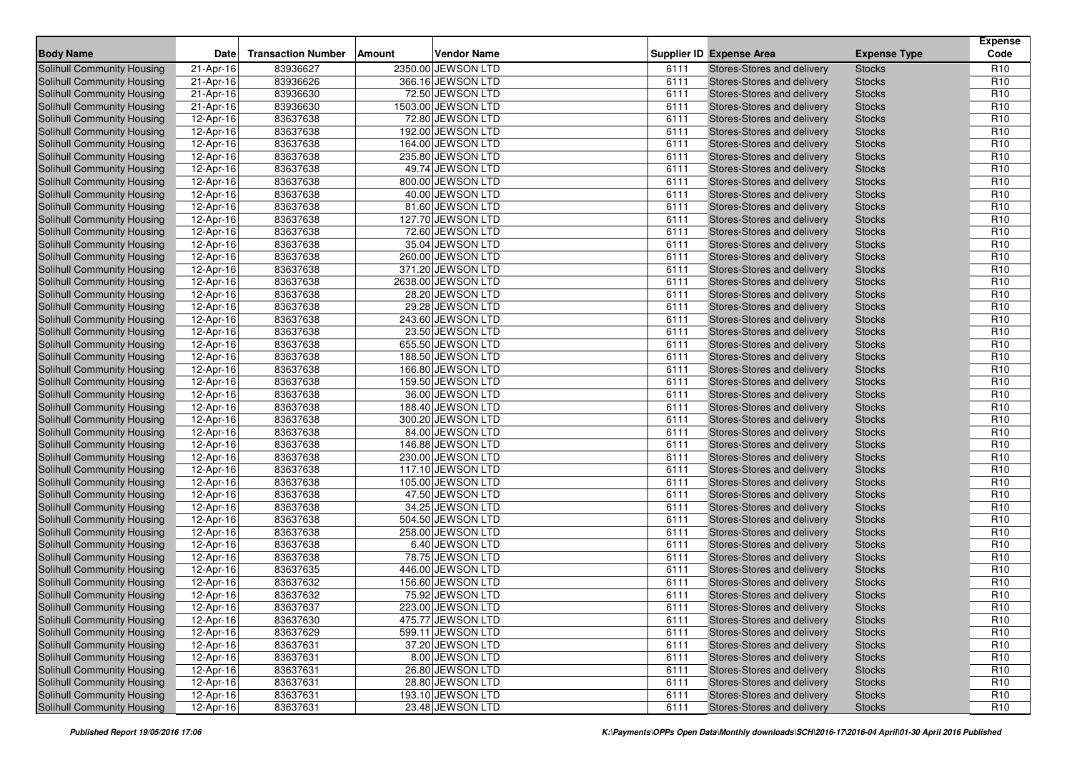| <b>Body Name</b>                  | Date      | <b>Transaction Number</b> | Amount | <b>Vendor Name</b> |      | <b>Supplier ID Expense Area</b> | <b>Expense Type</b> | <b>Expense</b><br>Code |
|-----------------------------------|-----------|---------------------------|--------|--------------------|------|---------------------------------|---------------------|------------------------|
| Solihull Community Housing        | 21-Apr-16 | 83936627                  |        | 2350.00 JEWSON LTD | 6111 | Stores-Stores and delivery      | <b>Stocks</b>       | R <sub>10</sub>        |
| <b>Solihull Community Housing</b> | 21-Apr-16 | 83936626                  |        | 366.16 JEWSON LTD  | 6111 | Stores-Stores and delivery      | <b>Stocks</b>       | R <sub>10</sub>        |
| <b>Solihull Community Housing</b> | 21-Apr-16 | 83936630                  |        | 72.50 JEWSON LTD   | 6111 | Stores-Stores and delivery      | <b>Stocks</b>       | R <sub>10</sub>        |
| Solihull Community Housing        | 21-Apr-16 | 83936630                  |        | 1503.00 JEWSON LTD | 6111 | Stores-Stores and delivery      | <b>Stocks</b>       | R <sub>10</sub>        |
| Solihull Community Housing        | 12-Apr-16 | 83637638                  |        | 72.80 JEWSON LTD   | 6111 | Stores-Stores and delivery      | <b>Stocks</b>       | R <sub>10</sub>        |
| Solihull Community Housing        | 12-Apr-16 | 83637638                  |        | 192.00 JEWSON LTD  | 6111 | Stores-Stores and delivery      | <b>Stocks</b>       | R <sub>10</sub>        |
| Solihull Community Housing        | 12-Apr-16 | 83637638                  |        | 164.00 JEWSON LTD  | 6111 | Stores-Stores and delivery      | <b>Stocks</b>       | R <sub>10</sub>        |
| Solihull Community Housing        | 12-Apr-16 | 83637638                  |        | 235.80 JEWSON LTD  | 6111 | Stores-Stores and delivery      | <b>Stocks</b>       | R <sub>10</sub>        |
| Solihull Community Housing        | 12-Apr-16 | 83637638                  |        | 49.74 JEWSON LTD   | 6111 | Stores-Stores and delivery      | <b>Stocks</b>       | R <sub>10</sub>        |
| Solihull Community Housing        | 12-Apr-16 | 83637638                  |        | 800.00 JEWSON LTD  | 6111 | Stores-Stores and delivery      | <b>Stocks</b>       | R <sub>10</sub>        |
| Solihull Community Housing        | 12-Apr-16 | 83637638                  |        | 40.00 JEWSON LTD   | 6111 | Stores-Stores and delivery      | <b>Stocks</b>       | R <sub>10</sub>        |
| Solihull Community Housing        | 12-Apr-16 | 83637638                  |        | 81.60 JEWSON LTD   | 6111 | Stores-Stores and delivery      | <b>Stocks</b>       | R <sub>10</sub>        |
| <b>Solihull Community Housing</b> | 12-Apr-16 | 83637638                  |        | 127.70 JEWSON LTD  | 6111 | Stores-Stores and delivery      | <b>Stocks</b>       | R <sub>10</sub>        |
| <b>Solihull Community Housing</b> | 12-Apr-16 | 83637638                  |        | 72.60 JEWSON LTD   | 6111 | Stores-Stores and delivery      | <b>Stocks</b>       | R <sub>10</sub>        |
| Solihull Community Housing        | 12-Apr-16 | 83637638                  |        | 35.04 JEWSON LTD   | 6111 | Stores-Stores and delivery      | <b>Stocks</b>       | R <sub>10</sub>        |
| Solihull Community Housing        | 12-Apr-16 | 83637638                  |        | 260.00 JEWSON LTD  | 6111 | Stores-Stores and delivery      | <b>Stocks</b>       | R <sub>10</sub>        |
| Solihull Community Housing        | 12-Apr-16 | 83637638                  |        | 371.20 JEWSON LTD  | 6111 | Stores-Stores and delivery      | <b>Stocks</b>       | R <sub>10</sub>        |
| Solihull Community Housing        | 12-Apr-16 | 83637638                  |        | 2638.00 JEWSON LTD | 6111 | Stores-Stores and delivery      | <b>Stocks</b>       | R <sub>10</sub>        |
| Solihull Community Housing        | 12-Apr-16 | 83637638                  |        | 28.20 JEWSON LTD   | 6111 | Stores-Stores and delivery      | <b>Stocks</b>       | R <sub>10</sub>        |
| Solihull Community Housing        | 12-Apr-16 | 83637638                  |        | 29.28 JEWSON LTD   | 6111 | Stores-Stores and delivery      | <b>Stocks</b>       | R <sub>10</sub>        |
| Solihull Community Housing        | 12-Apr-16 | 83637638                  |        | 243.60 JEWSON LTD  | 6111 | Stores-Stores and delivery      | <b>Stocks</b>       | R <sub>10</sub>        |
| Solihull Community Housing        | 12-Apr-16 | 83637638                  |        | 23.50 JEWSON LTD   | 6111 | Stores-Stores and delivery      | <b>Stocks</b>       | R <sub>10</sub>        |
| Solihull Community Housing        | 12-Apr-16 | 83637638                  |        | 655.50 JEWSON LTD  | 6111 | Stores-Stores and delivery      | <b>Stocks</b>       | R <sub>10</sub>        |
| <b>Solihull Community Housing</b> | 12-Apr-16 | 83637638                  |        | 188.50 JEWSON LTD  | 6111 | Stores-Stores and delivery      | <b>Stocks</b>       | R <sub>10</sub>        |
| <b>Solihull Community Housing</b> | 12-Apr-16 | 83637638                  |        | 166.80 JEWSON LTD  | 6111 | Stores-Stores and delivery      | <b>Stocks</b>       | R <sub>10</sub>        |
| Solihull Community Housing        | 12-Apr-16 | 83637638                  |        | 159.50 JEWSON LTD  | 6111 | Stores-Stores and delivery      | <b>Stocks</b>       | R <sub>10</sub>        |
| Solihull Community Housing        | 12-Apr-16 | 83637638                  |        | 36.00 JEWSON LTD   | 6111 | Stores-Stores and delivery      | <b>Stocks</b>       | R <sub>10</sub>        |
| Solihull Community Housing        | 12-Apr-16 | 83637638                  |        | 188.40 JEWSON LTD  | 6111 | Stores-Stores and delivery      | <b>Stocks</b>       | R <sub>10</sub>        |
| Solihull Community Housing        | 12-Apr-16 | 83637638                  |        | 300.20 JEWSON LTD  | 6111 | Stores-Stores and delivery      | <b>Stocks</b>       | R <sub>10</sub>        |
| Solihull Community Housing        | 12-Apr-16 | 83637638                  |        | 84.00 JEWSON LTD   | 6111 | Stores-Stores and delivery      | <b>Stocks</b>       | R <sub>10</sub>        |
| Solihull Community Housing        | 12-Apr-16 | 83637638                  |        | 146.88 JEWSON LTD  | 6111 | Stores-Stores and delivery      | <b>Stocks</b>       | R <sub>10</sub>        |
| Solihull Community Housing        | 12-Apr-16 | 83637638                  |        | 230.00 JEWSON LTD  | 6111 | Stores-Stores and delivery      | <b>Stocks</b>       | R <sub>10</sub>        |
| Solihull Community Housing        | 12-Apr-16 | 83637638                  |        | 117.10 JEWSON LTD  | 6111 | Stores-Stores and delivery      | <b>Stocks</b>       | R <sub>10</sub>        |
| Solihull Community Housing        | 12-Apr-16 | 83637638                  |        | 105.00 JEWSON LTD  | 6111 | Stores-Stores and delivery      | <b>Stocks</b>       | R <sub>10</sub>        |
| Solihull Community Housing        | 12-Apr-16 | 83637638                  |        | 47.50 JEWSON LTD   | 6111 | Stores-Stores and delivery      | <b>Stocks</b>       | R <sub>10</sub>        |
| Solihull Community Housing        | 12-Apr-16 | 83637638                  |        | 34.25 JEWSON LTD   | 6111 | Stores-Stores and delivery      | <b>Stocks</b>       | R <sub>10</sub>        |
| Solihull Community Housing        | 12-Apr-16 | 83637638                  |        | 504.50 JEWSON LTD  | 6111 | Stores-Stores and delivery      | <b>Stocks</b>       | R <sub>10</sub>        |
| Solihull Community Housing        | 12-Apr-16 | 83637638                  |        | 258.00 JEWSON LTD  | 6111 | Stores-Stores and delivery      | <b>Stocks</b>       | R <sub>10</sub>        |
| Solihull Community Housing        | 12-Apr-16 | 83637638                  |        | 6.40 JEWSON LTD    | 6111 | Stores-Stores and delivery      | <b>Stocks</b>       | R <sub>10</sub>        |
| Solihull Community Housing        | 12-Apr-16 | 83637638                  |        | 78.75 JEWSON LTD   | 6111 | Stores-Stores and delivery      | <b>Stocks</b>       | R <sub>10</sub>        |
| Solihull Community Housing        | 12-Apr-16 | 83637635                  |        | 446.00 JEWSON LTD  | 6111 | Stores-Stores and delivery      | <b>Stocks</b>       | R <sub>10</sub>        |
| Solihull Community Housing        | 12-Apr-16 | 83637632                  |        | 156.60 JEWSON LTD  | 6111 | Stores-Stores and delivery      | <b>Stocks</b>       | R <sub>10</sub>        |
| Solihull Community Housing        | 12-Apr-16 | 83637632                  |        | 75.92 JEWSON LTD   | 6111 | Stores-Stores and delivery      | <b>Stocks</b>       | R <sub>10</sub>        |
| Solihull Community Housing        | 12-Apr-16 | 83637637                  |        | 223.00 JEWSON LTD  | 6111 | Stores-Stores and delivery      | <b>Stocks</b>       | R <sub>10</sub>        |
| Solihull Community Housing        | 12-Apr-16 | 83637630                  |        | 475.77 JEWSON LTD  | 6111 | Stores-Stores and delivery      | <b>Stocks</b>       | R <sub>10</sub>        |
| Solihull Community Housing        | 12-Apr-16 | 83637629                  |        | 599.11 JEWSON LTD  | 6111 | Stores-Stores and delivery      | <b>Stocks</b>       | R <sub>10</sub>        |
| Solihull Community Housing        | 12-Apr-16 | 83637631                  |        | 37.20 JEWSON LTD   | 6111 | Stores-Stores and delivery      | <b>Stocks</b>       | R <sub>10</sub>        |
| Solihull Community Housing        | 12-Apr-16 | 83637631                  |        | 8.00 JEWSON LTD    | 6111 | Stores-Stores and delivery      | <b>Stocks</b>       | R <sub>10</sub>        |
| Solihull Community Housing        | 12-Apr-16 | 83637631                  |        | 26.80 JEWSON LTD   | 6111 | Stores-Stores and delivery      | <b>Stocks</b>       | R <sub>10</sub>        |
| Solihull Community Housing        | 12-Apr-16 | 83637631                  |        | 28.80 JEWSON LTD   | 6111 | Stores-Stores and delivery      | <b>Stocks</b>       | R <sub>10</sub>        |
| Solihull Community Housing        | 12-Apr-16 | 83637631                  |        | 193.10 JEWSON LTD  | 6111 | Stores-Stores and delivery      | <b>Stocks</b>       | R <sub>10</sub>        |
| Solihull Community Housing        | 12-Apr-16 | 83637631                  |        | 23.48 JEWSON LTD   | 6111 | Stores-Stores and delivery      | <b>Stocks</b>       | R <sub>10</sub>        |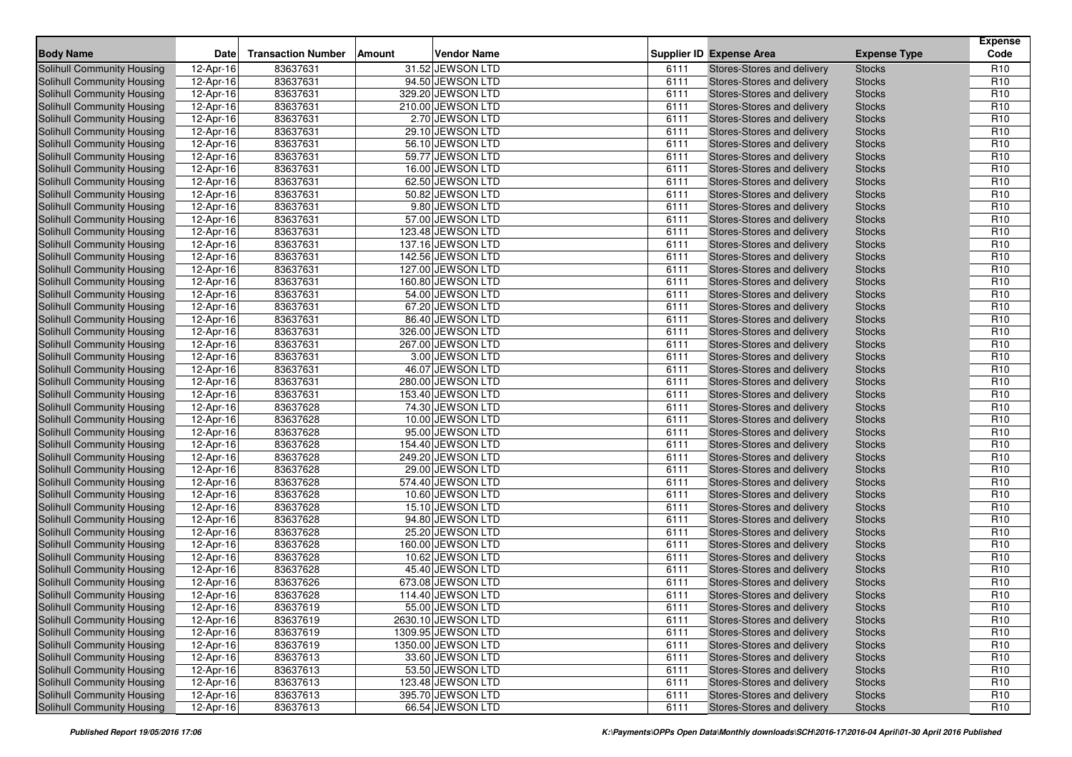| <b>Body Name</b>                  | Date        | <b>Transaction Number</b> | Amount | <b>Vendor Name</b> |      | <b>Supplier ID Expense Area</b>   | <b>Expense Type</b> | <b>Expense</b><br>Code |
|-----------------------------------|-------------|---------------------------|--------|--------------------|------|-----------------------------------|---------------------|------------------------|
| Solihull Community Housing        | 12-Apr-16   | 83637631                  |        | 31.52 JEWSON LTD   | 6111 | Stores-Stores and delivery        | <b>Stocks</b>       | R <sub>10</sub>        |
| <b>Solihull Community Housing</b> | 12-Apr-16   | 83637631                  |        | 94.50 JEWSON LTD   | 6111 | Stores-Stores and delivery        | <b>Stocks</b>       | R <sub>10</sub>        |
| <b>Solihull Community Housing</b> | 12-Apr-16   | 83637631                  |        | 329.20 JEWSON LTD  | 6111 | <b>Stores-Stores and delivery</b> | <b>Stocks</b>       | R <sub>10</sub>        |
| Solihull Community Housing        | 12-Apr-16   | 83637631                  |        | 210.00 JEWSON LTD  | 6111 | Stores-Stores and delivery        | <b>Stocks</b>       | R <sub>10</sub>        |
| Solihull Community Housing        | 12-Apr-16   | 83637631                  |        | 2.70 JEWSON LTD    | 6111 | Stores-Stores and delivery        | <b>Stocks</b>       | R <sub>10</sub>        |
| Solihull Community Housing        | 12-Apr-16   | 83637631                  |        | 29.10 JEWSON LTD   | 6111 | Stores-Stores and delivery        | <b>Stocks</b>       | R <sub>10</sub>        |
| Solihull Community Housing        | 12-Apr-16   | 83637631                  |        | 56.10 JEWSON LTD   | 6111 | Stores-Stores and delivery        | <b>Stocks</b>       | R <sub>10</sub>        |
| Solihull Community Housing        | 12-Apr-16   | 83637631                  |        | 59.77 JEWSON LTD   | 6111 | Stores-Stores and delivery        | <b>Stocks</b>       | R <sub>10</sub>        |
| Solihull Community Housing        | $12-Apr-16$ | 83637631                  |        | 16.00 JEWSON LTD   | 6111 | Stores-Stores and delivery        | <b>Stocks</b>       | R <sub>10</sub>        |
| Solihull Community Housing        | 12-Apr-16   | 83637631                  |        | 62.50 JEWSON LTD   | 6111 | Stores-Stores and delivery        | <b>Stocks</b>       | R <sub>10</sub>        |
| Solihull Community Housing        | 12-Apr-16   | 83637631                  |        | 50.82 JEWSON LTD   | 6111 | Stores-Stores and delivery        | <b>Stocks</b>       | R <sub>10</sub>        |
| Solihull Community Housing        | 12-Apr-16   | 83637631                  |        | 9.80 JEWSON LTD    | 6111 | Stores-Stores and delivery        | <b>Stocks</b>       | R <sub>10</sub>        |
| <b>Solihull Community Housing</b> | 12-Apr-16   | 83637631                  |        | 57.00 JEWSON LTD   | 6111 | Stores-Stores and delivery        | <b>Stocks</b>       | R <sub>10</sub>        |
| <b>Solihull Community Housing</b> | 12-Apr-16   | 83637631                  |        | 123.48 JEWSON LTD  | 6111 | Stores-Stores and delivery        | <b>Stocks</b>       | R <sub>10</sub>        |
| Solihull Community Housing        | 12-Apr-16   | 83637631                  |        | 137.16 JEWSON LTD  | 6111 | Stores-Stores and delivery        | <b>Stocks</b>       | R <sub>10</sub>        |
| Solihull Community Housing        | 12-Apr-16   | 83637631                  |        | 142.56 JEWSON LTD  | 6111 | Stores-Stores and delivery        | <b>Stocks</b>       | R <sub>10</sub>        |
| Solihull Community Housing        | 12-Apr-16   | 83637631                  |        | 127.00 JEWSON LTD  | 6111 | Stores-Stores and delivery        | <b>Stocks</b>       | R <sub>10</sub>        |
| Solihull Community Housing        | 12-Apr-16   | 83637631                  |        | 160.80 JEWSON LTD  | 6111 | Stores-Stores and delivery        | <b>Stocks</b>       | R <sub>10</sub>        |
| Solihull Community Housing        | 12-Apr-16   | 83637631                  |        | 54.00 JEWSON LTD   | 6111 | Stores-Stores and delivery        | <b>Stocks</b>       | R <sub>10</sub>        |
| Solihull Community Housing        | 12-Apr-16   | 83637631                  |        | 67.20 JEWSON LTD   | 6111 | Stores-Stores and delivery        | <b>Stocks</b>       | R <sub>10</sub>        |
| Solihull Community Housing        | 12-Apr-16   | 83637631                  |        | 86.40 JEWSON LTD   | 6111 | Stores-Stores and delivery        | <b>Stocks</b>       | R <sub>10</sub>        |
| Solihull Community Housing        | 12-Apr-16   | 83637631                  |        | 326.00 JEWSON LTD  | 6111 | Stores-Stores and delivery        | <b>Stocks</b>       | R <sub>10</sub>        |
| Solihull Community Housing        | 12-Apr-16   | 83637631                  |        | 267.00 JEWSON LTD  | 6111 | Stores-Stores and delivery        | <b>Stocks</b>       | R <sub>10</sub>        |
| <b>Solihull Community Housing</b> | 12-Apr-16   | 83637631                  |        | 3.00 JEWSON LTD    | 6111 | Stores-Stores and delivery        | <b>Stocks</b>       | R <sub>10</sub>        |
| <b>Solihull Community Housing</b> | 12-Apr-16   | 83637631                  |        | 46.07 JEWSON LTD   | 6111 | Stores-Stores and delivery        | <b>Stocks</b>       | R <sub>10</sub>        |
| Solihull Community Housing        | 12-Apr-16   | 83637631                  |        | 280.00 JEWSON LTD  | 6111 | Stores-Stores and delivery        | <b>Stocks</b>       | R <sub>10</sub>        |
| Solihull Community Housing        | 12-Apr-16   | 83637631                  |        | 153.40 JEWSON LTD  | 6111 | Stores-Stores and delivery        | <b>Stocks</b>       | R <sub>10</sub>        |
| Solihull Community Housing        | 12-Apr-16   | 83637628                  |        | 74.30 JEWSON LTD   | 6111 | Stores-Stores and delivery        | <b>Stocks</b>       | R <sub>10</sub>        |
| Solihull Community Housing        | 12-Apr-16   | 83637628                  |        | 10.00 JEWSON LTD   | 6111 | Stores-Stores and delivery        | <b>Stocks</b>       | R <sub>10</sub>        |
| Solihull Community Housing        | 12-Apr-16   | 83637628                  |        | 95.00 JEWSON LTD   | 6111 | Stores-Stores and delivery        | <b>Stocks</b>       | R <sub>10</sub>        |
| Solihull Community Housing        | 12-Apr-16   | 83637628                  |        | 154.40 JEWSON LTD  | 6111 | Stores-Stores and delivery        | <b>Stocks</b>       | R <sub>10</sub>        |
| Solihull Community Housing        | 12-Apr-16   | 83637628                  |        | 249.20 JEWSON LTD  | 6111 | Stores-Stores and delivery        | <b>Stocks</b>       | R <sub>10</sub>        |
| Solihull Community Housing        | 12-Apr-16   | 83637628                  |        | 29.00 JEWSON LTD   | 6111 | Stores-Stores and delivery        | <b>Stocks</b>       | R <sub>10</sub>        |
| Solihull Community Housing        | 12-Apr-16   | 83637628                  |        | 574.40 JEWSON LTD  | 6111 | Stores-Stores and delivery        | <b>Stocks</b>       | R <sub>10</sub>        |
| Solihull Community Housing        | 12-Apr-16   | 83637628                  |        | 10.60 JEWSON LTD   | 6111 | Stores-Stores and delivery        | <b>Stocks</b>       | R <sub>10</sub>        |
| Solihull Community Housing        | 12-Apr-16   | 83637628                  |        | 15.10 JEWSON LTD   | 6111 | Stores-Stores and delivery        | <b>Stocks</b>       | R <sub>10</sub>        |
| Solihull Community Housing        | 12-Apr-16   | 83637628                  |        | 94.80 JEWSON LTD   | 6111 | Stores-Stores and delivery        | <b>Stocks</b>       | R <sub>10</sub>        |
| Solihull Community Housing        | 12-Apr-16   | 83637628                  |        | 25.20 JEWSON LTD   | 6111 | Stores-Stores and delivery        | <b>Stocks</b>       | R <sub>10</sub>        |
| Solihull Community Housing        | 12-Apr-16   | 83637628                  |        | 160.00 JEWSON LTD  | 6111 | Stores-Stores and delivery        | <b>Stocks</b>       | R <sub>10</sub>        |
| Solihull Community Housing        | 12-Apr-16   | 83637628                  |        | 10.62 JEWSON LTD   | 6111 | Stores-Stores and delivery        | <b>Stocks</b>       | R <sub>10</sub>        |
| Solihull Community Housing        | 12-Apr-16   | 83637628                  |        | 45.40 JEWSON LTD   | 6111 | Stores-Stores and delivery        | <b>Stocks</b>       | R <sub>10</sub>        |
| Solihull Community Housing        | 12-Apr-16   | 83637626                  |        | 673.08 JEWSON LTD  | 6111 | Stores-Stores and delivery        | <b>Stocks</b>       | R <sub>10</sub>        |
| Solihull Community Housing        | 12-Apr-16   | 83637628                  |        | 114.40 JEWSON LTD  | 6111 | Stores-Stores and delivery        | <b>Stocks</b>       | R <sub>10</sub>        |
| Solihull Community Housing        | 12-Apr-16   | 83637619                  |        | 55.00 JEWSON LTD   | 6111 | Stores-Stores and delivery        | <b>Stocks</b>       | R <sub>10</sub>        |
| Solihull Community Housing        | 12-Apr-16   | 83637619                  |        | 2630.10 JEWSON LTD | 6111 | Stores-Stores and delivery        | <b>Stocks</b>       | R <sub>10</sub>        |
| Solihull Community Housing        | 12-Apr-16   | 83637619                  |        | 1309.95 JEWSON LTD | 6111 | Stores-Stores and delivery        | <b>Stocks</b>       | R <sub>10</sub>        |
| Solihull Community Housing        | 12-Apr-16   | 83637619                  |        | 1350.00 JEWSON LTD | 6111 | Stores-Stores and delivery        | <b>Stocks</b>       | R <sub>10</sub>        |
| Solihull Community Housing        | 12-Apr-16   | 83637613                  |        | 33.60 JEWSON LTD   | 6111 | Stores-Stores and delivery        | <b>Stocks</b>       | R <sub>10</sub>        |
| Solihull Community Housing        | 12-Apr-16   | 83637613                  |        | 53.50 JEWSON LTD   | 6111 | Stores-Stores and delivery        | <b>Stocks</b>       | R <sub>10</sub>        |
| Solihull Community Housing        | 12-Apr-16   | 83637613                  |        | 123.48 JEWSON LTD  | 6111 | Stores-Stores and delivery        | <b>Stocks</b>       | R <sub>10</sub>        |
| Solihull Community Housing        | 12-Apr-16   | 83637613                  |        | 395.70 JEWSON LTD  | 6111 | Stores-Stores and delivery        | <b>Stocks</b>       | R <sub>10</sub>        |
| Solihull Community Housing        | 12-Apr-16   | 83637613                  |        | 66.54 JEWSON LTD   | 6111 | Stores-Stores and delivery        | <b>Stocks</b>       | R <sub>10</sub>        |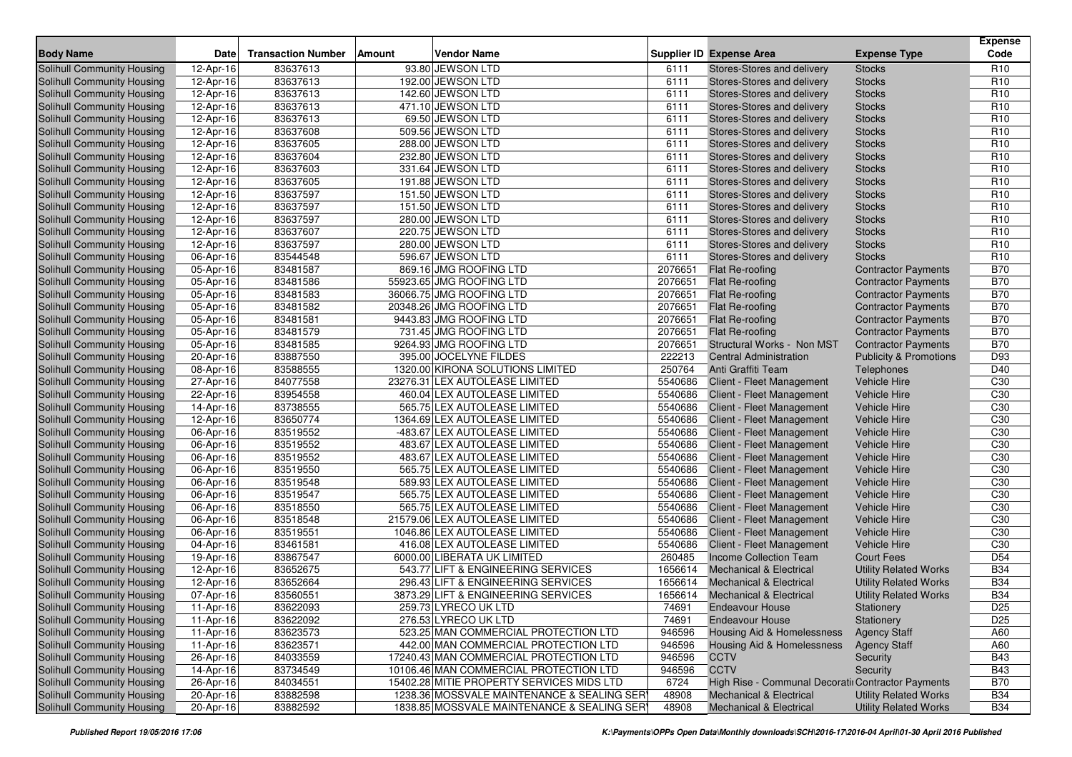| <b>Body Name</b>                  | Date            | <b>Transaction Number</b> | Vendor Name<br>Amount                      |         | <b>Supplier ID Expense Area</b>                    | <b>Expense Type</b>               | <b>Expense</b><br>Code |
|-----------------------------------|-----------------|---------------------------|--------------------------------------------|---------|----------------------------------------------------|-----------------------------------|------------------------|
| Solihull Community Housing        | 12-Apr-16       | 83637613                  | 93.80 JEWSON LTD                           | 6111    | Stores-Stores and delivery                         | <b>Stocks</b>                     | R <sub>10</sub>        |
| Solihull Community Housing        | 12-Apr-16       | 83637613                  | 192.00 JEWSON LTD                          | 6111    | Stores-Stores and delivery                         | <b>Stocks</b>                     | R <sub>10</sub>        |
| Solihull Community Housing        | 12-Apr-16       | 83637613                  | 142.60 JEWSON LTD                          | 6111    | Stores-Stores and delivery                         | <b>Stocks</b>                     | R <sub>10</sub>        |
| Solihull Community Housing        | 12-Apr-16       | 83637613                  | 471.10 JEWSON LTD                          | 6111    | Stores-Stores and delivery                         | <b>Stocks</b>                     | R <sub>10</sub>        |
| Solihull Community Housing        | 12-Apr-16       | 83637613                  | 69.50 JEWSON LTD                           | 6111    | Stores-Stores and delivery                         | <b>Stocks</b>                     | R <sub>10</sub>        |
| Solihull Community Housing        | 12-Apr-16       | 83637608                  | 509.56 JEWSON LTD                          | 6111    | Stores-Stores and delivery                         | <b>Stocks</b>                     | R <sub>10</sub>        |
| Solihull Community Housing        | 12-Apr-16       | 83637605                  | 288.00 JEWSON LTD                          | 6111    | Stores-Stores and delivery                         | <b>Stocks</b>                     | R <sub>10</sub>        |
| Solihull Community Housing        | 12-Apr-16       | 83637604                  | 232.80 JEWSON LTD                          | 6111    | Stores-Stores and delivery                         | <b>Stocks</b>                     | R <sub>10</sub>        |
| Solihull Community Housing        | 12-Apr-16       | 83637603                  | 331.64 JEWSON LTD                          | 6111    | Stores-Stores and delivery                         | <b>Stocks</b>                     | R <sub>10</sub>        |
| Solihull Community Housing        | 12-Apr-16       | 83637605                  | 191.88 JEWSON LTD                          | 6111    | Stores-Stores and delivery                         | <b>Stocks</b>                     | R <sub>10</sub>        |
| Solihull Community Housing        | 12-Apr-16       | 83637597                  | 151.50 JEWSON LTD                          | 6111    | Stores-Stores and delivery                         | <b>Stocks</b>                     | R <sub>10</sub>        |
| <b>Solihull Community Housing</b> | 12-Apr-16       | 83637597                  | 151.50 JEWSON LTD                          | 6111    | Stores-Stores and delivery                         | <b>Stocks</b>                     | R <sub>10</sub>        |
| Solihull Community Housing        | 12-Apr-16       | 83637597                  | 280.00 JEWSON LTD                          | 6111    | Stores-Stores and delivery                         | <b>Stocks</b>                     | R <sub>10</sub>        |
| Solihull Community Housing        | 12-Apr-16       | 83637607                  | 220.75 JEWSON LTD                          | 6111    | Stores-Stores and delivery                         | <b>Stocks</b>                     | R <sub>10</sub>        |
| <b>Solihull Community Housing</b> | 12-Apr-16       | 83637597                  | 280.00 JEWSON LTD                          | 6111    | Stores-Stores and delivery                         | <b>Stocks</b>                     | R <sub>10</sub>        |
| Solihull Community Housing        | 06-Apr-16       | 83544548                  | 596.67 JEWSON LTD                          | 6111    | Stores-Stores and delivery                         | <b>Stocks</b>                     | R <sub>10</sub>        |
| Solihull Community Housing        | 05-Apr-16       | 83481587                  | 869.16 JMG ROOFING LTD                     | 2076651 | Flat Re-roofing                                    | <b>Contractor Payments</b>        | <b>B70</b>             |
| <b>Solihull Community Housing</b> | 05-Apr-16       | 83481586                  | 55923.65 JMG ROOFING LTD                   | 2076651 | Flat Re-roofing                                    | <b>Contractor Payments</b>        | <b>B70</b>             |
| Solihull Community Housing        | 05-Apr-16       | 83481583                  | 36066.75 JMG ROOFING LTD                   | 2076651 | Flat Re-roofing                                    | <b>Contractor Payments</b>        | <b>B70</b>             |
| Solihull Community Housing        | 05-Apr-16       | 83481582                  | 20348.26 JMG ROOFING LTD                   | 2076651 | Flat Re-roofing                                    | <b>Contractor Payments</b>        | <b>B70</b>             |
| Solihull Community Housing        | 05-Apr-16       | 83481581                  | 9443.83 JMG ROOFING LTD                    | 2076651 | Flat Re-roofing                                    | <b>Contractor Payments</b>        | <b>B70</b>             |
| Solihull Community Housing        | 05-Apr-16       | 83481579                  | 731.45 JMG ROOFING LTD                     | 2076651 | Flat Re-roofing                                    | <b>Contractor Payments</b>        | <b>B70</b>             |
| Solihull Community Housing        | $05-Apr-16$     | 83481585                  | 9264.93 JMG ROOFING LTD                    | 2076651 | Structural Works - Non MST                         | <b>Contractor Payments</b>        | <b>B70</b>             |
| Solihull Community Housing        | 20-Apr-16       | 83887550                  | 395.00 JOCELYNE FILDES                     | 222213  | <b>Central Administration</b>                      | <b>Publicity &amp; Promotions</b> | D93                    |
| Solihull Community Housing        | 08-Apr-16       | 83588555                  | 1320.00 KIRONA SOLUTIONS LIMITED           | 250764  | Anti Graffiti Team                                 | Telephones                        | D40                    |
| Solihull Community Housing        | 27-Apr-16       | 84077558                  | 23276.31 LEX AUTOLEASE LIMITED             | 5540686 | Client - Fleet Management                          | <b>Vehicle Hire</b>               | C30                    |
| Solihull Community Housing        | 22-Apr-16       | 83954558                  | 460.04 LEX AUTOLEASE LIMITED               | 5540686 | Client - Fleet Management                          | Vehicle Hire                      | C <sub>30</sub>        |
| Solihull Community Housing        | 14-Apr-16       | 83738555                  | 565.75 LEX AUTOLEASE LIMITED               | 5540686 | Client - Fleet Management                          | <b>Vehicle Hire</b>               | C <sub>30</sub>        |
| Solihull Community Housing        | 12-Apr-16       | 83650774                  | 1364.69 LEX AUTOLEASE LIMITED              | 5540686 | Client - Fleet Management                          | <b>Vehicle Hire</b>               | C <sub>30</sub>        |
| Solihull Community Housing        | 06-Apr-16       | 83519552                  | -483.67 LEX AUTOLEASE LIMITED              | 5540686 | Client - Fleet Management                          | Vehicle Hire                      | C30                    |
| Solihull Community Housing        | 06-Apr-16       | 83519552                  | 483.67 LEX AUTOLEASE LIMITED               | 5540686 | Client - Fleet Management                          | <b>Vehicle Hire</b>               | C30                    |
| Solihull Community Housing        | 06-Apr-16       | 83519552                  | 483.67 LEX AUTOLEASE LIMITED               | 5540686 | Client - Fleet Management                          | <b>Vehicle Hire</b>               | C <sub>30</sub>        |
| Solihull Community Housing        | 06-Apr-16       | 83519550                  | 565.75 LEX AUTOLEASE LIMITED               | 5540686 | Client - Fleet Management                          | Vehicle Hire                      | C <sub>30</sub>        |
| Solihull Community Housing        | 06-Apr-16       | 83519548                  | 589.93 LEX AUTOLEASE LIMITED               | 5540686 | Client - Fleet Management                          | <b>Vehicle Hire</b>               | C30                    |
| Solihull Community Housing        | 06-Apr-16       | 83519547                  | 565.75 LEX AUTOLEASE LIMITED               | 5540686 | Client - Fleet Management                          | <b>Vehicle Hire</b>               | C <sub>30</sub>        |
| Solihull Community Housing        | 06-Apr-16       | 83518550                  | 565.75 LEX AUTOLEASE LIMITED               | 5540686 | Client - Fleet Management                          | <b>Vehicle Hire</b>               | C <sub>30</sub>        |
| <b>Solihull Community Housing</b> | 06-Apr-16       | 83518548                  | 21579.06 LEX AUTOLEASE LIMITED             | 5540686 | Client - Fleet Management                          | <b>Vehicle Hire</b>               | C <sub>30</sub>        |
| Solihull Community Housing        | 06-Apr-16       | 83519551                  | 1046.86 LEX AUTOLEASE LIMITED              | 5540686 | Client - Fleet Management                          | Vehicle Hire                      | C <sub>30</sub>        |
| Solihull Community Housing        | 04-Apr-16       | 83461581                  | 416.08 LEX AUTOLEASE LIMITED               | 5540686 | Client - Fleet Management                          | <b>Vehicle Hire</b>               | C30                    |
| <b>Solihull Community Housing</b> | 19-Apr-16       | 83867547                  | 6000.00 LIBERATA UK LIMITED                | 260485  | Income Collection Team                             | <b>Court Fees</b>                 | D <sub>54</sub>        |
| Solihull Community Housing        | 12-Apr-16       | 83652675                  | 543.77 LIFT & ENGINEERING SERVICES         | 1656614 | <b>Mechanical &amp; Electrical</b>                 | <b>Utility Related Works</b>      | <b>B34</b>             |
| Solihull Community Housing        | 12-Apr-16       | 83652664                  | 296.43 LIFT & ENGINEERING SERVICES         | 1656614 | <b>Mechanical &amp; Electrical</b>                 | <b>Utility Related Works</b>      | <b>B34</b>             |
| Solihull Community Housing        | 07-Apr-16       | 83560551                  | 3873.29 LIFT & ENGINEERING SERVICES        | 1656614 | <b>Mechanical &amp; Electrical</b>                 | <b>Utility Related Works</b>      | <b>B34</b>             |
| Solihull Community Housing        | 11-Apr-16       | 83622093                  | 259.73 LYRECO UK LTD                       | 74691   | <b>Endeavour House</b>                             | Stationery                        | D <sub>25</sub>        |
| Solihull Community Housing        | 11-Apr-16       | 83622092                  | 276.53 LYRECO UK LTD                       | 74691   | <b>Endeavour House</b>                             | Stationery                        | D <sub>25</sub>        |
| Solihull Community Housing        | 11-Apr-16       | 83623573                  | 523.25 MAN COMMERCIAL PROTECTION LTD       | 946596  | Housing Aid & Homelessness                         | <b>Agency Staff</b>               | A60                    |
| Solihull Community Housing        | 11-Apr-16       | 83623571                  | 442.00 MAN COMMERCIAL PROTECTION LTD       | 946596  | Housing Aid & Homelessness                         | <b>Agency Staff</b>               | A60                    |
| Solihull Community Housing        | $26 - Apr - 16$ | 84033559                  | 17240.43 MAN COMMERCIAL PROTECTION LTD     | 946596  | <b>CCTV</b>                                        | Security                          | <b>B43</b>             |
| <b>Solihull Community Housing</b> | 14-Apr-16       | 83734549                  | 10106.46 MAN COMMERCIAL PROTECTION LTD     | 946596  | <b>CCTV</b>                                        | Security                          | <b>B43</b>             |
| Solihull Community Housing        | 26-Apr-16       | 84034551                  | 15402.28 MITIE PROPERTY SERVICES MIDS LTD  | 6724    | High Rise - Communal Decoratiı Contractor Payments |                                   | <b>B70</b>             |
| Solihull Community Housing        | 20-Apr-16       | 83882598                  | 1238.36 MOSSVALE MAINTENANCE & SEALING SER | 48908   | <b>Mechanical &amp; Electrical</b>                 | Utility Related Works             | <b>B34</b>             |
| <b>Solihull Community Housing</b> | 20-Apr-16       | 83882592                  | 1838.85 MOSSVALE MAINTENANCE & SEALING SER | 48908   | Mechanical & Electrical                            | <b>Utility Related Works</b>      | <b>B34</b>             |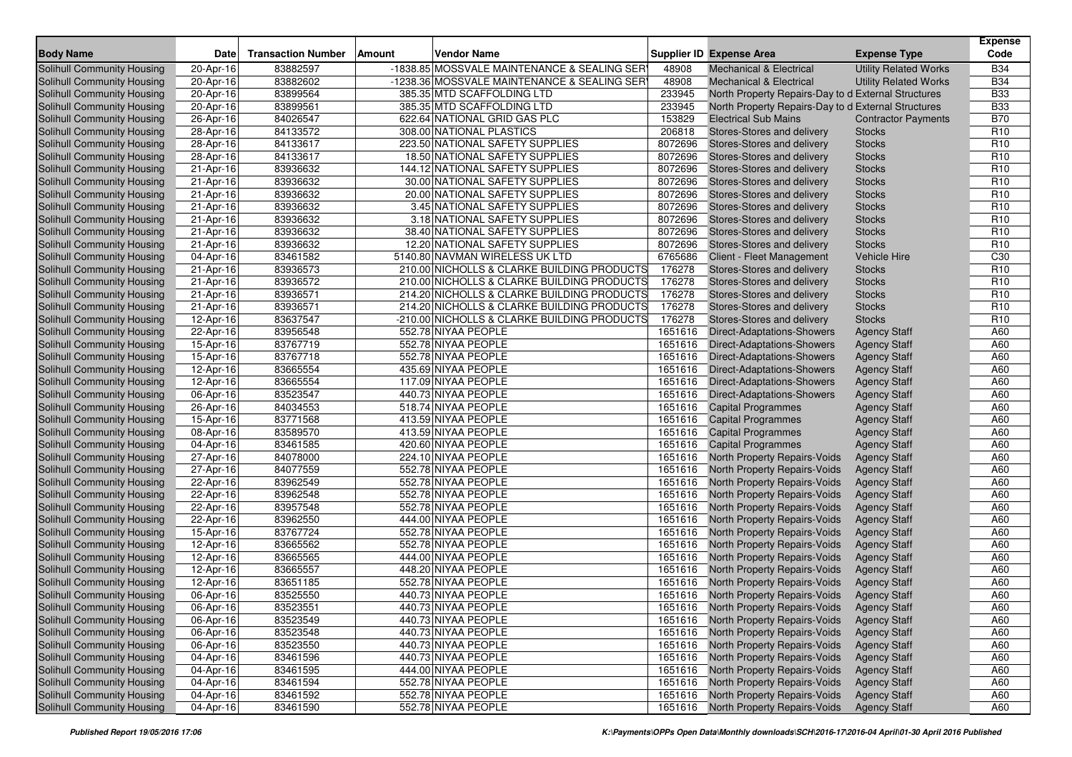|                                                                 |                         |                           |                                                                   |                    |                                                          |                                | <b>Expense</b>                     |
|-----------------------------------------------------------------|-------------------------|---------------------------|-------------------------------------------------------------------|--------------------|----------------------------------------------------------|--------------------------------|------------------------------------|
| <b>Body Name</b>                                                | <b>Date</b>             | <b>Transaction Number</b> | <b>Amount</b><br>Vendor Name                                      |                    | <b>Supplier ID Expense Area</b>                          | <b>Expense Type</b>            | Code                               |
| <b>Solihull Community Housing</b>                               | 20-Apr-16               | 83882597                  | -1838.85 MOSSVALE MAINTENANCE & SEALING SER                       | 48908              | Mechanical & Electrical                                  | <b>Utility Related Works</b>   | <b>B34</b>                         |
| Solihull Community Housing                                      | 20-Apr-16               | 83882602                  | -1238.36 MOSSVALE MAINTENANCE & SEALING SER                       | 48908              | <b>Mechanical &amp; Electrical</b>                       | <b>Utility Related Works</b>   | <b>B34</b>                         |
| Solihull Community Housing                                      | 20-Apr-16               | 83899564                  | 385.35 MTD SCAFFOLDING LTD                                        | 233945             | North Property Repairs-Day to d External Structures      |                                | <b>B33</b>                         |
| Solihull Community Housing                                      | 20-Apr-16               | 83899561                  | 385.35 MTD SCAFFOLDING LTD                                        | 233945             | North Property Repairs-Day to d External Structures      |                                | <b>B33</b>                         |
| Solihull Community Housing                                      | 26-Apr-16               | 84026547                  | 622.64 NATIONAL GRID GAS PLC                                      | 153829             | <b>Electrical Sub Mains</b>                              | <b>Contractor Payments</b>     | <b>B70</b>                         |
| Solihull Community Housing                                      | 28-Apr-16               | 84133572                  | 308.00 NATIONAL PLASTICS                                          | 206818             | Stores-Stores and delivery                               | <b>Stocks</b>                  | R <sub>10</sub>                    |
| Solihull Community Housing                                      | 28-Apr-16               | 84133617                  | 223.50 NATIONAL SAFETY SUPPLIES                                   | 8072696            | Stores-Stores and delivery                               | <b>Stocks</b>                  | R <sub>10</sub>                    |
| Solihull Community Housing                                      | 28-Apr-16               | 84133617                  | 18.50 NATIONAL SAFETY SUPPLIES<br>144.12 NATIONAL SAFETY SUPPLIES | 8072696<br>8072696 | Stores-Stores and delivery<br>Stores-Stores and delivery | <b>Stocks</b>                  | R <sub>10</sub>                    |
| Solihull Community Housing                                      | 21-Apr-16               | 83936632                  |                                                                   |                    |                                                          | <b>Stocks</b>                  | R <sub>10</sub>                    |
| Solihull Community Housing<br><b>Solihull Community Housing</b> | 21-Apr-16               | 83936632                  | 30.00 NATIONAL SAFETY SUPPLIES                                    | 8072696            | Stores-Stores and delivery                               | <b>Stocks</b>                  | R <sub>10</sub><br>R <sub>10</sub> |
| Solihull Community Housing                                      | 21-Apr-16               | 83936632<br>83936632      | 20.00 NATIONAL SAFETY SUPPLIES<br>3.45 NATIONAL SAFETY SUPPLIES   | 8072696<br>8072696 | Stores-Stores and delivery<br>Stores-Stores and delivery | <b>Stocks</b><br><b>Stocks</b> | R <sub>10</sub>                    |
| Solihull Community Housing                                      | 21-Apr-16               | 83936632                  | 3.18 NATIONAL SAFETY SUPPLIES                                     | 8072696            |                                                          | <b>Stocks</b>                  | R <sub>10</sub>                    |
| Solihull Community Housing                                      | 21-Apr-16<br>21-Apr-16  | 83936632                  | 38.40 NATIONAL SAFETY SUPPLIES                                    | 8072696            | Stores-Stores and delivery<br>Stores-Stores and delivery | <b>Stocks</b>                  | R <sub>10</sub>                    |
| Solihull Community Housing                                      | 21-Apr-16               | 83936632                  | 12.20 NATIONAL SAFETY SUPPLIES                                    | 8072696            | Stores-Stores and delivery                               | <b>Stocks</b>                  | R <sub>10</sub>                    |
| Solihull Community Housing                                      | $\overline{04}$ -Apr-16 | 83461582                  | 5140.80 NAVMAN WIRELESS UK LTD                                    | 6765686            | Client - Fleet Management                                | <b>Vehicle Hire</b>            | C <sub>30</sub>                    |
| Solihull Community Housing                                      | 21-Apr-16               | 83936573                  | 210.00 NICHOLLS & CLARKE BUILDING PRODUCTS                        | 176278             | Stores-Stores and delivery                               | <b>Stocks</b>                  | R <sub>10</sub>                    |
| Solihull Community Housing                                      | 21-Apr-16               | 83936572                  | 210.00 NICHOLLS & CLARKE BUILDING PRODUCTS                        | 176278             | Stores-Stores and delivery                               | <b>Stocks</b>                  | R <sub>10</sub>                    |
| Solihull Community Housing                                      | 21-Apr-16               | 83936571                  | 214.20 NICHOLLS & CLARKE BUILDING PRODUCTS                        | 176278             | Stores-Stores and delivery                               | <b>Stocks</b>                  | R <sub>10</sub>                    |
| Solihull Community Housing                                      | 21-Apr-16               | 83936571                  | 214.20 NICHOLLS & CLARKE BUILDING PRODUCTS                        | 176278             | Stores-Stores and delivery                               | <b>Stocks</b>                  | R <sub>10</sub>                    |
| Solihull Community Housing                                      | 12-Apr-16               | 83637547                  | -210.00 NICHOLLS & CLARKE BUILDING PRODUCTS                       | 176278             | Stores-Stores and delivery                               | <b>Stocks</b>                  | R <sub>10</sub>                    |
| Solihull Community Housing                                      | 22-Apr-16               | 83956548                  | 552.78 NIYAA PEOPLE                                               | 1651616            | <b>Direct-Adaptations-Showers</b>                        | <b>Agency Staff</b>            | A60                                |
| Solihull Community Housing                                      | 15-Apr-16               | 83767719                  | 552.78 NIYAA PEOPLE                                               | 1651616            | <b>Direct-Adaptations-Showers</b>                        | <b>Agency Staff</b>            | A60                                |
| Solihull Community Housing                                      | 15-Apr-16               | 83767718                  | 552.78 NIYAA PEOPLE                                               | 1651616            | <b>Direct-Adaptations-Showers</b>                        | <b>Agency Staff</b>            | A60                                |
| Solihull Community Housing                                      | 12-Apr-16               | 83665554                  | 435.69 NIYAA PEOPLE                                               | 1651616            | <b>Direct-Adaptations-Showers</b>                        | <b>Agency Staff</b>            | A60                                |
| Solihull Community Housing                                      | 12-Apr-16               | 83665554                  | 117.09 NIYAA PEOPLE                                               | 1651616            | <b>Direct-Adaptations-Showers</b>                        | <b>Agency Staff</b>            | A60                                |
| Solihull Community Housing                                      | 06-Apr-16               | 83523547                  | 440.73 NIYAA PEOPLE                                               | 1651616            | <b>Direct-Adaptations-Showers</b>                        | <b>Agency Staff</b>            | A60                                |
| Solihull Community Housing                                      | $26$ -Apr-16            | 84034553                  | 518.74 NIYAA PEOPLE                                               | 1651616            | <b>Capital Programmes</b>                                | <b>Agency Staff</b>            | A60                                |
| Solihull Community Housing                                      | 15-Apr-16               | 83771568                  | 413.59 NIYAA PEOPLE                                               | 1651616            | <b>Capital Programmes</b>                                | <b>Agency Staff</b>            | A60                                |
| Solihull Community Housing                                      | 08-Apr-16               | 83589570                  | 413.59 NIYAA PEOPLE                                               | 1651616            | <b>Capital Programmes</b>                                | <b>Agency Staff</b>            | A60                                |
| Solihull Community Housing                                      | 04-Apr-16               | 83461585                  | 420.60 NIYAA PEOPLE                                               | 1651616            | <b>Capital Programmes</b>                                | <b>Agency Staff</b>            | A60                                |
| Solihull Community Housing                                      | 27-Apr-16               | 84078000                  | 224.10 NIYAA PEOPLE                                               | 1651616            | North Property Repairs-Voids                             | <b>Agency Staff</b>            | A60                                |
| Solihull Community Housing                                      | 27-Apr-16               | 84077559                  | 552.78 NIYAA PEOPLE                                               | 1651616            | North Property Repairs-Voids                             | <b>Agency Staff</b>            | A60                                |
| Solihull Community Housing                                      | 22-Apr-16               | 83962549                  | 552.78 NIYAA PEOPLE                                               | 1651616            | North Property Repairs-Voids                             | <b>Agency Staff</b>            | A60                                |
| <b>Solihull Community Housing</b>                               | 22-Apr-16               | 83962548                  | 552.78 NIYAA PEOPLE                                               | 1651616            | North Property Repairs-Voids                             | <b>Agency Staff</b>            | A60                                |
| Solihull Community Housing                                      | 22-Apr-16               | 83957548                  | 552.78 NIYAA PEOPLE                                               | 1651616            | North Property Repairs-Voids                             | <b>Agency Staff</b>            | A60                                |
| Solihull Community Housing                                      | 22-Apr-16               | 83962550                  | 444.00 NIYAA PEOPLE                                               | 1651616            | North Property Repairs-Voids                             | <b>Agency Staff</b>            | A60                                |
| Solihull Community Housing                                      | 15-Apr-16               | 83767724                  | 552.78 NIYAA PEOPLE                                               | 1651616            | North Property Repairs-Voids                             | <b>Agency Staff</b>            | A60                                |
| Solihull Community Housing                                      | 12-Apr-16               | 83665562                  | 552.78 NIYAA PEOPLE                                               | 1651616            | North Property Repairs-Voids                             | <b>Agency Staff</b>            | A60                                |
| Solihull Community Housing                                      | 12-Apr-16               | 83665565                  | 444.00 NIYAA PEOPLE                                               | 1651616            | North Property Repairs-Voids                             | <b>Agency Staff</b>            | A60                                |
| <b>Solihull Community Housing</b>                               | 12-Apr-16               | 83665557                  | 448.20 NIYAA PEOPLE                                               | 1651616            | North Property Repairs-Voids                             | <b>Agency Staff</b>            | A60                                |
| <b>Solihull Community Housing</b>                               | 12-Apr-16               | 83651185                  | 552.78 NIYAA PEOPLE                                               | 1651616            | North Property Repairs-Voids                             | <b>Agency Staff</b>            | A60                                |
| Solihull Community Housing                                      | 06-Apr-16               | 83525550                  | 440.73 NIYAA PEOPLE                                               | 1651616            | North Property Repairs-Voids                             | <b>Agency Staff</b>            | A60                                |
| <b>Solihull Community Housing</b>                               | 06-Apr-16               | 83523551                  | 440.73 NIYAA PEOPLE                                               |                    | 1651616 North Property Repairs-Voids                     | <b>Agency Staff</b>            | A60                                |
| Solihull Community Housing                                      | 06-Apr-16               | 83523549                  | 440.73 NIYAA PEOPLE                                               |                    | 1651616 North Property Repairs-Voids                     | <b>Agency Staff</b>            | A60                                |
| Solihull Community Housing                                      | 06-Apr-16               | 83523548                  | 440.73 NIYAA PEOPLE                                               | 1651616            | North Property Repairs-Voids                             | <b>Agency Staff</b>            | A60                                |
| Solihull Community Housing                                      | 06-Apr-16               | 83523550                  | 440.73 NIYAA PEOPLE                                               | 1651616            | North Property Repairs-Voids                             | <b>Agency Staff</b>            | A60                                |
| Solihull Community Housing                                      | 04-Apr-16               | 83461596                  | 440.73 NIYAA PEOPLE                                               | 1651616            | North Property Repairs-Voids                             | <b>Agency Staff</b>            | A60                                |
| Solihull Community Housing                                      | 04-Apr-16               | 83461595                  | 444.00 NIYAA PEOPLE                                               | 1651616            | North Property Repairs-Voids                             | <b>Agency Staff</b>            | A60                                |
| Solihull Community Housing                                      | 04-Apr-16               | 83461594                  | 552.78 NIYAA PEOPLE                                               | 1651616            | North Property Repairs-Voids                             | <b>Agency Staff</b>            | A60                                |
| Solihull Community Housing                                      | 04-Apr-16               | 83461592                  | 552.78 NIYAA PEOPLE                                               | 1651616            | North Property Repairs-Voids                             | <b>Agency Staff</b>            | A60                                |
| Solihull Community Housing                                      | 04-Apr-16               | 83461590                  | 552.78 NIYAA PEOPLE                                               | 1651616            | North Property Repairs-Voids                             | <b>Agency Staff</b>            | A60                                |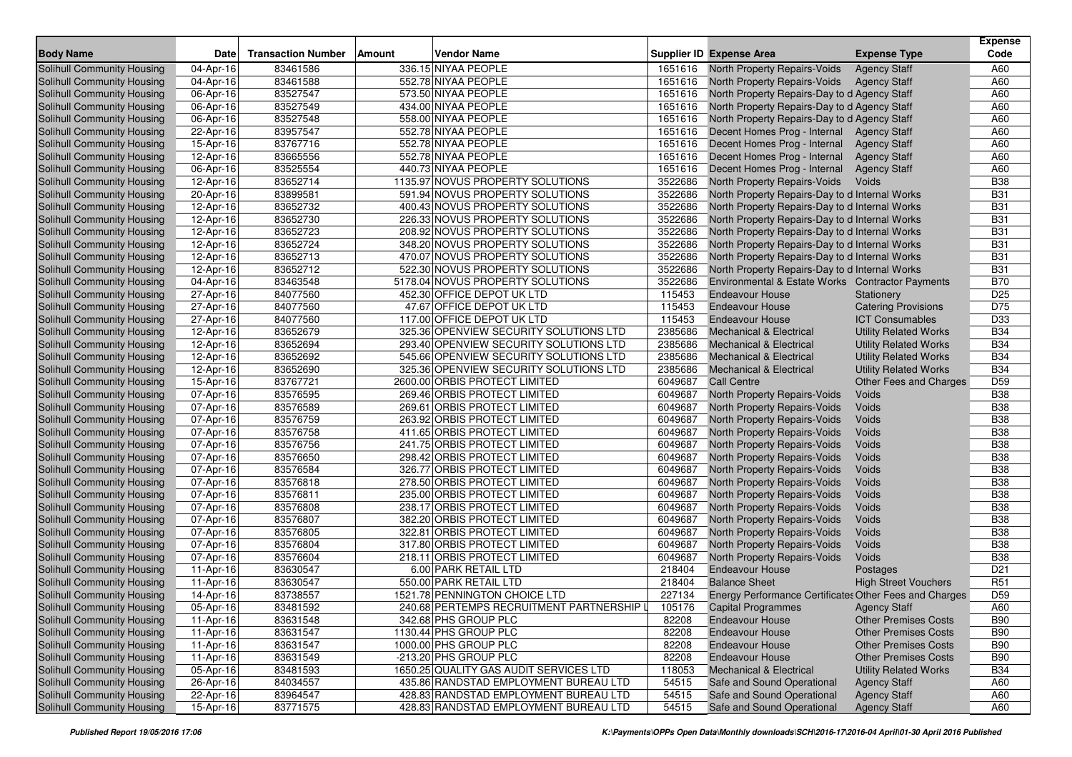| <b>Body Name</b>                  | <b>Date</b> | <b>Transaction Number</b> | Amount<br>Vendor Name                     |         | Supplier ID Expense Area                               | <b>Expense Type</b>          | <b>Expense</b><br>Code |
|-----------------------------------|-------------|---------------------------|-------------------------------------------|---------|--------------------------------------------------------|------------------------------|------------------------|
| Solihull Community Housing        | 04-Apr-16   | 83461586                  | 336.15 NIYAA PEOPLE                       | 1651616 | North Property Repairs-Voids                           | <b>Agency Staff</b>          | A60                    |
| <b>Solihull Community Housing</b> | 04-Apr-16   | 83461588                  | 552.78 NIYAA PEOPLE                       | 1651616 | North Property Repairs-Voids                           | <b>Agency Staff</b>          | A60                    |
| Solihull Community Housing        | 06-Apr-16   | 83527547                  | 573.50 NIYAA PEOPLE                       | 1651616 | North Property Repairs-Day to d Agency Staff           |                              | A60                    |
| Solihull Community Housing        | 06-Apr-16   | 83527549                  | 434.00 NIYAA PEOPLE                       | 1651616 | North Property Repairs-Day to d Agency Staff           |                              | A60                    |
| Solihull Community Housing        | 06-Apr-16   | 83527548                  | 558.00 NIYAA PEOPLE                       | 1651616 | North Property Repairs-Day to d Agency Staff           |                              | A60                    |
| Solihull Community Housing        | 22-Apr-16   | 83957547                  | 552.78 NIYAA PEOPLE                       | 1651616 | Decent Homes Prog - Internal                           | <b>Agency Staff</b>          | A60                    |
| Solihull Community Housing        | 15-Apr-16   | 83767716                  | 552.78 NIYAA PEOPLE                       | 1651616 | Decent Homes Prog - Internal                           | <b>Agency Staff</b>          | A60                    |
| Solihull Community Housing        | 12-Apr-16   | 83665556                  | 552.78 NIYAA PEOPLE                       | 1651616 | Decent Homes Prog - Internal                           | <b>Agency Staff</b>          | A60                    |
| Solihull Community Housing        | 06-Apr-16   | 83525554                  | 440.73 NIYAA PEOPLE                       | 1651616 | Decent Homes Prog - Internal                           | <b>Agency Staff</b>          | A60                    |
| Solihull Community Housing        | 12-Apr-16   | 83652714                  | 1135.97 NOVUS PROPERTY SOLUTIONS          | 3522686 | North Property Repairs-Voids                           | Voids                        | <b>B38</b>             |
| Solihull Community Housing        | 20-Apr-16   | 83899581                  | 591.94 NOVUS PROPERTY SOLUTIONS           | 3522686 | North Property Repairs-Day to d Internal Works         |                              | <b>B31</b>             |
| Solihull Community Housing        | 12-Apr-16   | 83652732                  | 400.43 NOVUS PROPERTY SOLUTIONS           | 3522686 | North Property Repairs-Day to d Internal Works         |                              | <b>B31</b>             |
| Solihull Community Housing        | 12-Apr-16   | 83652730                  | 226.33 NOVUS PROPERTY SOLUTIONS           | 3522686 | North Property Repairs-Day to d Internal Works         |                              | <b>B31</b>             |
| Solihull Community Housing        | 12-Apr-16   | 83652723                  | 208.92 NOVUS PROPERTY SOLUTIONS           | 3522686 | North Property Repairs-Day to d Internal Works         |                              | <b>B31</b>             |
| Solihull Community Housing        | 12-Apr-16   | 83652724                  | 348.20 NOVUS PROPERTY SOLUTIONS           | 3522686 | North Property Repairs-Day to d Internal Works         |                              | <b>B31</b>             |
| Solihull Community Housing        | 12-Apr-16   | 83652713                  | 470.07 NOVUS PROPERTY SOLUTIONS           | 3522686 | North Property Repairs-Day to d Internal Works         |                              | <b>B31</b>             |
| Solihull Community Housing        | 12-Apr-16   | 83652712                  | 522.30 NOVUS PROPERTY SOLUTIONS           | 3522686 | North Property Repairs-Day to d Internal Works         |                              | <b>B31</b>             |
| Solihull Community Housing        | 04-Apr-16   | 83463548                  | 5178.04 NOVUS PROPERTY SOLUTIONS          | 3522686 | Environmental & Estate Works Contractor Payments       |                              | <b>B70</b>             |
| Solihull Community Housing        | 27-Apr-16   | 84077560                  | 452.30 OFFICE DEPOT UK LTD                | 115453  | <b>Endeavour House</b>                                 | Stationery                   | D <sub>25</sub>        |
| Solihull Community Housing        | 27-Apr-16   | 84077560                  | 47.67 OFFICE DEPOT UK LTD                 | 115453  | <b>Endeavour House</b>                                 | <b>Catering Provisions</b>   | D75                    |
| Solihull Community Housing        | 27-Apr-16   | 84077560                  | 117.00 OFFICE DEPOT UK LTD                | 115453  | <b>Endeavour House</b>                                 | <b>ICT Consumables</b>       | D33                    |
| Solihull Community Housing        | 12-Apr-16   | 83652679                  | 325.36 OPENVIEW SECURITY SOLUTIONS LTD    | 2385686 | <b>Mechanical &amp; Electrical</b>                     | <b>Utility Related Works</b> | <b>B34</b>             |
| Solihull Community Housing        | 12-Apr-16   | 83652694                  | 293.40 OPENVIEW SECURITY SOLUTIONS LTD    | 2385686 | <b>Mechanical &amp; Electrical</b>                     | <b>Utility Related Works</b> | <b>B34</b>             |
| Solihull Community Housing        | 12-Apr-16   | 83652692                  | 545.66 OPENVIEW SECURITY SOLUTIONS LTD    | 2385686 | <b>Mechanical &amp; Electrical</b>                     | <b>Utility Related Works</b> | <b>B34</b>             |
| Solihull Community Housing        | 12-Apr-16   | 83652690                  | 325.36 OPENVIEW SECURITY SOLUTIONS LTD    | 2385686 | <b>Mechanical &amp; Electrical</b>                     | <b>Utility Related Works</b> | <b>B34</b>             |
| Solihull Community Housing        | 15-Apr-16   | 83767721                  | 2600.00 ORBIS PROTECT LIMITED             | 6049687 | <b>Call Centre</b>                                     | Other Fees and Charges       | D <sub>59</sub>        |
| Solihull Community Housing        | 07-Apr-16   | 83576595                  | 269.46 ORBIS PROTECT LIMITED              | 6049687 | North Property Repairs-Voids                           | Voids                        | <b>B38</b>             |
| Solihull Community Housing        | 07-Apr-16   | 83576589                  | 269.61 ORBIS PROTECT LIMITED              | 6049687 | North Property Repairs-Voids                           | Voids                        | <b>B38</b>             |
| Solihull Community Housing        | 07-Apr-16   | 83576759                  | 263.92 ORBIS PROTECT LIMITED              | 6049687 | North Property Repairs-Voids                           | Voids                        | <b>B38</b>             |
| Solihull Community Housing        | 07-Apr-16   | 83576758                  | 411.65 ORBIS PROTECT LIMITED              | 6049687 | North Property Repairs-Voids                           | Voids                        | <b>B38</b>             |
| Solihull Community Housing        | 07-Apr-16   | 83576756                  | 241.75 ORBIS PROTECT LIMITED              | 6049687 | North Property Repairs-Voids                           | Voids                        | <b>B38</b>             |
| Solihull Community Housing        | 07-Apr-16   | 83576650                  | 298.42 ORBIS PROTECT LIMITED              | 6049687 | North Property Repairs-Voids                           | Voids                        | <b>B38</b>             |
| Solihull Community Housing        | 07-Apr-16   | 83576584                  | 326.77 ORBIS PROTECT LIMITED              | 6049687 | North Property Repairs-Voids                           | Voids                        | <b>B38</b>             |
| Solihull Community Housing        | 07-Apr-16   | 83576818                  | 278.50 ORBIS PROTECT LIMITED              | 6049687 | North Property Repairs-Voids                           | Voids                        | <b>B38</b>             |
| Solihull Community Housing        | 07-Apr-16   | 83576811                  | 235.00 ORBIS PROTECT LIMITED              | 6049687 | North Property Repairs-Voids                           | Voids                        | <b>B38</b>             |
| Solihull Community Housing        | 07-Apr-16   | 83576808                  | 238.17 ORBIS PROTECT LIMITED              | 6049687 | North Property Repairs-Voids                           | Voids                        | <b>B38</b>             |
| Solihull Community Housing        | 07-Apr-16   | 83576807                  | 382.20 ORBIS PROTECT LIMITED              | 6049687 | North Property Repairs-Voids                           | Voids                        | <b>B38</b>             |
| Solihull Community Housing        | 07-Apr-16   | 83576805                  | 322.81 ORBIS PROTECT LIMITED              | 6049687 | North Property Repairs-Voids                           | Voids                        | <b>B38</b>             |
| Solihull Community Housing        | 07-Apr-16   | 83576804                  | 317.80 ORBIS PROTECT LIMITED              | 6049687 | North Property Repairs-Voids                           | Voids                        | <b>B38</b>             |
| Solihull Community Housing        | 07-Apr-16   | 83576604                  | 218.11 ORBIS PROTECT LIMITED              | 6049687 | North Property Repairs-Voids                           | Voids                        | <b>B38</b>             |
| Solihull Community Housing        | 11-Apr-16   | 83630547                  | 6.00 PARK RETAIL LTD                      | 218404  | <b>Endeavour House</b>                                 | Postages                     | D <sub>21</sub>        |
| <b>Solihull Community Housing</b> | 11-Apr-16   | 83630547                  | 550.00 PARK RETAIL LTD                    | 218404  | <b>Balance Sheet</b>                                   | <b>High Street Vouchers</b>  | R51                    |
| Solihull Community Housing        | 14-Apr-16   | 83738557                  | 1521.78 PENNINGTON CHOICE LTD             | 227134  | Energy Performance Certificates Other Fees and Charges |                              | D <sub>59</sub>        |
| Solihull Community Housing        | 05-Apr-16   | 83481592                  | 240.68 PERTEMPS RECRUITMENT PARTNERSHIP L | 105176  | <b>Capital Programmes</b>                              | <b>Agency Staff</b>          | A60                    |
| Solihull Community Housing        | 11-Apr-16   | 83631548                  | 342.68 PHS GROUP PLC                      | 82208   | <b>Endeavour House</b>                                 | <b>Other Premises Costs</b>  | <b>B90</b>             |
| Solihull Community Housing        | 11-Apr-16   | 83631547                  | 1130.44 PHS GROUP PLC                     | 82208   | Endeavour House                                        | <b>Other Premises Costs</b>  | <b>B90</b>             |
| Solihull Community Housing        | 11-Apr-16   | 83631547                  | 1000.00 PHS GROUP PLC                     | 82208   | <b>Endeavour House</b>                                 | <b>Other Premises Costs</b>  | <b>B90</b>             |
| Solihull Community Housing        | 11-Apr-16   | 83631549                  | -213.20 PHS GROUP PLC                     | 82208   | <b>Endeavour House</b>                                 | <b>Other Premises Costs</b>  | <b>B90</b>             |
| Solihull Community Housing        | 05-Apr-16   | 83481593                  | 1650.25 QUALITY GAS AUDIT SERVICES LTD    | 118053  | <b>Mechanical &amp; Electrical</b>                     | <b>Utility Related Works</b> | <b>B34</b>             |
| Solihull Community Housing        | 26-Apr-16   | 84034557                  | 435.86 RANDSTAD EMPLOYMENT BUREAU LTD     | 54515   | Safe and Sound Operational                             | <b>Agency Staff</b>          | A60                    |
| Solihull Community Housing        | 22-Apr-16   | 83964547                  | 428.83 RANDSTAD EMPLOYMENT BUREAU LTD     | 54515   | Safe and Sound Operational                             | <b>Agency Staff</b>          | A60                    |
| Solihull Community Housing        | 15-Apr-16   | 83771575                  | 428.83 RANDSTAD EMPLOYMENT BUREAU LTD     | 54515   | Safe and Sound Operational                             | <b>Agency Staff</b>          | A60                    |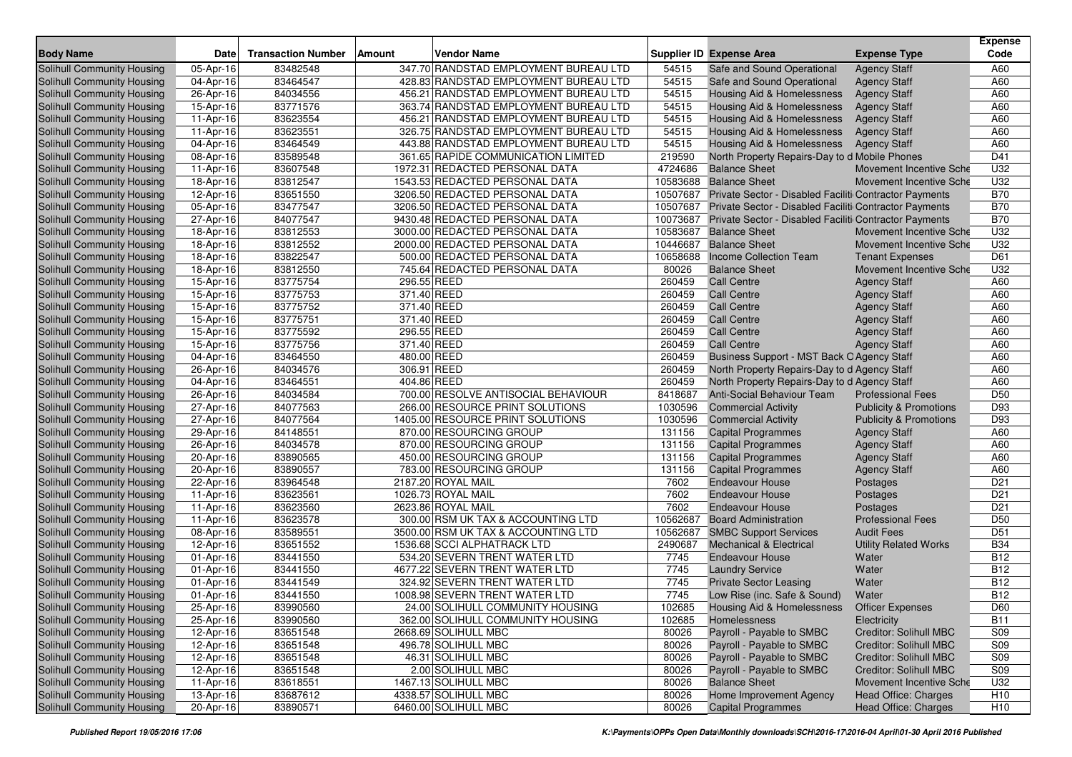| <b>Body Name</b>                                         | Date                    | <b>Transaction Number</b> | <b>Amount</b><br>Vendor Name                                                   |                 | Supplier ID Expense Area                                              | <b>Expense Type</b>               | <b>Expense</b><br>Code |
|----------------------------------------------------------|-------------------------|---------------------------|--------------------------------------------------------------------------------|-----------------|-----------------------------------------------------------------------|-----------------------------------|------------------------|
|                                                          |                         | 83482548                  |                                                                                |                 |                                                                       |                                   | A60                    |
| Solihull Community Housing<br>Solihull Community Housing | 05-Apr-16<br>04-Apr-16  |                           | 347.70 RANDSTAD EMPLOYMENT BUREAU LTD<br>428.83 RANDSTAD EMPLOYMENT BUREAU LTD | 54515           | Safe and Sound Operational                                            | <b>Agency Staff</b>               | A60                    |
|                                                          |                         | 83464547                  | 456.21 RANDSTAD EMPLOYMENT BUREAU LTD                                          | 54515<br>54515  | Safe and Sound Operational                                            | <b>Agency Staff</b>               |                        |
| Solihull Community Housing                               | 26-Apr-16               | 84034556                  |                                                                                |                 | <b>Housing Aid &amp; Homelessness</b>                                 | <b>Agency Staff</b>               | A60                    |
| Solihull Community Housing                               | 15-Apr-16               | 83771576                  | 363.74 RANDSTAD EMPLOYMENT BUREAU LTD<br>456.21 RANDSTAD EMPLOYMENT BUREAU LTD | 54515           | Housing Aid & Homelessness                                            | <b>Agency Staff</b>               | A60<br>A60             |
| Solihull Community Housing                               | 11-Apr-16               | 83623554<br>83623551      | 326.75 RANDSTAD EMPLOYMENT BUREAU LTD                                          | 54515           | Housing Aid & Homelessness                                            | <b>Agency Staff</b>               | A60                    |
| Solihull Community Housing<br>Solihull Community Housing | 11-Apr-16               |                           |                                                                                | 54515           | <b>Housing Aid &amp; Homelessness</b>                                 | <b>Agency Staff</b>               | A60                    |
| Solihull Community Housing                               | 04-Apr-16<br>08-Apr-16  | 83464549<br>83589548      | 443.88 RANDSTAD EMPLOYMENT BUREAU LTD<br>361.65 RAPIDE COMMUNICATION LIMITED   | 54515<br>219590 | Housing Aid & Homelessness                                            | <b>Agency Staff</b>               | D41                    |
| Solihull Community Housing                               | 11-Apr-16               | 83607548                  | 1972.31 REDACTED PERSONAL DATA                                                 | 4724686         | North Property Repairs-Day to d Mobile Phones<br><b>Balance Sheet</b> | Movement Incentive Sche           | U32                    |
| Solihull Community Housing                               | 18-Apr-16               | 83812547                  | 1543.53 REDACTED PERSONAL DATA                                                 | 10583688        | <b>Balance Sheet</b>                                                  | Movement Incentive Sche           | U32                    |
| Solihull Community Housing                               | 12-Apr-16               | 83651550                  | 3206.50 REDACTED PERSONAL DATA                                                 | 10507687        | Private Sector - Disabled Faciliti Contractor Payments                |                                   | <b>B70</b>             |
| Solihull Community Housing                               | $\overline{05}$ -Apr-16 | 83477547                  | 3206.50 REDACTED PERSONAL DATA                                                 | 10507687        | Private Sector - Disabled Faciliti Contractor Payments                |                                   | <b>B70</b>             |
| Solihull Community Housing                               | 27-Apr-16               | 84077547                  | 9430.48 REDACTED PERSONAL DATA                                                 | 10073687        | Private Sector - Disabled Faciliti Contractor Payments                |                                   | <b>B70</b>             |
| Solihull Community Housing                               | 18-Apr-16               | 83812553                  | 3000.00 REDACTED PERSONAL DATA                                                 | 10583687        | <b>Balance Sheet</b>                                                  | Movement Incentive Sche           | U32                    |
| Solihull Community Housing                               | 18-Apr-16               | 83812552                  | 2000.00 REDACTED PERSONAL DATA                                                 | 10446687        | <b>Balance Sheet</b>                                                  | Movement Incentive Sche           | U32                    |
| Solihull Community Housing                               | 18-Apr-16               | 83822547                  | 500.00 REDACTED PERSONAL DATA                                                  | 10658688        | Income Collection Team                                                | <b>Tenant Expenses</b>            | D61                    |
| Solihull Community Housing                               | 18-Apr-16               | 83812550                  | 745.64 REDACTED PERSONAL DATA                                                  | 80026           | <b>Balance Sheet</b>                                                  | Movement Incentive Sche           | U32                    |
| Solihull Community Housing                               | 15-Apr-16               | 83775754                  | 296.55 REED                                                                    | 260459          | <b>Call Centre</b>                                                    | <b>Agency Staff</b>               | A60                    |
| Solihull Community Housing                               | 15-Apr-16               | 83775753                  | 371.40 REED                                                                    | 260459          | <b>Call Centre</b>                                                    | <b>Agency Staff</b>               | A60                    |
| Solihull Community Housing                               | 15-Apr-16               | 83775752                  | 371.40 REED                                                                    | 260459          | <b>Call Centre</b>                                                    | <b>Agency Staff</b>               | A60                    |
| Solihull Community Housing                               | 15-Apr-16               | 83775751                  | 371.40 REED                                                                    | 260459          | <b>Call Centre</b>                                                    | <b>Agency Staff</b>               | A60                    |
| Solihull Community Housing                               | 15-Apr-16               | 83775592                  | 296.55 REED                                                                    | 260459          | <b>Call Centre</b>                                                    | <b>Agency Staff</b>               | A60                    |
| Solihull Community Housing                               | 15-Apr-16               | 83775756                  | 371.40 REED                                                                    | 260459          | <b>Call Centre</b>                                                    | <b>Agency Staff</b>               | A60                    |
| Solihull Community Housing                               | 04-Apr-16               | 83464550                  | 480.00 REED                                                                    | 260459          | Business Support - MST Back O Agency Staff                            |                                   | A60                    |
| Solihull Community Housing                               | 26-Apr-16               | 84034576                  | 306.91 REED                                                                    | 260459          | North Property Repairs-Day to d Agency Staff                          |                                   | A60                    |
| Solihull Community Housing                               | 04-Apr-16               | 83464551                  | 404.86 REED                                                                    | 260459          | North Property Repairs-Day to d Agency Staff                          |                                   | A60                    |
| Solihull Community Housing                               | 26-Apr-16               | 84034584                  | 700.00 RESOLVE ANTISOCIAL BEHAVIOUR                                            | 8418687         | Anti-Social Behaviour Team                                            | <b>Professional Fees</b>          | D <sub>50</sub>        |
| Solihull Community Housing                               | 27-Apr-16               | 84077563                  | 266.00 RESOURCE PRINT SOLUTIONS                                                | 1030596         | <b>Commercial Activity</b>                                            | <b>Publicity &amp; Promotions</b> | D93                    |
| Solihull Community Housing                               | 27-Apr-16               | 84077564                  | 1405.00 RESOURCE PRINT SOLUTIONS                                               | 1030596         | <b>Commercial Activity</b>                                            | <b>Publicity &amp; Promotions</b> | D93                    |
| Solihull Community Housing                               | 29-Apr-16               | 84148551                  | 870.00 RESOURCING GROUP                                                        | 131156          | <b>Capital Programmes</b>                                             | <b>Agency Staff</b>               | A60                    |
| Solihull Community Housing                               | 26-Apr-16               | 84034578                  | 870.00 RESOURCING GROUP                                                        | 131156          | <b>Capital Programmes</b>                                             | <b>Agency Staff</b>               | A60                    |
| Solihull Community Housing                               | 20-Apr-16               | 83890565                  | 450.00 RESOURCING GROUP                                                        | 131156          | <b>Capital Programmes</b>                                             | <b>Agency Staff</b>               | A60                    |
| Solihull Community Housing                               | 20-Apr-16               | 83890557                  | 783.00 RESOURCING GROUP                                                        | 131156          | <b>Capital Programmes</b>                                             | <b>Agency Staff</b>               | A60                    |
| Solihull Community Housing                               | 22-Apr-16               | 83964548                  | 2187.20 ROYAL MAIL                                                             | 7602            | <b>Endeavour House</b>                                                | Postages                          | D <sub>21</sub>        |
| Solihull Community Housing                               | 11-Apr-16               | 83623561                  | 1026.73 ROYAL MAIL                                                             | 7602            | <b>Endeavour House</b>                                                | Postages                          | D <sub>21</sub>        |
| Solihull Community Housing                               | 11-Apr-16               | 83623560                  | 2623.86 ROYAL MAIL                                                             | 7602            | <b>Endeavour House</b>                                                | Postages                          | D <sub>21</sub>        |
| Solihull Community Housing                               | 11-Apr-16               | 83623578                  | 300.00 RSM UK TAX & ACCOUNTING LTD                                             | 10562687        | <b>Board Administration</b>                                           | <b>Professional Fees</b>          | D <sub>50</sub>        |
| Solihull Community Housing                               | 08-Apr-16               | 83589551                  | 3500.00 RSM UK TAX & ACCOUNTING LTD                                            | 10562687        | <b>SMBC Support Services</b>                                          | <b>Audit Fees</b>                 | D <sub>51</sub>        |
| Solihull Community Housing                               | 12-Apr-16               | 83651552                  | 1536.68 SCCI ALPHATRACK LTD                                                    | 2490687         | <b>Mechanical &amp; Electrical</b>                                    | <b>Utility Related Works</b>      | <b>B34</b>             |
| Solihull Community Housing                               | 01-Apr-16               | 83441550                  | 534.20 SEVERN TRENT WATER LTD                                                  | 7745            | <b>Endeavour House</b>                                                | Water                             | <b>B12</b>             |
| Solihull Community Housing                               | 01-Apr-16               | 83441550                  | 4677.22 SEVERN TRENT WATER LTD                                                 | 7745            | <b>Laundry Service</b>                                                | Water                             | <b>B12</b>             |
| Solihull Community Housing                               | 01-Apr-16               | 83441549                  | 324.92 SEVERN TRENT WATER LTD                                                  | 7745            | <b>Private Sector Leasing</b>                                         | Water                             | <b>B12</b>             |
| Solihull Community Housing                               | 01-Apr-16               | 83441550                  | 1008.98 SEVERN TRENT WATER LTD                                                 | 7745            | Low Rise (inc. Safe & Sound)                                          | Water                             | <b>B12</b>             |
| Solihull Community Housing                               | 25-Apr-16               | 83990560                  | 24.00 SOLIHULL COMMUNITY HOUSING                                               | 102685          | Housing Aid & Homelessness                                            | <b>Officer Expenses</b>           | D60                    |
| Solihull Community Housing                               | 25-Apr-16               | 83990560                  | 362.00 SOLIHULL COMMUNITY HOUSING                                              | 102685          | Homelessness                                                          | Electricity                       | <b>B11</b>             |
| Solihull Community Housing                               | 12-Apr-16               | 83651548                  | 2668.69 SOLIHULL MBC                                                           | 80026           | Payroll - Payable to SMBC                                             | Creditor: Solihull MBC            | S09                    |
| Solihull Community Housing                               | 12-Apr-16               | 83651548                  | 496.78 SOLIHULL MBC                                                            | 80026           | Payroll - Payable to SMBC                                             | Creditor: Solihull MBC            | S09                    |
| Solihull Community Housing                               | $12-Apr-16$             | 83651548                  | 46.31 SOLIHULL MBC                                                             | 80026           | Payroll - Payable to SMBC                                             | Creditor: Solihull MBC            | S09                    |
| Solihull Community Housing                               | 12-Apr-16               | 83651548                  | 2.00 SOLIHULL MBC                                                              | 80026           | Payroll - Payable to SMBC                                             | Creditor: Solihull MBC            | S09                    |
| Solihull Community Housing                               | 11-Apr-16               | 83618551                  | 1467.13 SOLIHULL MBC                                                           | 80026           | <b>Balance Sheet</b>                                                  | Movement Incentive Sche           | U32                    |
| Solihull Community Housing                               | 13-Apr-16               | 83687612                  | 4338.57 SOLIHULL MBC                                                           | 80026           | Home Improvement Agency                                               | Head Office: Charges              | H <sub>10</sub>        |
| Solihull Community Housing                               | 20-Apr-16               | 83890571                  | 6460.00 SOLIHULL MBC                                                           | 80026           | <b>Capital Programmes</b>                                             | Head Office: Charges              | H <sub>10</sub>        |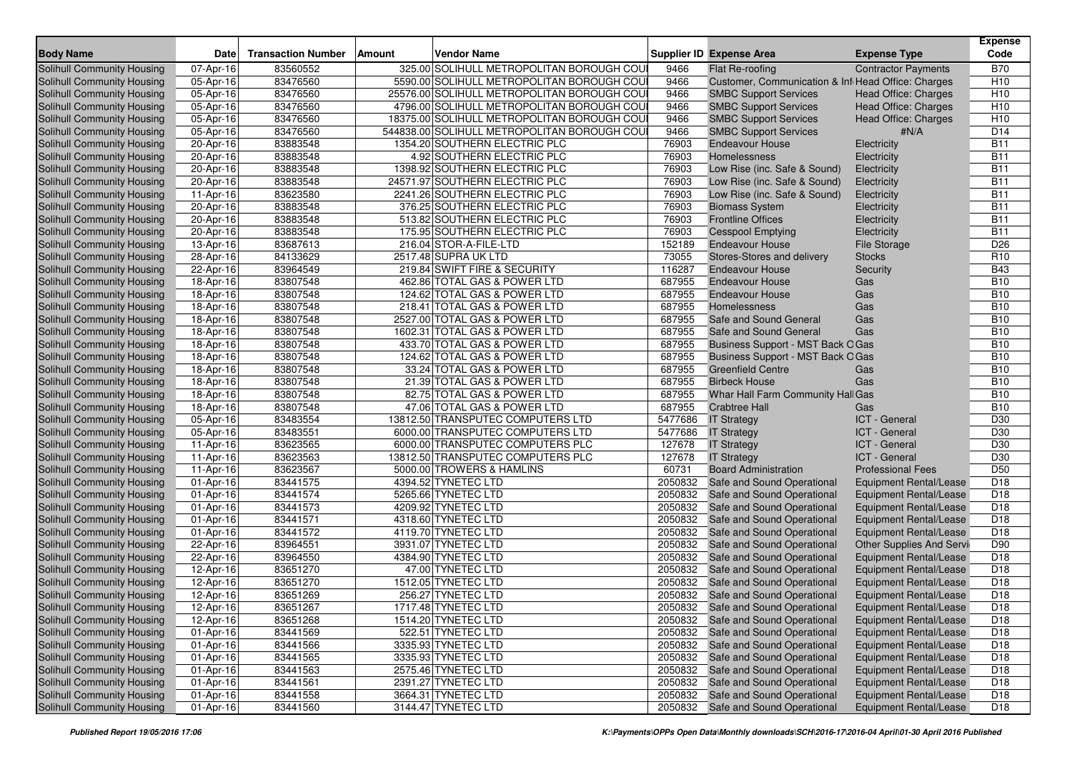| <b>Body Name</b>                  | <b>Date</b>            | <b>Transaction Number</b> | Amount<br>Vendor Name                       |         | <b>Supplier ID Expense Area</b>                    | <b>Expense Type</b>           | <b>Expense</b><br>Code |
|-----------------------------------|------------------------|---------------------------|---------------------------------------------|---------|----------------------------------------------------|-------------------------------|------------------------|
| Solihull Community Housing        | 07-Apr-16              | 83560552                  | 325.00 SOLIHULL METROPOLITAN BOROUGH COU    | 9466    | Flat Re-roofing                                    | <b>Contractor Payments</b>    | <b>B70</b>             |
| <b>Solihull Community Housing</b> | 05-Apr-16              | 83476560                  | 5590.00 SOLIHULL METROPOLITAN BOROUGH COU   | 9466    | Customer, Communication & Inf Head Office: Charges |                               | H <sub>10</sub>        |
| Solihull Community Housing        | 05-Apr-16              | 83476560                  | 25576.00 SOLIHULL METROPOLITAN BOROUGH COU  | 9466    | <b>SMBC Support Services</b>                       | <b>Head Office: Charges</b>   | H <sub>10</sub>        |
| Solihull Community Housing        | 05-Apr-16              | 83476560                  | 4796.00 SOLIHULL METROPOLITAN BOROUGH COU   | 9466    | <b>SMBC Support Services</b>                       | Head Office: Charges          | H <sub>10</sub>        |
| Solihull Community Housing        | 05-Apr-16              | 83476560                  | 18375.00 SOLIHULL METROPOLITAN BOROUGH COU  | 9466    | <b>SMBC Support Services</b>                       | <b>Head Office: Charges</b>   | H <sub>10</sub>        |
| Solihull Community Housing        | 05-Apr-16              | 83476560                  | 544838.00 SOLIHULL METROPOLITAN BOROUGH COU | 9466    | <b>SMBC Support Services</b>                       | #N/A                          | D <sub>14</sub>        |
| Solihull Community Housing        | 20-Apr-16              | 83883548                  | 1354.20 SOUTHERN ELECTRIC PLC               | 76903   | <b>Endeavour House</b>                             | Electricity                   | <b>B11</b>             |
| Solihull Community Housing        | 20-Apr-16              | 83883548                  | 4.92 SOUTHERN ELECTRIC PLC                  | 76903   | Homelessness                                       | Electricity                   | <b>B11</b>             |
| Solihull Community Housing        | 20-Apr-16              | 83883548                  | 1398.92 SOUTHERN ELECTRIC PLC               | 76903   | Low Rise (inc. Safe & Sound)                       | Electricity                   | <b>B11</b>             |
| Solihull Community Housing        | 20-Apr-16              | 83883548                  | 24571.97 SOUTHERN ELECTRIC PLC              | 76903   | Low Rise (inc. Safe & Sound)                       | Electricity                   | <b>B11</b>             |
| Solihull Community Housing        | 11-Apr-16              | 83623580                  | 2241.26 SOUTHERN ELECTRIC PLC               | 76903   | Low Rise (inc. Safe & Sound)                       | Electricity                   | <b>B11</b>             |
| Solihull Community Housing        | 20-Apr-16              | 83883548                  | 376.25 SOUTHERN ELECTRIC PLC                | 76903   | <b>Biomass System</b>                              | Electricity                   | <b>B11</b>             |
| Solihull Community Housing        | 20-Apr-16              | 83883548                  | 513.82 SOUTHERN ELECTRIC PLC                | 76903   | <b>Frontline Offices</b>                           | Electricity                   | <b>B11</b>             |
| Solihull Community Housing        | 20-Apr-16              | 83883548                  | 175.95 SOUTHERN ELECTRIC PLC                | 76903   | <b>Cesspool Emptying</b>                           | Electricity                   | <b>B11</b>             |
| Solihull Community Housing        | 13-Apr-16              | 83687613                  | 216.04 STOR-A-FILE-LTD                      | 152189  | <b>Endeavour House</b>                             | <b>File Storage</b>           | D <sub>26</sub>        |
| Solihull Community Housing        | 28-Apr-16              | 84133629                  | 2517.48 SUPRA UK LTD                        | 73055   | Stores-Stores and delivery                         | <b>Stocks</b>                 | R <sub>10</sub>        |
| Solihull Community Housing        | 22-Apr-16              | 83964549                  | 219.84 SWIFT FIRE & SECURITY                | 116287  | <b>Endeavour House</b>                             | Security                      | <b>B43</b>             |
| Solihull Community Housing        | 18-Apr-16              | 83807548                  | 462.86 TOTAL GAS & POWER LTD                | 687955  | <b>Endeavour House</b>                             | Gas                           | <b>B10</b>             |
| Solihull Community Housing        | 18-Apr-16              | 83807548                  | 124.62 TOTAL GAS & POWER LTD                | 687955  | <b>Endeavour House</b>                             | Gas                           | <b>B10</b>             |
| Solihull Community Housing        | $18 - Apr - 16$        | 83807548                  | 218.41 TOTAL GAS & POWER LTD                | 687955  | Homelessness                                       | Gas                           | <b>B10</b>             |
| Solihull Community Housing        | 18-Apr-16              | 83807548                  | 2527.00 TOTAL GAS & POWER LTD               | 687955  | Safe and Sound General                             | Gas                           | <b>B10</b>             |
| Solihull Community Housing        | 18-Apr-16              | 83807548                  | 1602.31 TOTAL GAS & POWER LTD               | 687955  | Safe and Sound General                             | Gas                           | <b>B10</b>             |
| Solihull Community Housing        | 18-Apr-16              | 83807548                  | 433.70 TOTAL GAS & POWER LTD                | 687955  | Business Support - MST Back O Gas                  |                               | <b>B10</b>             |
| Solihull Community Housing        | 18-Apr-16              | 83807548                  | 124.62 TOTAL GAS & POWER LTD                | 687955  | Business Support - MST Back OGas                   |                               | <b>B10</b>             |
| Solihull Community Housing        | 18-Apr-16              | 83807548                  | 33.24 TOTAL GAS & POWER LTD                 | 687955  | <b>Greenfield Centre</b>                           | Gas                           | <b>B10</b>             |
| Solihull Community Housing        | 18-Apr-16              | 83807548                  | 21.39 TOTAL GAS & POWER LTD                 | 687955  | <b>Birbeck House</b>                               | Gas                           | <b>B10</b>             |
| Solihull Community Housing        | 18-Apr-16              | 83807548                  | 82.75 TOTAL GAS & POWER LTD                 | 687955  | Whar Hall Farm Community Hall Gas                  |                               | <b>B10</b>             |
| Solihull Community Housing        | 18-Apr-16              | 83807548                  | 47.06 TOTAL GAS & POWER LTD                 | 687955  | <b>Crabtree Hall</b>                               | Gas                           | <b>B10</b>             |
| Solihull Community Housing        | 05-Apr-16              | 83483554                  | 13812.50 TRANSPUTEC COMPUTERS LTD           | 5477686 | <b>IT Strategy</b>                                 | <b>ICT</b> - General          | D30                    |
| Solihull Community Housing        | 05-Apr-16              | 83483551                  | 6000.00 TRANSPUTEC COMPUTERS LTD            | 5477686 | <b>IT Strategy</b>                                 | ICT - General                 | D30                    |
| Solihull Community Housing        | 11-Apr-16              | 83623565                  | 6000.00 TRANSPUTEC COMPUTERS PLC            | 127678  | <b>IT Strategy</b>                                 | ICT - General                 | D30                    |
| Solihull Community Housing        | 11-Apr-16              | 83623563                  | 13812.50 TRANSPUTEC COMPUTERS PLC           | 127678  | <b>IT Strategy</b>                                 | ICT - General                 | D30                    |
| Solihull Community Housing        | 11-Apr-16              | 83623567                  | 5000.00 TROWERS & HAMLINS                   | 60731   | <b>Board Administration</b>                        | <b>Professional Fees</b>      | D <sub>50</sub>        |
| Solihull Community Housing        | 01-Apr-16              | 83441575                  | 4394.52 TYNETEC LTD                         | 2050832 | Safe and Sound Operational                         | <b>Equipment Rental/Lease</b> | D <sub>18</sub>        |
| Solihull Community Housing        | 01-Apr-16              | 83441574                  | 5265.66 TYNETEC LTD                         | 2050832 | Safe and Sound Operational                         | <b>Equipment Rental/Lease</b> | D <sub>18</sub>        |
| Solihull Community Housing        | 01-Apr-16              | 83441573                  | 4209.92 TYNETEC LTD                         | 2050832 | Safe and Sound Operational                         | <b>Equipment Rental/Lease</b> | D <sub>18</sub>        |
| Solihull Community Housing        | 01-Apr-16              | 83441571                  | 4318.60 TYNETEC LTD                         | 2050832 | Safe and Sound Operational                         | <b>Equipment Rental/Lease</b> | D <sub>18</sub>        |
| Solihull Community Housing        | 01-Apr-16              | 83441572                  | 4119.70 TYNETEC LTD                         | 2050832 | Safe and Sound Operational                         | <b>Equipment Rental/Lease</b> | D <sub>18</sub>        |
| Solihull Community Housing        | 22-Apr-16              | 83964551                  | 3931.07 TYNETEC LTD                         | 2050832 | Safe and Sound Operational                         | Other Supplies And Servi      | D90                    |
| Solihull Community Housing        | 22-Apr-16              | 83964550                  | 4384.90 TYNETEC LTD                         | 2050832 | Safe and Sound Operational                         | Equipment Rental/Lease        | D <sub>18</sub>        |
| Solihull Community Housing        | 12-Apr-16              | 83651270                  | 47.00 TYNETEC LTD                           | 2050832 | Safe and Sound Operational                         | <b>Equipment Rental/Lease</b> | D <sub>18</sub>        |
| Solihull Community Housing        | 12-Apr-16              | 83651270                  | 1512.05 TYNETEC LTD                         | 2050832 | Safe and Sound Operational                         | Equipment Rental/Lease        | D <sub>18</sub>        |
| Solihull Community Housing        | 12-Apr-16              | 83651269                  | 256.27 TYNETEC LTD                          | 2050832 | Safe and Sound Operational                         | <b>Equipment Rental/Lease</b> | D <sub>18</sub>        |
| Solihull Community Housing        | 12-Apr-16              | 83651267                  | 1717.48 TYNETEC LTD                         |         | 2050832 Safe and Sound Operational                 | <b>Equipment Rental/Lease</b> | D18                    |
| Solihull Community Housing        | 12-Apr-16              | 83651268                  | 1514.20 TYNETEC LTD                         |         | 2050832 Safe and Sound Operational                 | <b>Equipment Rental/Lease</b> | D <sub>18</sub>        |
| Solihull Community Housing        | 01-Apr-16              | 83441569                  | 522.51 TYNETEC LTD                          | 2050832 | Safe and Sound Operational                         | <b>Equipment Rental/Lease</b> | D <sub>18</sub>        |
| Solihull Community Housing        | 01-Apr-16              | 83441566                  | 3335.93 TYNETEC LTD                         | 2050832 | Safe and Sound Operational                         | <b>Equipment Rental/Lease</b> | D18                    |
| Solihull Community Housing        | $\overline{01-Apr-16}$ | 83441565                  | 3335.93 TYNETEC LTD                         |         | 2050832 Safe and Sound Operational                 | Equipment Rental/Lease        | D18                    |
| Solihull Community Housing        | 01-Apr-16              | 83441563                  | 2575.46 TYNETEC LTD                         | 2050832 | Safe and Sound Operational                         | Equipment Rental/Lease        | D18                    |
| Solihull Community Housing        | 01-Apr-16              | 83441561                  | 2391.27 TYNETEC LTD                         | 2050832 | Safe and Sound Operational                         | <b>Equipment Rental/Lease</b> | D18                    |
| Solihull Community Housing        | 01-Apr-16              | 83441558                  | 3664.31 TYNETEC LTD                         | 2050832 | Safe and Sound Operational                         | Equipment Rental/Lease        | D18                    |
| Solihull Community Housing        | 01-Apr-16              | 83441560                  | 3144.47 TYNETEC LTD                         | 2050832 | Safe and Sound Operational                         | <b>Equipment Rental/Lease</b> | D <sub>18</sub>        |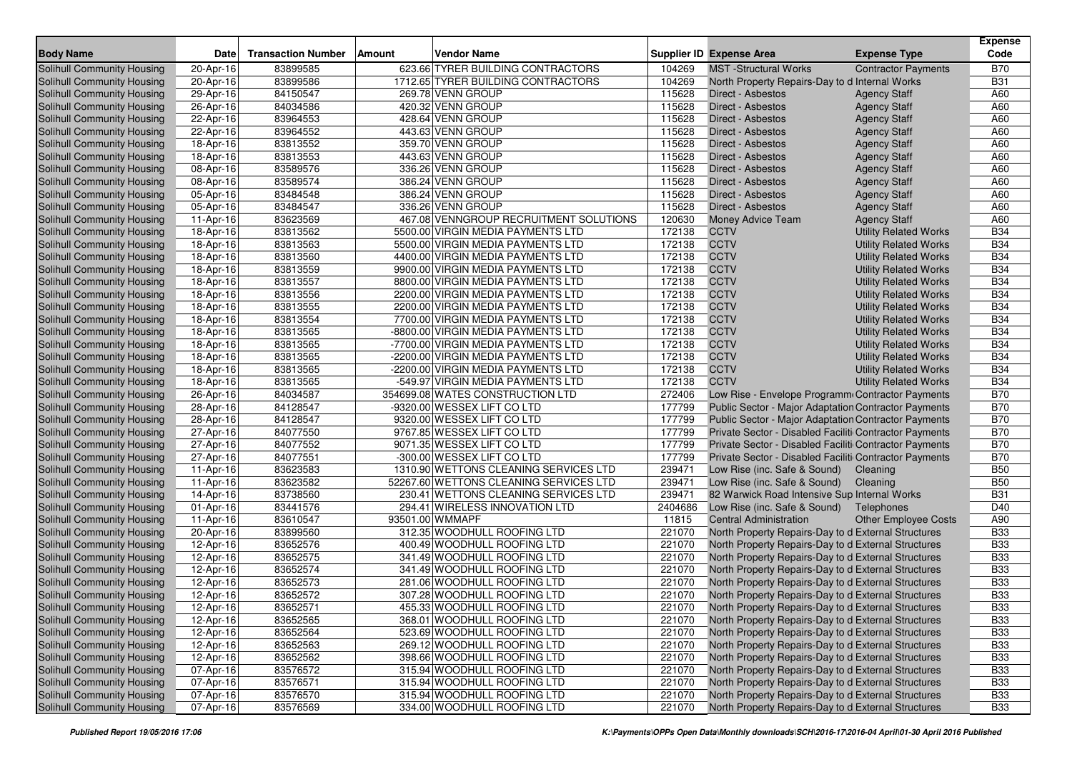|                                   |           |                           |               |                                        |         |                                                        |                              | <b>Expense</b><br>Code |
|-----------------------------------|-----------|---------------------------|---------------|----------------------------------------|---------|--------------------------------------------------------|------------------------------|------------------------|
| <b>Body Name</b>                  | Date      | <b>Transaction Number</b> | <b>Amount</b> | <b>Vendor Name</b>                     |         | <b>Supplier ID Expense Area</b>                        | <b>Expense Type</b>          |                        |
| <b>Solihull Community Housing</b> | 20-Apr-16 | 83899585                  |               | 623.66 TYRER BUILDING CONTRACTORS      | 104269  | <b>MST</b> -Structural Works                           | <b>Contractor Payments</b>   | <b>B70</b>             |
| <b>Solihull Community Housing</b> | 20-Apr-16 | 83899586                  |               | 1712.65 TYRER BUILDING CONTRACTORS     | 104269  | North Property Repairs-Day to d Internal Works         |                              | <b>B31</b>             |
| <b>Solihull Community Housing</b> | 29-Apr-16 | 84150547                  |               | 269.78 VENN GROUP                      | 115628  | Direct - Asbestos                                      | <b>Agency Staff</b>          | A60                    |
| Solihull Community Housing        | 26-Apr-16 | 84034586                  |               | 420.32 VENN GROUP                      | 115628  | Direct - Asbestos                                      | <b>Agency Staff</b>          | A60                    |
| Solihull Community Housing        | 22-Apr-16 | 83964553                  |               | 428.64 VENN GROUP                      | 115628  | Direct - Asbestos                                      | <b>Agency Staff</b>          | A60                    |
| Solihull Community Housing        | 22-Apr-16 | 83964552                  |               | 443.63 VENN GROUP                      | 115628  | Direct - Asbestos                                      | <b>Agency Staff</b>          | A60                    |
| Solihull Community Housing        | 18-Apr-16 | 83813552                  |               | 359.70 VENN GROUP                      | 115628  | Direct - Asbestos                                      | <b>Agency Staff</b>          | A60                    |
| Solihull Community Housing        | 18-Apr-16 | 83813553                  |               | 443.63 VENN GROUP                      | 115628  | Direct - Asbestos                                      | <b>Agency Staff</b>          | A60                    |
| Solihull Community Housing        | 08-Apr-16 | 83589576                  |               | 336.26 VENN GROUP                      | 115628  | Direct - Asbestos                                      | <b>Agency Staff</b>          | A60                    |
| Solihull Community Housing        | 08-Apr-16 | 83589574                  |               | 386.24 VENN GROUP                      | 115628  | Direct - Asbestos                                      | <b>Agency Staff</b>          | A60                    |
| Solihull Community Housing        | 05-Apr-16 | 83484548                  |               | 386.24 VENN GROUP                      | 115628  | Direct - Asbestos                                      | <b>Agency Staff</b>          | A60                    |
| Solihull Community Housing        | 05-Apr-16 | 83484547                  |               | 336.26 VENN GROUP                      | 115628  | Direct - Asbestos                                      | <b>Agency Staff</b>          | A60                    |
| Solihull Community Housing        | 11-Apr-16 | 83623569                  |               | 467.08 VENNGROUP RECRUITMENT SOLUTIONS | 120630  | Money Advice Team                                      | <b>Agency Staff</b>          | A60                    |
| Solihull Community Housing        | 18-Apr-16 | 83813562                  |               | 5500.00 VIRGIN MEDIA PAYMENTS LTD      | 172138  | <b>CCTV</b>                                            | <b>Utility Related Works</b> | <b>B34</b>             |
| Solihull Community Housing        | 18-Apr-16 | 83813563                  |               | 5500.00 VIRGIN MEDIA PAYMENTS LTD      | 172138  | <b>CCTV</b>                                            | <b>Utility Related Works</b> | <b>B34</b>             |
| Solihull Community Housing        | 18-Apr-16 | 83813560                  |               | 4400.00 VIRGIN MEDIA PAYMENTS LTD      | 172138  | <b>CCTV</b>                                            | <b>Utility Related Works</b> | <b>B34</b>             |
| <b>Solihull Community Housing</b> | 18-Apr-16 | 83813559                  |               | 9900.00 VIRGIN MEDIA PAYMENTS LTD      | 172138  | <b>CCTV</b>                                            | <b>Utility Related Works</b> | <b>B34</b>             |
| Solihull Community Housing        | 18-Apr-16 | 83813557                  |               | 8800.00 VIRGIN MEDIA PAYMENTS LTD      | 172138  | <b>CCTV</b>                                            | <b>Utility Related Works</b> | <b>B34</b>             |
| Solihull Community Housing        | 18-Apr-16 | 83813556                  |               | 2200.00 VIRGIN MEDIA PAYMENTS LTD      | 172138  | <b>CCTV</b>                                            | <b>Utility Related Works</b> | <b>B34</b>             |
| Solihull Community Housing        | 18-Apr-16 | 83813555                  |               | 2200.00 VIRGIN MEDIA PAYMENTS LTD      | 172138  | <b>CCTV</b>                                            | <b>Utility Related Works</b> | <b>B34</b>             |
| Solihull Community Housing        | 18-Apr-16 | 83813554                  |               | 7700.00 VIRGIN MEDIA PAYMENTS LTD      | 172138  | <b>CCTV</b>                                            | <b>Utility Related Works</b> | <b>B34</b>             |
| Solihull Community Housing        | 18-Apr-16 | 83813565                  |               | -8800.00 VIRGIN MEDIA PAYMENTS LTD     | 172138  | <b>CCTV</b>                                            | <b>Utility Related Works</b> | <b>B34</b>             |
| Solihull Community Housing        | 18-Apr-16 | 83813565                  |               | -7700.00 VIRGIN MEDIA PAYMENTS LTD     | 172138  | <b>CCTV</b>                                            | <b>Utility Related Works</b> | <b>B34</b>             |
| Solihull Community Housing        | 18-Apr-16 | 83813565                  |               | -2200.00 VIRGIN MEDIA PAYMENTS LTD     | 172138  | <b>CCTV</b>                                            | <b>Utility Related Works</b> | <b>B34</b>             |
| Solihull Community Housing        | 18-Apr-16 | 83813565                  |               | -2200.00 VIRGIN MEDIA PAYMENTS LTD     | 172138  | <b>CCTV</b>                                            | <b>Utility Related Works</b> | <b>B34</b>             |
| Solihull Community Housing        | 18-Apr-16 | 83813565                  |               | -549.97 VIRGIN MEDIA PAYMENTS LTD      | 172138  | <b>CCTV</b>                                            | <b>Utility Related Works</b> | <b>B34</b>             |
| Solihull Community Housing        | 26-Apr-16 | 84034587                  |               | 354699.08 WATES CONSTRUCTION LTD       | 272406  | Low Rise - Envelope Programm Contractor Payments       |                              | <b>B70</b>             |
| Solihull Community Housing        | 28-Apr-16 | 84128547                  |               | -9320.00 WESSEX LIFT CO LTD            | 177799  | Public Sector - Major Adaptation Contractor Payments   |                              | <b>B70</b>             |
| Solihull Community Housing        | 28-Apr-16 | 84128547                  |               | 9320.00 WESSEX LIFT CO LTD             | 177799  | Public Sector - Major Adaptation Contractor Payments   |                              | <b>B70</b>             |
| Solihull Community Housing        | 27-Apr-16 | 84077550                  |               | 9767.85 WESSEX LIFT CO LTD             | 177799  | Private Sector - Disabled Faciliti Contractor Payments |                              | <b>B70</b>             |
| Solihull Community Housing        | 27-Apr-16 | 84077552                  |               | 9071.35 WESSEX LIFT CO LTD             | 177799  | Private Sector - Disabled Faciliti Contractor Payments |                              | <b>B70</b>             |
| Solihull Community Housing        | 27-Apr-16 | 84077551                  |               | -300.00 WESSEX LIFT CO LTD             | 177799  | Private Sector - Disabled Faciliti Contractor Payments |                              | <b>B70</b>             |
| Solihull Community Housing        | 11-Apr-16 | 83623583                  |               | 1310.90 WETTONS CLEANING SERVICES LTD  | 239471  | Low Rise (inc. Safe & Sound)                           | Cleaning                     | <b>B50</b>             |
| Solihull Community Housing        | 11-Apr-16 | 83623582                  |               | 52267.60 WETTONS CLEANING SERVICES LTD | 239471  | Low Rise (inc. Safe & Sound)                           | Cleaning                     | <b>B50</b>             |
| Solihull Community Housing        | 14-Apr-16 | 83738560                  |               | 230.41 WETTONS CLEANING SERVICES LTD   | 239471  | 82 Warwick Road Intensive Sup Internal Works           |                              | <b>B31</b>             |
| Solihull Community Housing        | 01-Apr-16 | 83441576                  |               | 294.41 WIRELESS INNOVATION LTD         | 2404686 | Low Rise (inc. Safe & Sound)                           | Telephones                   | D40                    |
| Solihull Community Housing        | 11-Apr-16 | 83610547                  |               | 93501.00 WMMAPF                        | 11815   | <b>Central Administration</b>                          | <b>Other Employee Costs</b>  | A90                    |
| Solihull Community Housing        | 20-Apr-16 | 83899560                  |               | 312.35 WOODHULL ROOFING LTD            | 221070  | North Property Repairs-Day to d External Structures    |                              | <b>B33</b>             |
| Solihull Community Housing        | 12-Apr-16 | 83652576                  |               | 400.49 WOODHULL ROOFING LTD            | 221070  | North Property Repairs-Day to d External Structures    |                              | <b>B33</b>             |
| Solihull Community Housing        | 12-Apr-16 | 83652575                  |               | 341.49 WOODHULL ROOFING LTD            | 221070  | North Property Repairs-Day to d External Structures    |                              | <b>B33</b>             |
| Solihull Community Housing        | 12-Apr-16 | 83652574                  |               | 341.49 WOODHULL ROOFING LTD            | 221070  | North Property Repairs-Day to d External Structures    |                              | <b>B33</b>             |
| <b>Solihull Community Housing</b> | 12-Apr-16 | 83652573                  |               | 281.06 WOODHULL ROOFING LTD            | 221070  | North Property Repairs-Day to d External Structures    |                              | <b>B33</b>             |
| Solihull Community Housing        | 12-Apr-16 | 83652572                  |               | 307.28 WOODHULL ROOFING LTD            | 221070  | North Property Repairs-Day to d External Structures    |                              | <b>B33</b>             |
| Solihull Community Housing        | 12-Apr-16 | 83652571                  |               | 455.33 WOODHULL ROOFING LTD            | 221070  | North Property Repairs-Day to d External Structures    |                              | <b>B33</b>             |
| Solihull Community Housing        | 12-Apr-16 | 83652565                  |               | 368.01 WOODHULL ROOFING LTD            | 221070  | North Property Repairs-Day to d External Structures    |                              | <b>B33</b>             |
| Solihull Community Housing        | 12-Apr-16 | 83652564                  |               | 523.69 WOODHULL ROOFING LTD            | 221070  | North Property Repairs-Day to d External Structures    |                              | <b>B33</b>             |
| Solihull Community Housing        | 12-Apr-16 | 83652563                  |               | 269.12 WOODHULL ROOFING LTD            | 221070  | North Property Repairs-Day to d External Structures    |                              | <b>B33</b>             |
| Solihull Community Housing        | 12-Apr-16 | 83652562                  |               | 398.66 WOODHULL ROOFING LTD            | 221070  | North Property Repairs-Day to d External Structures    |                              | <b>B33</b>             |
| Solihull Community Housing        | 07-Apr-16 | 83576572                  |               | 315.94 WOODHULL ROOFING LTD            | 221070  | North Property Repairs-Day to d External Structures    |                              | <b>B33</b>             |
| Solihull Community Housing        | 07-Apr-16 | 83576571                  |               | 315.94 WOODHULL ROOFING LTD            | 221070  | North Property Repairs-Day to d External Structures    |                              | <b>B33</b>             |
| Solihull Community Housing        | 07-Apr-16 | 83576570                  |               | 315.94 WOODHULL ROOFING LTD            | 221070  | North Property Repairs-Day to d External Structures    |                              | <b>B33</b>             |
| Solihull Community Housing        | 07-Apr-16 | 83576569                  |               | 334.00 WOODHULL ROOFING LTD            | 221070  | North Property Repairs-Day to d External Structures    |                              | <b>B33</b>             |